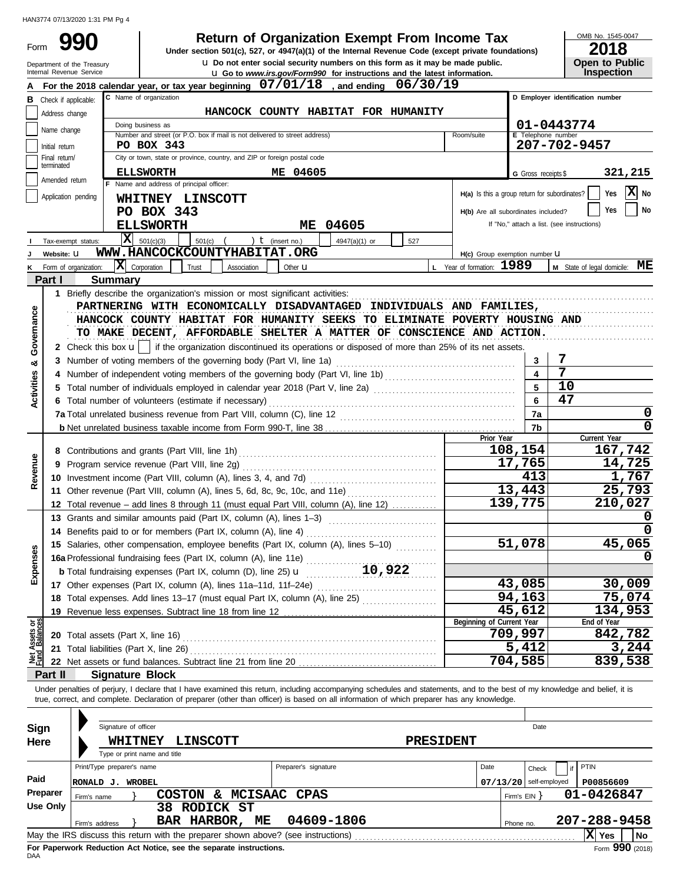Department of the Treasury

Form

# **990 2018 2018 2018 2018 2018 2018 2018 2018 2018 2018 2018 2018 2018 2018 2018 2018 2018 2018 2018 2018 2018 2018 2018 2018 2018 2018 2018 2018 2018 2018 2018**

Internal Revenue Service **Latest information. u** Go to *www.irs.gov/Form990* for instructions and the latest information. **u** Do not enter social security numbers on this form as it may be made public. **Under section 501(c), 527, or 4947(a)(1) of the Internal Revenue Code (except private foundations)** OMB No. 1545-0047

| 2010                  |
|-----------------------|
| <b>Open to Public</b> |
| <b>Inspection</b>     |

|                                |                             |                       | For the 2018 calendar year, or tax year beginning $07/01/18$ , and ending $06/30/19$                                                                                                                                                                                                                                     |                  |                                               |                          |                                            |
|--------------------------------|-----------------------------|-----------------------|--------------------------------------------------------------------------------------------------------------------------------------------------------------------------------------------------------------------------------------------------------------------------------------------------------------------------|------------------|-----------------------------------------------|--------------------------|--------------------------------------------|
| в                              |                             | Check if applicable:  | C Name of organization                                                                                                                                                                                                                                                                                                   |                  |                                               |                          | D Employer identification number           |
|                                | Address change              |                       | HANCOCK COUNTY HABITAT FOR HUMANITY                                                                                                                                                                                                                                                                                      |                  |                                               |                          |                                            |
|                                | Name change                 |                       | Doing business as                                                                                                                                                                                                                                                                                                        |                  |                                               |                          | 01-0443774                                 |
|                                |                             |                       | Number and street (or P.O. box if mail is not delivered to street address)                                                                                                                                                                                                                                               |                  | Room/suite                                    | E Telephone number       |                                            |
|                                | Initial return              |                       | PO BOX 343<br>City or town, state or province, country, and ZIP or foreign postal code                                                                                                                                                                                                                                   |                  |                                               |                          | 207-702-9457                               |
|                                | Final return/<br>terminated |                       |                                                                                                                                                                                                                                                                                                                          |                  |                                               |                          |                                            |
|                                | Amended return              |                       | <b>ELLSWORTH</b><br>ME 04605                                                                                                                                                                                                                                                                                             |                  |                                               | G Gross receipts \$      | 321,215                                    |
|                                |                             |                       | F Name and address of principal officer:                                                                                                                                                                                                                                                                                 |                  | H(a) Is this a group return for subordinates? |                          | lxl<br>Yes<br><b>No</b>                    |
|                                |                             | Application pending   | WHITNEY LINSCOTT                                                                                                                                                                                                                                                                                                         |                  |                                               |                          |                                            |
|                                |                             |                       | PO BOX 343                                                                                                                                                                                                                                                                                                               |                  | H(b) Are all subordinates included?           |                          | No<br>Yes                                  |
|                                |                             |                       | 04605<br><b>ELLSWORTH</b><br>ME                                                                                                                                                                                                                                                                                          |                  |                                               |                          | If "No," attach a list. (see instructions) |
|                                |                             | Tax-exempt status:    | x <br>501(c)(3)<br>$501(c)$ (<br>) $t$ (insert no.)<br>4947(a)(1) or                                                                                                                                                                                                                                                     | 527              |                                               |                          |                                            |
|                                | Website: U                  |                       | WWW.HANCOCKCOUNTYHABITAT.ORG                                                                                                                                                                                                                                                                                             |                  | H(c) Group exemption number <b>U</b>          |                          |                                            |
|                                |                             | Form of organization: | X<br>Corporation<br>Trust<br>Association<br>Other <b>u</b>                                                                                                                                                                                                                                                               |                  | L Year of formation: 1989                     |                          | M State of legal domicile: ME              |
|                                | Part I                      |                       | <b>Summary</b>                                                                                                                                                                                                                                                                                                           |                  |                                               |                          |                                            |
|                                |                             |                       |                                                                                                                                                                                                                                                                                                                          |                  |                                               |                          |                                            |
|                                |                             |                       | PARTNERING WITH ECONOMICALLY DISADVANTAGED INDIVIDUALS AND FAMILIES,                                                                                                                                                                                                                                                     |                  |                                               |                          |                                            |
|                                |                             |                       | HANCOCK COUNTY HABITAT FOR HUMANITY SEEKS TO ELIMINATE POVERTY HOUSING AND                                                                                                                                                                                                                                               |                  |                                               |                          |                                            |
|                                |                             |                       | TO MAKE DECENT, AFFORDABLE SHELTER A MATTER OF CONSCIENCE AND ACTION.                                                                                                                                                                                                                                                    |                  |                                               |                          |                                            |
| Governance                     |                             |                       | 2 Check this box $\mathbf{u}$   if the organization discontinued its operations or disposed of more than 25% of its net assets.                                                                                                                                                                                          |                  |                                               |                          |                                            |
| ಯ                              |                             |                       | 3 Number of voting members of the governing body (Part VI, line 1a)                                                                                                                                                                                                                                                      |                  |                                               | 3                        | 7                                          |
|                                |                             |                       |                                                                                                                                                                                                                                                                                                                          |                  |                                               | $\overline{\mathbf{4}}$  | 7                                          |
|                                |                             |                       | 5 Total number of individuals employed in calendar year 2018 (Part V, line 2a) [11] [11] [11] [11] [11] Total number of individuals employed in calendar year 2018 (Part V, line 2a)                                                                                                                                     |                  |                                               | 5                        | 10                                         |
| Activities                     |                             |                       | 6 Total number of volunteers (estimate if necessary)                                                                                                                                                                                                                                                                     |                  |                                               | 6                        | 47                                         |
|                                |                             |                       |                                                                                                                                                                                                                                                                                                                          |                  |                                               | 7a                       | 0                                          |
|                                |                             |                       |                                                                                                                                                                                                                                                                                                                          |                  |                                               | 7b                       | 0                                          |
|                                |                             |                       |                                                                                                                                                                                                                                                                                                                          |                  | Prior Year                                    |                          | Current Year                               |
|                                |                             |                       |                                                                                                                                                                                                                                                                                                                          |                  | 108,154                                       | 167,742                  |                                            |
|                                | 9                           |                       | Program service revenue (Part VIII, line 2g)                                                                                                                                                                                                                                                                             |                  |                                               | 17,765                   | 14,725                                     |
| Revenue                        |                             |                       |                                                                                                                                                                                                                                                                                                                          |                  |                                               | 413                      | 1,767                                      |
|                                |                             |                       | 11 Other revenue (Part VIII, column (A), lines 5, 6d, 8c, 9c, 10c, and 11e)                                                                                                                                                                                                                                              |                  |                                               | 13,443                   | 25,793                                     |
|                                |                             |                       | 12 Total revenue - add lines 8 through 11 (must equal Part VIII, column (A), line 12)                                                                                                                                                                                                                                    |                  |                                               | 139,775                  | 210,027                                    |
|                                |                             |                       | 13 Grants and similar amounts paid (Part IX, column (A), lines 1-3)                                                                                                                                                                                                                                                      |                  |                                               |                          | 0                                          |
|                                |                             |                       | 14 Benefits paid to or for members (Part IX, column (A), line 4)                                                                                                                                                                                                                                                         |                  |                                               |                          |                                            |
|                                |                             |                       | 15 Salaries, other compensation, employee benefits (Part IX, column (A), lines 5-10)                                                                                                                                                                                                                                     |                  |                                               | 51,078                   | 45,065                                     |
|                                |                             |                       |                                                                                                                                                                                                                                                                                                                          |                  |                                               |                          |                                            |
| xpenses                        |                             |                       |                                                                                                                                                                                                                                                                                                                          |                  |                                               |                          |                                            |
| ய்                             |                             |                       | 17 Other expenses (Part IX, column (A), lines 11a-11d, 11f-24e)                                                                                                                                                                                                                                                          |                  |                                               | 43,085                   | 30,009                                     |
|                                |                             |                       | 18 Total expenses. Add lines 13-17 (must equal Part IX, column (A), line 25)                                                                                                                                                                                                                                             |                  |                                               | 94,163                   | 75,074                                     |
|                                |                             |                       | 19 Revenue less expenses. Subtract line 18 from line 12                                                                                                                                                                                                                                                                  |                  |                                               | 45,612                   | 134,953                                    |
| Net Assets or<br>Fund Balances |                             |                       |                                                                                                                                                                                                                                                                                                                          |                  | Beginning of Current Year                     |                          | End of Year                                |
|                                |                             |                       |                                                                                                                                                                                                                                                                                                                          |                  |                                               | 709,997                  | 842,782                                    |
|                                |                             |                       |                                                                                                                                                                                                                                                                                                                          |                  |                                               | 5,412                    | 3,244                                      |
|                                |                             |                       | 22 Net assets or fund balances. Subtract line 21 from line 20                                                                                                                                                                                                                                                            |                  |                                               | 704,585                  | 839,538                                    |
|                                | Part II                     |                       | <b>Signature Block</b>                                                                                                                                                                                                                                                                                                   |                  |                                               |                          |                                            |
|                                |                             |                       | Under penalties of perjury, I declare that I have examined this return, including accompanying schedules and statements, and to the best of my knowledge and belief, it is<br>true, correct, and complete. Declaration of preparer (other than officer) is based on all information of which preparer has any knowledge. |                  |                                               |                          |                                            |
|                                |                             |                       |                                                                                                                                                                                                                                                                                                                          |                  |                                               |                          |                                            |
|                                |                             |                       |                                                                                                                                                                                                                                                                                                                          |                  |                                               |                          |                                            |
| Sign                           |                             |                       | Signature of officer                                                                                                                                                                                                                                                                                                     |                  |                                               | Date                     |                                            |
| Here                           |                             |                       | <b>WHITNEY</b><br><b>LINSCOTT</b>                                                                                                                                                                                                                                                                                        | <b>PRESIDENT</b> |                                               |                          |                                            |
|                                |                             |                       | Type or print name and title                                                                                                                                                                                                                                                                                             |                  |                                               |                          |                                            |
|                                |                             |                       | Print/Type preparer's name<br>Preparer's signature                                                                                                                                                                                                                                                                       |                  | Date                                          | Check                    | <b>PTIN</b>                                |
| Paid                           |                             |                       | <b>RONALD J. WROBEL</b>                                                                                                                                                                                                                                                                                                  |                  |                                               | $07/13/20$ self-employed | P00856609                                  |
|                                | Preparer                    | Firm's name           | COSTON & MCISAAC<br><b>CPAS</b>                                                                                                                                                                                                                                                                                          |                  |                                               | Firm's $EIN$ }           | 01-0426847                                 |
|                                | <b>Use Only</b>             |                       | 38 RODICK ST                                                                                                                                                                                                                                                                                                             |                  |                                               |                          |                                            |
|                                |                             | Firm's address        | 04609-1806<br>BAR HARBOR, ME                                                                                                                                                                                                                                                                                             |                  |                                               | Phone no.                | 207-288-9458                               |
|                                |                             |                       | May the IRS discuss this return with the preparer shown above? (see instructions)                                                                                                                                                                                                                                        |                  |                                               |                          | $ \mathbf{X} $ Yes<br>No                   |

| Sign     | Signature of officer                                                              | Date                                  |                             |
|----------|-----------------------------------------------------------------------------------|---------------------------------------|-----------------------------|
| Here     | <b>LINSCOTT</b><br><b>WHITNEY</b><br>Type or print name and title                 | <b>PRESIDENT</b>                      |                             |
|          | Preparer's signature<br>Print/Type preparer's name                                | PTIN<br>Date<br>Check                 |                             |
| Paid     | <b>WROBEL</b><br>RONALD J.                                                        | $07/13/20$ self-employed<br>P00856609 |                             |
| Preparer | MCISAAC CPAS<br>COSTON<br>&.<br>Firm's name                                       | 01-0426847<br>Firm's EIN Y            |                             |
| Use Only | RODICK ST<br>38                                                                   |                                       |                             |
|          | 04609-1806<br>ME.<br><b>HARBOR,</b><br>BAR<br>Firm's address                      | 207-288-9458<br>Phone no.             |                             |
|          | May the IRS discuss this return with the preparer shown above? (see instructions) | Yes                                   | No                          |
|          | For Paperwork Reduction Act Notice, see the separate instructions.                |                                       | $F_{\text{O}rm}$ 990 (2018) |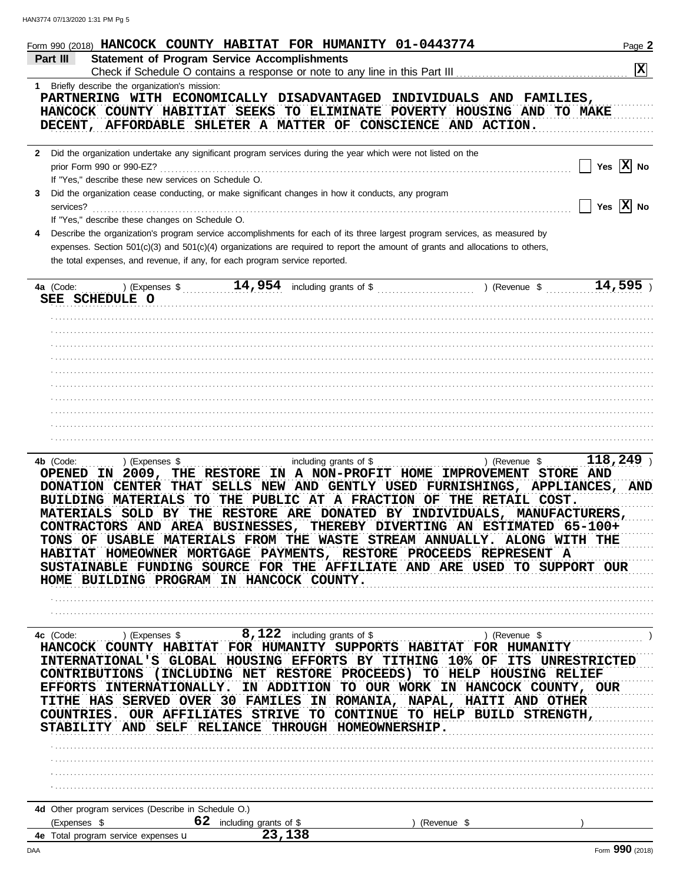HAN3774 07/13/2020 1:31 PM Pg 5

| Form 990 (2018) HANCOCK COUNTY HABITAT FOR HUMANITY $01-0443774$<br><b>Statement of Program Service Accomplishments</b><br>Part III                                                                                                                                                                                                                                                                                                                                                                                                                                                                                    |                                                                                                                                                             | Page 2<br>図       |
|------------------------------------------------------------------------------------------------------------------------------------------------------------------------------------------------------------------------------------------------------------------------------------------------------------------------------------------------------------------------------------------------------------------------------------------------------------------------------------------------------------------------------------------------------------------------------------------------------------------------|-------------------------------------------------------------------------------------------------------------------------------------------------------------|-------------------|
| Briefly describe the organization's mission:<br>$1 \quad$<br>PARTNERING WITH ECONOMICALLY DISADVANTAGED INDIVIDUALS AND FAMILIES,<br>HANCOCK COUNTY HABITIAT SEEKS TO ELIMINATE POVERTY HOUSING AND TO MAKE<br>DECENT, AFFORDABLE SHLETER A MATTER OF CONSCIENCE AND ACTION.                                                                                                                                                                                                                                                                                                                                           |                                                                                                                                                             |                   |
| Did the organization undertake any significant program services during the year which were not listed on the<br>$\mathbf{2}$<br>prior Form 990 or 990-EZ?<br>If "Yes," describe these new services on Schedule O.                                                                                                                                                                                                                                                                                                                                                                                                      |                                                                                                                                                             | Yes $ X $ No      |
| Did the organization cease conducting, or make significant changes in how it conducts, any program<br>3<br>services?<br>If "Yes," describe these changes on Schedule O.                                                                                                                                                                                                                                                                                                                                                                                                                                                |                                                                                                                                                             | Yes $ X $ No      |
| Describe the organization's program service accomplishments for each of its three largest program services, as measured by<br>4<br>expenses. Section $501(c)(3)$ and $501(c)(4)$ organizations are required to report the amount of grants and allocations to others,<br>the total expenses, and revenue, if any, for each program service reported.                                                                                                                                                                                                                                                                   |                                                                                                                                                             |                   |
| 4a (Code: ) (Expenses \$<br>SEE SCHEDULE O                                                                                                                                                                                                                                                                                                                                                                                                                                                                                                                                                                             |                                                                                                                                                             | 14,595            |
|                                                                                                                                                                                                                                                                                                                                                                                                                                                                                                                                                                                                                        |                                                                                                                                                             |                   |
|                                                                                                                                                                                                                                                                                                                                                                                                                                                                                                                                                                                                                        |                                                                                                                                                             |                   |
|                                                                                                                                                                                                                                                                                                                                                                                                                                                                                                                                                                                                                        |                                                                                                                                                             |                   |
|                                                                                                                                                                                                                                                                                                                                                                                                                                                                                                                                                                                                                        |                                                                                                                                                             |                   |
|                                                                                                                                                                                                                                                                                                                                                                                                                                                                                                                                                                                                                        |                                                                                                                                                             |                   |
| including grants of \$<br>4b (Code:<br>) (Expenses \$<br>OPENED IN 2009,<br>THE RESTORE IN A NON-PROFIT HOME IMPROVEMENT STORE AND<br>DONATION CENTER THAT SELLS NEW AND GENTLY USED FURNISHINGS, APPLIANCES, AND<br><b>BUILDING MATERIALS</b><br>MATERIALS SOLD BY<br>CONTRACTORS AND AREA BUSINESSES, THEREBY DIVERTING AN ESTIMATED 65-100+<br>TONS OF USABLE MATERIALS FROM THE WASTE STREAM ANNUALLY. ALONG WITH THE<br>HABITAT HOMEOWNER MORTGAGE PAYMENTS, RESTORE PROCEEDS REPRESENT A<br>SUSTAINABLE FUNDING SOURCE FOR THE AFFILIATE AND ARE USED TO SUPPORT OUR<br>HOME BUILDING PROGRAM IN HANCOCK COUNTY. | ) (Revenue \$<br>TO THE PUBLIC AT A FRACTION OF THE RETAIL COST.<br>THE RESTORE ARE DONATED BY INDIVIDUALS, MANUFACTURERS,                                  | 118, 249          |
|                                                                                                                                                                                                                                                                                                                                                                                                                                                                                                                                                                                                                        |                                                                                                                                                             |                   |
| $8,122$ including grants of \$<br>4c (Code:<br>) (Expenses \$<br>HANCOCK COUNTY HABITAT FOR HUMANITY SUPPORTS HABITAT FOR HUMANITY<br>INTERNATIONAL'S GLOBAL HOUSING EFFORTS BY TITHING<br>(INCLUDING NET RESTORE PROCEEDS)<br><b>CONTRIBUTIONS</b><br>EFFORTS INTERNATIONALLY.<br>TITHE HAS SERVED OVER 30 FAMILES IN ROMANIA, NAPAL, HAITI AND OTHER<br>COUNTRIES. OUR AFFILIATES STRIVE<br>SELF RELIANCE THROUGH HOMEOWNERSHIP.<br>STABILITY AND                                                                                                                                                                    | ) (Revenue \$<br>10% OF ITS UNRESTRICTED<br>TO HELP HOUSING RELIEF<br>IN ADDITION TO OUR WORK IN HANCOCK COUNTY, OUR<br>TO CONTINUE TO HELP BUILD STRENGTH, |                   |
|                                                                                                                                                                                                                                                                                                                                                                                                                                                                                                                                                                                                                        |                                                                                                                                                             |                   |
|                                                                                                                                                                                                                                                                                                                                                                                                                                                                                                                                                                                                                        |                                                                                                                                                             |                   |
| 4d Other program services (Describe in Schedule O.)                                                                                                                                                                                                                                                                                                                                                                                                                                                                                                                                                                    |                                                                                                                                                             |                   |
| 62 including grants of \$<br>(Expenses \$<br>23,138<br>4e Total program service expenses u                                                                                                                                                                                                                                                                                                                                                                                                                                                                                                                             | (Revenue \$                                                                                                                                                 |                   |
| <b>DAA</b>                                                                                                                                                                                                                                                                                                                                                                                                                                                                                                                                                                                                             |                                                                                                                                                             | $Form$ 990 (2018) |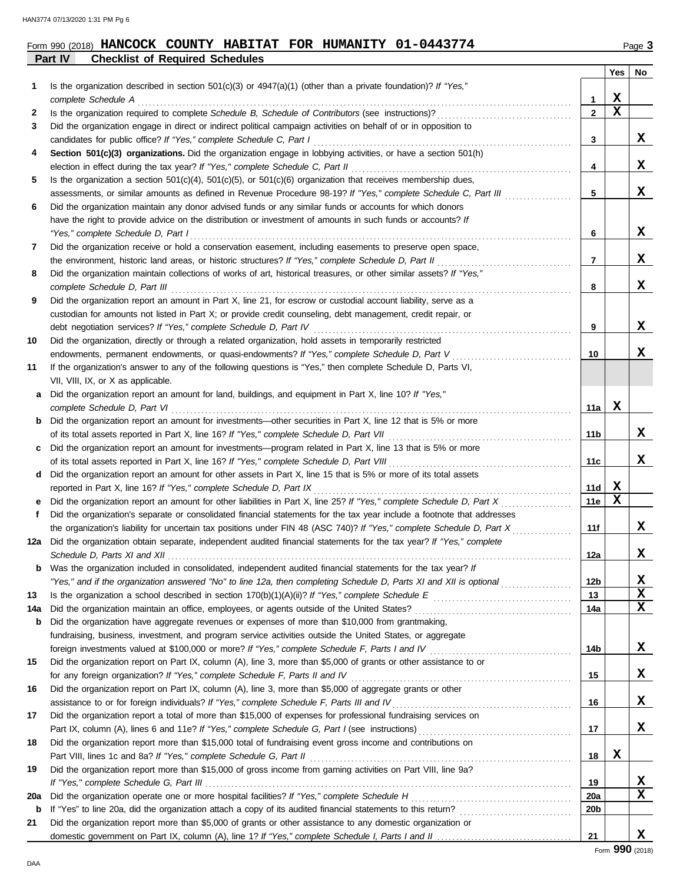**Part IV Checklist of Required Schedules**

### **Form 990 (2018) HANCOCK COUNTY HABITAT FOR HUMANITY 01-0443774** Page 3

|     |                                                                                                                                                                                                        |                 | Yes         | No |
|-----|--------------------------------------------------------------------------------------------------------------------------------------------------------------------------------------------------------|-----------------|-------------|----|
| 1   | Is the organization described in section $501(c)(3)$ or $4947(a)(1)$ (other than a private foundation)? If "Yes,"                                                                                      |                 |             |    |
|     | complete Schedule A                                                                                                                                                                                    | 1               | X           |    |
| 2   | Is the organization required to complete Schedule B, Schedule of Contributors (see instructions)?                                                                                                      | $\mathbf{2}$    | $\mathbf x$ |    |
| 3   | Did the organization engage in direct or indirect political campaign activities on behalf of or in opposition to                                                                                       |                 |             |    |
|     | candidates for public office? If "Yes," complete Schedule C, Part I                                                                                                                                    | 3               |             | x  |
| 4   | Section 501(c)(3) organizations. Did the organization engage in lobbying activities, or have a section 501(h)                                                                                          |                 |             | x  |
| 5   | election in effect during the tax year? If "Yes," complete Schedule C, Part II<br>Is the organization a section $501(c)(4)$ , $501(c)(5)$ , or $501(c)(6)$ organization that receives membership dues, | 4               |             |    |
|     | assessments, or similar amounts as defined in Revenue Procedure 98-19? If "Yes," complete Schedule C, Part III                                                                                         | 5               |             | X  |
| 6   | Did the organization maintain any donor advised funds or any similar funds or accounts for which donors                                                                                                |                 |             |    |
|     | have the right to provide advice on the distribution or investment of amounts in such funds or accounts? If                                                                                            |                 |             |    |
|     | "Yes," complete Schedule D, Part I                                                                                                                                                                     | 6               |             | X  |
| 7   | Did the organization receive or hold a conservation easement, including easements to preserve open space,                                                                                              |                 |             |    |
|     | the environment, historic land areas, or historic structures? If "Yes," complete Schedule D, Part II                                                                                                   | 7               |             | X  |
| 8   | Did the organization maintain collections of works of art, historical treasures, or other similar assets? If "Yes,"                                                                                    |                 |             |    |
|     | complete Schedule D, Part III                                                                                                                                                                          | 8               |             | x  |
| 9   | Did the organization report an amount in Part X, line 21, for escrow or custodial account liability, serve as a                                                                                        |                 |             |    |
|     | custodian for amounts not listed in Part X; or provide credit counseling, debt management, credit repair, or                                                                                           |                 |             |    |
|     | debt negotiation services? If "Yes," complete Schedule D, Part IV                                                                                                                                      | 9               |             | X  |
| 10  | Did the organization, directly or through a related organization, hold assets in temporarily restricted                                                                                                |                 |             |    |
|     | endowments, permanent endowments, or quasi-endowments? If "Yes," complete Schedule D, Part V                                                                                                           | 10              |             | x  |
| 11  | If the organization's answer to any of the following questions is "Yes," then complete Schedule D, Parts VI,                                                                                           |                 |             |    |
|     | VII, VIII, IX, or X as applicable.                                                                                                                                                                     |                 |             |    |
| а   | Did the organization report an amount for land, buildings, and equipment in Part X, line 10? If "Yes,"                                                                                                 |                 |             |    |
|     | complete Schedule D, Part VI                                                                                                                                                                           | 11a             | x           |    |
| b   | Did the organization report an amount for investments—other securities in Part X, line 12 that is 5% or more                                                                                           |                 |             | X  |
|     | Did the organization report an amount for investments—program related in Part X, line 13 that is 5% or more                                                                                            | 11b             |             |    |
| C   | of its total assets reported in Part X, line 16? If "Yes," complete Schedule D, Part VIII                                                                                                              | 11c             |             | x  |
|     | d Did the organization report an amount for other assets in Part X, line 15 that is 5% or more of its total assets                                                                                     |                 |             |    |
|     | reported in Part X, line 16? If "Yes," complete Schedule D, Part IX                                                                                                                                    | 11d             | x           |    |
| е   | Did the organization report an amount for other liabilities in Part X, line 25? If "Yes," complete Schedule D, Part X                                                                                  | 11e             | X           |    |
| f   | Did the organization's separate or consolidated financial statements for the tax year include a footnote that addresses                                                                                |                 |             |    |
|     | the organization's liability for uncertain tax positions under FIN 48 (ASC 740)? If "Yes," complete Schedule D, Part X                                                                                 | 11f             |             | x  |
|     | 12a Did the organization obtain separate, independent audited financial statements for the tax year? If "Yes," complete                                                                                |                 |             |    |
|     |                                                                                                                                                                                                        | 12a             |             | x  |
|     | Was the organization included in consolidated, independent audited financial statements for the tax year? If                                                                                           |                 |             |    |
|     | "Yes," and if the organization answered "No" to line 12a, then completing Schedule D, Parts XI and XII is optional                                                                                     | 12 <sub>b</sub> |             | X  |
| 13  |                                                                                                                                                                                                        | 13              |             | X  |
| 14a |                                                                                                                                                                                                        | 14a             |             | X  |
| b   | Did the organization have aggregate revenues or expenses of more than \$10,000 from grantmaking,                                                                                                       |                 |             |    |
|     | fundraising, business, investment, and program service activities outside the United States, or aggregate                                                                                              |                 |             |    |
|     | foreign investments valued at \$100,000 or more? If "Yes," complete Schedule F, Parts I and IV [[[[[[[[[[[[[[[[                                                                                        | 14b             |             | x  |
| 15  | Did the organization report on Part IX, column (A), line 3, more than \$5,000 of grants or other assistance to or                                                                                      |                 |             |    |
| 16  | for any foreign organization? If "Yes," complete Schedule F, Parts II and IV<br>Did the organization report on Part IX, column (A), line 3, more than \$5,000 of aggregate grants or other             | 15              |             | x  |
|     | assistance to or for foreign individuals? If "Yes," complete Schedule F, Parts III and IV [[[[[[[[[[[[[[[[[[[                                                                                          | 16              |             | x  |
| 17  | Did the organization report a total of more than \$15,000 of expenses for professional fundraising services on                                                                                         |                 |             |    |
|     |                                                                                                                                                                                                        | 17              |             | X  |
| 18  | Did the organization report more than \$15,000 total of fundraising event gross income and contributions on                                                                                            |                 |             |    |
|     |                                                                                                                                                                                                        | 18              | X           |    |
| 19  | Did the organization report more than \$15,000 of gross income from gaming activities on Part VIII, line 9a?                                                                                           |                 |             |    |
|     |                                                                                                                                                                                                        | 19              |             | X  |
| 20a |                                                                                                                                                                                                        | <b>20a</b>      |             | X  |
| b   |                                                                                                                                                                                                        | 20 <sub>b</sub> |             |    |
| 21  | Did the organization report more than \$5,000 of grants or other assistance to any domestic organization or                                                                                            |                 |             |    |
|     |                                                                                                                                                                                                        | 21              |             | x  |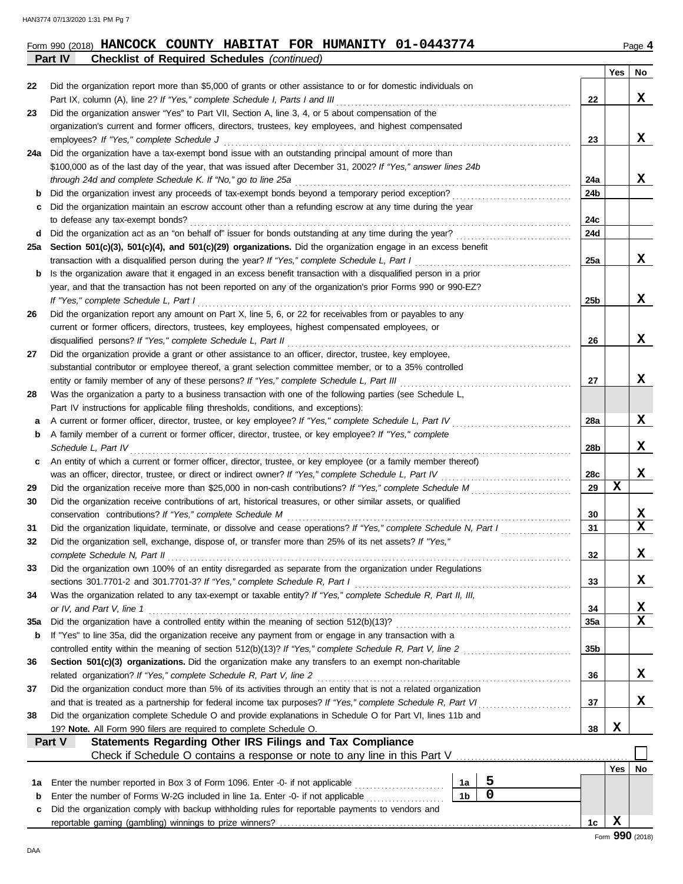#### Form 990 (2018) **HANCOCK COUNTY HABITAT FOR HUMANITY 01-0443774** Page 4 **HANCOCK COUNTY HABITAT FOR HUMANITY 01-0443774**

**Part IV Checklist of Required Schedules** *(continued)*

|        |                                                                                                                                                                                                       |                 | Yes         | No          |
|--------|-------------------------------------------------------------------------------------------------------------------------------------------------------------------------------------------------------|-----------------|-------------|-------------|
| 22     | Did the organization report more than \$5,000 of grants or other assistance to or for domestic individuals on                                                                                         |                 |             |             |
|        | Part IX, column (A), line 2? If "Yes," complete Schedule I, Parts I and III                                                                                                                           | 22              |             | X           |
| 23     | Did the organization answer "Yes" to Part VII, Section A, line 3, 4, or 5 about compensation of the                                                                                                   |                 |             |             |
|        | organization's current and former officers, directors, trustees, key employees, and highest compensated                                                                                               |                 |             |             |
|        | employees? If "Yes," complete Schedule J                                                                                                                                                              | 23              |             | x           |
| 24a    | Did the organization have a tax-exempt bond issue with an outstanding principal amount of more than                                                                                                   |                 |             |             |
|        | \$100,000 as of the last day of the year, that was issued after December 31, 2002? If "Yes," answer lines 24b                                                                                         |                 |             |             |
|        | through 24d and complete Schedule K. If "No," go to line 25a                                                                                                                                          | 24a             |             | x           |
| b      | Did the organization invest any proceeds of tax-exempt bonds beyond a temporary period exception?                                                                                                     | 24b             |             |             |
| c      | Did the organization maintain an escrow account other than a refunding escrow at any time during the year                                                                                             |                 |             |             |
|        | to defease any tax-exempt bonds?                                                                                                                                                                      | 24c             |             |             |
| d      | Did the organization act as an "on behalf of" issuer for bonds outstanding at any time during the year?                                                                                               | 24d             |             |             |
| 25a    | Section 501(c)(3), 501(c)(4), and 501(c)(29) organizations. Did the organization engage in an excess benefit                                                                                          |                 |             |             |
|        | transaction with a disqualified person during the year? If "Yes," complete Schedule L, Part I                                                                                                         | 25a             |             | X           |
| b      | Is the organization aware that it engaged in an excess benefit transaction with a disqualified person in a prior                                                                                      |                 |             |             |
|        | year, and that the transaction has not been reported on any of the organization's prior Forms 990 or 990-EZ?                                                                                          |                 |             |             |
|        | If "Yes," complete Schedule L, Part I                                                                                                                                                                 | 25 <sub>b</sub> |             | x           |
| 26     | Did the organization report any amount on Part X, line 5, 6, or 22 for receivables from or payables to any                                                                                            |                 |             |             |
|        | current or former officers, directors, trustees, key employees, highest compensated employees, or                                                                                                     |                 |             |             |
|        | disqualified persons? If "Yes," complete Schedule L, Part II                                                                                                                                          | 26              |             | x           |
| 27     | Did the organization provide a grant or other assistance to an officer, director, trustee, key employee,                                                                                              |                 |             |             |
|        | substantial contributor or employee thereof, a grant selection committee member, or to a 35% controlled                                                                                               | 27              |             | X           |
| 28     | entity or family member of any of these persons? If "Yes," complete Schedule L, Part III<br>Was the organization a party to a business transaction with one of the following parties (see Schedule L, |                 |             |             |
|        | Part IV instructions for applicable filing thresholds, conditions, and exceptions):                                                                                                                   |                 |             |             |
|        | A current or former officer, director, trustee, or key employee? If "Yes," complete Schedule L, Part IV                                                                                               | 28a             |             | X           |
| a<br>b | A family member of a current or former officer, director, trustee, or key employee? If "Yes," complete                                                                                                |                 |             |             |
|        | Schedule L, Part IV                                                                                                                                                                                   | 28 <sub>b</sub> |             | x           |
| c      | An entity of which a current or former officer, director, trustee, or key employee (or a family member thereof)                                                                                       |                 |             |             |
|        | was an officer, director, trustee, or direct or indirect owner? If "Yes," complete Schedule L, Part IV                                                                                                | 28c             |             | x           |
| 29     | Did the organization receive more than \$25,000 in non-cash contributions? If "Yes," complete Schedule M                                                                                              | 29              | $\mathbf x$ |             |
| 30     | Did the organization receive contributions of art, historical treasures, or other similar assets, or qualified                                                                                        |                 |             |             |
|        | conservation contributions? If "Yes," complete Schedule M                                                                                                                                             | 30              |             | X           |
| 31     | Did the organization liquidate, terminate, or dissolve and cease operations? If "Yes," complete Schedule N, Part I                                                                                    | 31              |             | $\mathbf x$ |
| 32     | Did the organization sell, exchange, dispose of, or transfer more than 25% of its net assets? If "Yes,"                                                                                               |                 |             |             |
|        | complete Schedule N, Part II                                                                                                                                                                          | 32              |             | X           |
| 33     | Did the organization own 100% of an entity disregarded as separate from the organization under Regulations                                                                                            |                 |             |             |
|        | sections 301.7701-2 and 301.7701-3? If "Yes," complete Schedule R, Part I                                                                                                                             | 33              |             | x           |
| 34     | Was the organization related to any tax-exempt or taxable entity? If "Yes," complete Schedule R, Part II, III,                                                                                        |                 |             |             |
|        | or IV, and Part V, line 1                                                                                                                                                                             | 34              |             | X           |
| 35a    |                                                                                                                                                                                                       | 35a             |             | X           |
| b      | If "Yes" to line 35a, did the organization receive any payment from or engage in any transaction with a                                                                                               |                 |             |             |
|        | controlled entity within the meaning of section 512(b)(13)? If "Yes," complete Schedule R, Part V, line 2                                                                                             | 35 <sub>b</sub> |             |             |
| 36     | Section 501(c)(3) organizations. Did the organization make any transfers to an exempt non-charitable                                                                                                  |                 |             |             |
|        | related organization? If "Yes," complete Schedule R, Part V, line 2                                                                                                                                   | 36              |             | x           |
| 37     | Did the organization conduct more than 5% of its activities through an entity that is not a related organization                                                                                      |                 |             |             |
|        | and that is treated as a partnership for federal income tax purposes? If "Yes," complete Schedule R, Part VI                                                                                          | 37              |             | X           |
| 38     | Did the organization complete Schedule O and provide explanations in Schedule O for Part VI, lines 11b and                                                                                            |                 |             |             |
|        | 19? Note. All Form 990 filers are required to complete Schedule O.                                                                                                                                    | 38              | X           |             |
|        | Statements Regarding Other IRS Filings and Tax Compliance<br>Part V                                                                                                                                   |                 |             |             |
|        | Check if Schedule O contains a response or note to any line in this Part V                                                                                                                            |                 |             |             |
|        |                                                                                                                                                                                                       |                 | Yes         | No          |
| 1а     | 5<br>Enter the number reported in Box 3 of Form 1096. Enter -0- if not applicable<br>1a<br>$\mathbf 0$                                                                                                |                 |             |             |
| b      | 1 <sub>b</sub><br>Enter the number of Forms W-2G included in line 1a. Enter -0- if not applicable<br>Did the organization comply with backup withholding rules for reportable payments to vendors and |                 |             |             |
| c      |                                                                                                                                                                                                       | 1c              | X           |             |
|        |                                                                                                                                                                                                       |                 |             |             |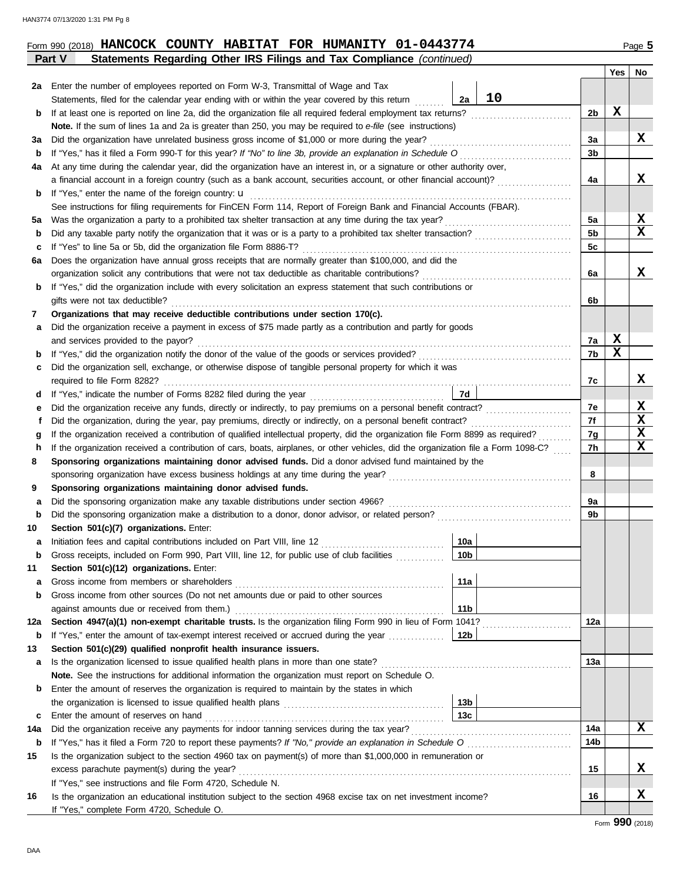#### **Part V Statements Regarding Other IRS Filings and Tax Compliance** *(continued)* **Form 990 (2018) HANCOCK COUNTY HABITAT FOR HUMANITY 01-0443774** Page 5

|--|

|     |                                                                                                                                                                                                                                               |                 |    |     | Yes $ $ | No               |  |  |  |  |
|-----|-----------------------------------------------------------------------------------------------------------------------------------------------------------------------------------------------------------------------------------------------|-----------------|----|-----|---------|------------------|--|--|--|--|
| 2a  | Enter the number of employees reported on Form W-3, Transmittal of Wage and Tax                                                                                                                                                               |                 |    |     |         |                  |  |  |  |  |
|     | Statements, filed for the calendar year ending with or within the year covered by this return                                                                                                                                                 | 2a              | 10 |     |         |                  |  |  |  |  |
| b   | If at least one is reported on line 2a, did the organization file all required federal employment tax returns?                                                                                                                                |                 |    | 2b  | X       |                  |  |  |  |  |
|     | Note. If the sum of lines 1a and 2a is greater than 250, you may be required to e-file (see instructions)                                                                                                                                     |                 |    |     |         |                  |  |  |  |  |
| За  | Did the organization have unrelated business gross income of \$1,000 or more during the year?                                                                                                                                                 |                 |    | 3a  |         | x                |  |  |  |  |
| b   | If "Yes," has it filed a Form 990-T for this year? If "No" to line 3b, provide an explanation in Schedule O                                                                                                                                   |                 |    | 3b  |         |                  |  |  |  |  |
| 4a  | At any time during the calendar year, did the organization have an interest in, or a signature or other authority over,<br>a financial account in a foreign country (such as a bank account, securities account, or other financial account)? |                 |    |     |         |                  |  |  |  |  |
|     | If "Yes," enter the name of the foreign country: u<br>b                                                                                                                                                                                       |                 |    |     |         |                  |  |  |  |  |
|     |                                                                                                                                                                                                                                               |                 |    |     |         |                  |  |  |  |  |
|     | See instructions for filing requirements for FinCEN Form 114, Report of Foreign Bank and Financial Accounts (FBAR).                                                                                                                           |                 |    |     |         |                  |  |  |  |  |
| 5а  | Was the organization a party to a prohibited tax shelter transaction at any time during the tax year?                                                                                                                                         |                 |    | 5a  |         | X                |  |  |  |  |
| b   |                                                                                                                                                                                                                                               |                 |    | 5b  |         | x                |  |  |  |  |
| c   | If "Yes" to line 5a or 5b, did the organization file Form 8886-T?                                                                                                                                                                             |                 |    | 5c  |         |                  |  |  |  |  |
| 6а  | Does the organization have annual gross receipts that are normally greater than \$100,000, and did the                                                                                                                                        |                 |    |     |         |                  |  |  |  |  |
|     | 6a                                                                                                                                                                                                                                            |                 |    |     |         |                  |  |  |  |  |
| b   | If "Yes," did the organization include with every solicitation an express statement that such contributions or                                                                                                                                |                 |    |     |         |                  |  |  |  |  |
|     | gifts were not tax deductible?                                                                                                                                                                                                                |                 |    | 6b  |         |                  |  |  |  |  |
| 7   | Organizations that may receive deductible contributions under section 170(c).                                                                                                                                                                 |                 |    |     |         |                  |  |  |  |  |
| а   | Did the organization receive a payment in excess of \$75 made partly as a contribution and partly for goods                                                                                                                                   |                 |    |     |         |                  |  |  |  |  |
|     | and services provided to the payor?                                                                                                                                                                                                           |                 |    | 7a  | X       |                  |  |  |  |  |
| b   |                                                                                                                                                                                                                                               |                 |    | 7b  | X       |                  |  |  |  |  |
| c   | Did the organization sell, exchange, or otherwise dispose of tangible personal property for which it was                                                                                                                                      |                 |    |     |         |                  |  |  |  |  |
|     |                                                                                                                                                                                                                                               |                 |    | 7с  |         | X                |  |  |  |  |
| d   |                                                                                                                                                                                                                                               | 7d              |    |     |         |                  |  |  |  |  |
| е   | Did the organization receive any funds, directly or indirectly, to pay premiums on a personal benefit contract?                                                                                                                               |                 |    | 7e  |         | X<br>$\mathbf x$ |  |  |  |  |
| f   | Did the organization, during the year, pay premiums, directly or indirectly, on a personal benefit contract?                                                                                                                                  |                 |    |     |         |                  |  |  |  |  |
| g   | If the organization received a contribution of qualified intellectual property, did the organization file Form 8899 as required?                                                                                                              |                 |    | 7g  |         | X                |  |  |  |  |
| h   | If the organization received a contribution of cars, boats, airplanes, or other vehicles, did the organization file a Form 1098-C?                                                                                                            |                 |    |     |         |                  |  |  |  |  |
| 8   | Sponsoring organizations maintaining donor advised funds. Did a donor advised fund maintained by the                                                                                                                                          |                 |    |     |         |                  |  |  |  |  |
|     |                                                                                                                                                                                                                                               |                 |    | 8   |         |                  |  |  |  |  |
| 9   | Sponsoring organizations maintaining donor advised funds.                                                                                                                                                                                     |                 |    |     |         |                  |  |  |  |  |
| a   |                                                                                                                                                                                                                                               |                 |    | 9a  |         |                  |  |  |  |  |
| b   | Did the sponsoring organization make a distribution to a donor, donor advisor, or related person?                                                                                                                                             |                 |    | 9b  |         |                  |  |  |  |  |
| 10  | Section 501(c)(7) organizations. Enter:                                                                                                                                                                                                       |                 |    |     |         |                  |  |  |  |  |
| а   | Initiation fees and capital contributions included on Part VIII, line 12                                                                                                                                                                      | 10a             |    |     |         |                  |  |  |  |  |
| b   | Gross receipts, included on Form 990, Part VIII, line 12, for public use of club facilities                                                                                                                                                   | 10b             |    |     |         |                  |  |  |  |  |
| 11  | Section 501(c)(12) organizations. Enter:                                                                                                                                                                                                      |                 |    |     |         |                  |  |  |  |  |
| a   | Gross income from members or shareholders                                                                                                                                                                                                     | 11a             |    |     |         |                  |  |  |  |  |
| b   | Gross income from other sources (Do not net amounts due or paid to other sources                                                                                                                                                              |                 |    |     |         |                  |  |  |  |  |
|     |                                                                                                                                                                                                                                               | 11 <sub>b</sub> |    |     |         |                  |  |  |  |  |
| 12a | Section 4947(a)(1) non-exempt charitable trusts. Is the organization filing Form 990 in lieu of Form 1041?                                                                                                                                    |                 |    | 12a |         |                  |  |  |  |  |
| b   | If "Yes," enter the amount of tax-exempt interest received or accrued during the year                                                                                                                                                         | 12b             |    |     |         |                  |  |  |  |  |
| 13  | Section 501(c)(29) qualified nonprofit health insurance issuers.                                                                                                                                                                              |                 |    |     |         |                  |  |  |  |  |
| а   |                                                                                                                                                                                                                                               |                 |    | 13а |         |                  |  |  |  |  |
|     | Note. See the instructions for additional information the organization must report on Schedule O.                                                                                                                                             |                 |    |     |         |                  |  |  |  |  |
| b   | Enter the amount of reserves the organization is required to maintain by the states in which                                                                                                                                                  |                 |    |     |         |                  |  |  |  |  |
|     |                                                                                                                                                                                                                                               | 13 <sub>b</sub> |    |     |         |                  |  |  |  |  |
| c   |                                                                                                                                                                                                                                               | 13 <sub>c</sub> |    |     |         |                  |  |  |  |  |
| 14a | Did the organization receive any payments for indoor tanning services during the tax year?                                                                                                                                                    |                 |    | 14a |         | x                |  |  |  |  |
| b   |                                                                                                                                                                                                                                               |                 |    | 14b |         |                  |  |  |  |  |
| 15  | Is the organization subject to the section 4960 tax on payment(s) of more than \$1,000,000 in remuneration or                                                                                                                                 |                 |    |     |         |                  |  |  |  |  |
|     | excess parachute payment(s) during the year?                                                                                                                                                                                                  |                 |    | 15  |         | X                |  |  |  |  |
|     | If "Yes," see instructions and file Form 4720, Schedule N.                                                                                                                                                                                    |                 |    |     |         |                  |  |  |  |  |
| 16  | Is the organization an educational institution subject to the section 4968 excise tax on net investment income?                                                                                                                               |                 |    | 16  |         | X                |  |  |  |  |
|     | If "Yes," complete Form 4720, Schedule O.                                                                                                                                                                                                     |                 |    |     |         |                  |  |  |  |  |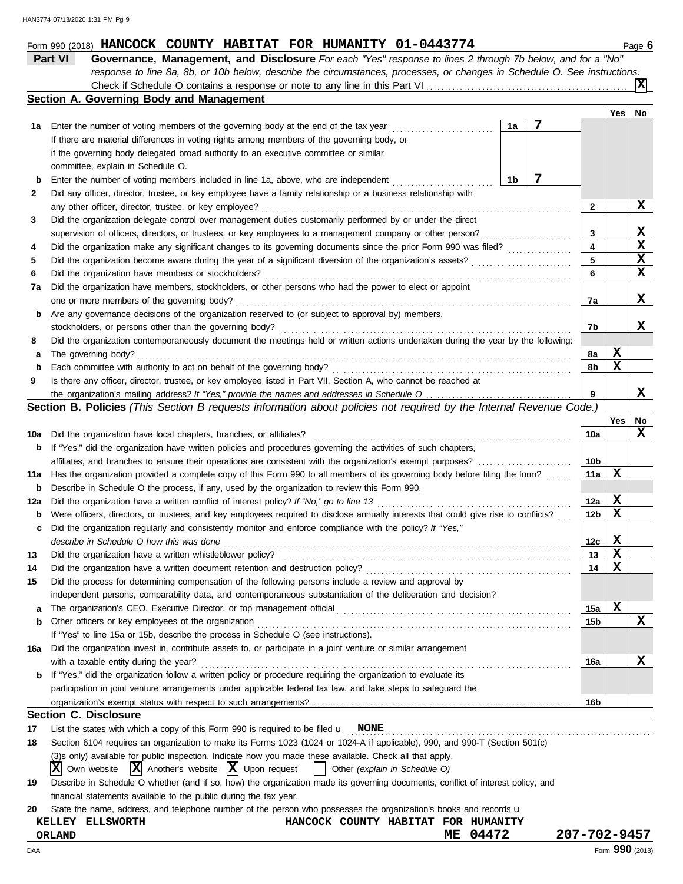|     | Form 990 (2018) HANCOCK COUNTY HABITAT FOR HUMANITY 01-0443774                                                                      |    |   |                 |             | Page 6      |
|-----|-------------------------------------------------------------------------------------------------------------------------------------|----|---|-----------------|-------------|-------------|
|     | Part VI<br>Governance, Management, and Disclosure For each "Yes" response to lines 2 through 7b below, and for a "No"               |    |   |                 |             |             |
|     | response to line 8a, 8b, or 10b below, describe the circumstances, processes, or changes in Schedule O. See instructions.           |    |   |                 |             |             |
|     |                                                                                                                                     |    |   |                 |             | ΙXΙ         |
|     | <b>Section A. Governing Body and Management</b>                                                                                     |    |   |                 |             |             |
|     |                                                                                                                                     |    |   |                 | Yes         | No          |
| 1a  | Enter the number of voting members of the governing body at the end of the tax year                                                 | 1a | 7 |                 |             |             |
|     | If there are material differences in voting rights among members of the governing body, or                                          |    |   |                 |             |             |
|     | if the governing body delegated broad authority to an executive committee or similar                                                |    |   |                 |             |             |
|     | committee, explain in Schedule O.                                                                                                   |    |   |                 |             |             |
| b   | Enter the number of voting members included in line 1a, above, who are independent                                                  | 1b | 7 |                 |             |             |
| 2   | Did any officer, director, trustee, or key employee have a family relationship or a business relationship with                      |    |   |                 |             |             |
|     | any other officer, director, trustee, or key employee?                                                                              |    |   | 2               |             | X           |
| 3   | Did the organization delegate control over management duties customarily performed by or under the direct                           |    |   |                 |             |             |
|     | supervision of officers, directors, or trustees, or key employees to a management company or other person?                          |    |   | 3               |             | X           |
| 4   | Did the organization make any significant changes to its governing documents since the prior Form 990 was filed?                    |    |   | 4               |             | $\mathbf x$ |
| 5   | Did the organization become aware during the year of a significant diversion of the organization's assets?                          |    |   | 5               |             | $\mathbf x$ |
| 6   | Did the organization have members or stockholders?                                                                                  |    |   | 6               |             | X           |
| 7a  | Did the organization have members, stockholders, or other persons who had the power to elect or appoint                             |    |   |                 |             |             |
|     | one or more members of the governing body?                                                                                          |    |   | 7a              |             | X           |
| b   | Are any governance decisions of the organization reserved to (or subject to approval by) members,                                   |    |   |                 |             |             |
|     | stockholders, or persons other than the governing body?                                                                             |    |   | 7b              |             | x           |
| 8   | Did the organization contemporaneously document the meetings held or written actions undertaken during the year by the following:   |    |   |                 |             |             |
| а   | The governing body?                                                                                                                 |    |   | 8а              | X           |             |
| b   |                                                                                                                                     |    |   | 8b              | X           |             |
| 9   | Is there any officer, director, trustee, or key employee listed in Part VII, Section A, who cannot be reached at                    |    |   |                 |             |             |
|     |                                                                                                                                     |    |   | 9               |             | x           |
|     | Section B. Policies (This Section B requests information about policies not required by the Internal Revenue Code.)                 |    |   |                 |             |             |
|     |                                                                                                                                     |    |   |                 |             |             |
|     |                                                                                                                                     |    |   |                 | Yes         | No          |
| 10a | Did the organization have local chapters, branches, or affiliates?                                                                  |    |   | 10a             |             | x           |
| b   | If "Yes," did the organization have written policies and procedures governing the activities of such chapters,                      |    |   |                 |             |             |
|     |                                                                                                                                     |    |   | 10b             |             |             |
| 11a | Has the organization provided a complete copy of this Form 990 to all members of its governing body before filing the form?         |    |   | 11a             | X           |             |
| b   | Describe in Schedule O the process, if any, used by the organization to review this Form 990.                                       |    |   |                 |             |             |
| 12a |                                                                                                                                     |    |   | 12a             | X           |             |
| b   | Were officers, directors, or trustees, and key employees required to disclose annually interests that could give rise to conflicts? |    |   | 12 <sub>b</sub> | X           |             |
| c   | Did the organization regularly and consistently monitor and enforce compliance with the policy? If "Yes,"                           |    |   |                 |             |             |
|     | describe in Schedule O how this was done                                                                                            |    |   | 12c             | $\mathbf x$ |             |
| 13  | Did the organization have a written whistleblower policy?                                                                           |    |   | 13              | X           |             |
| 14  | Did the organization have a written document retention and destruction policy?                                                      |    |   | 14              | X           |             |
| 15  | Did the process for determining compensation of the following persons include a review and approval by                              |    |   |                 |             |             |
|     | independent persons, comparability data, and contemporaneous substantiation of the deliberation and decision?                       |    |   |                 |             |             |
| а   | The organization's CEO, Executive Director, or top management official                                                              |    |   | 15a             | X           |             |
| b   | Other officers or key employees of the organization                                                                                 |    |   | 15b             |             | X           |
|     | If "Yes" to line 15a or 15b, describe the process in Schedule O (see instructions).                                                 |    |   |                 |             |             |
| 16a | Did the organization invest in, contribute assets to, or participate in a joint venture or similar arrangement                      |    |   |                 |             |             |
|     | with a taxable entity during the year?                                                                                              |    |   | 16a             |             | X           |
| b   | If "Yes," did the organization follow a written policy or procedure requiring the organization to evaluate its                      |    |   |                 |             |             |
|     | participation in joint venture arrangements under applicable federal tax law, and take steps to safeguard the                       |    |   |                 |             |             |
|     |                                                                                                                                     |    |   | 16b             |             |             |
|     | <b>Section C. Disclosure</b>                                                                                                        |    |   |                 |             |             |
| 17  | List the states with which a copy of this Form 990 is required to be filed $\mathbf{u}$ NONE                                        |    |   |                 |             |             |
| 18  | Section 6104 requires an organization to make its Forms 1023 (1024 or 1024-A if applicable), 990, and 990-T (Section 501(c)         |    |   |                 |             |             |

 $\overline{X}$  Own website  $\overline{X}$  Another's website  $\overline{X}$  Upon request Other *(explain in Schedule O)*

**19** Describe in Schedule O whether (and if so, how) the organization made its governing documents, conflict of interest policy, and financial statements available to the public during the tax year.

**20** State the name, address, and telephone number of the person who possesses the organization's books and records u

# **KELLEY ELLSWORTH HANCOCK COUNTY HABITAT FOR HUMANITY ORLAND ME**  $04472$  **207-702-9457**<br>AA Form **990** (2018)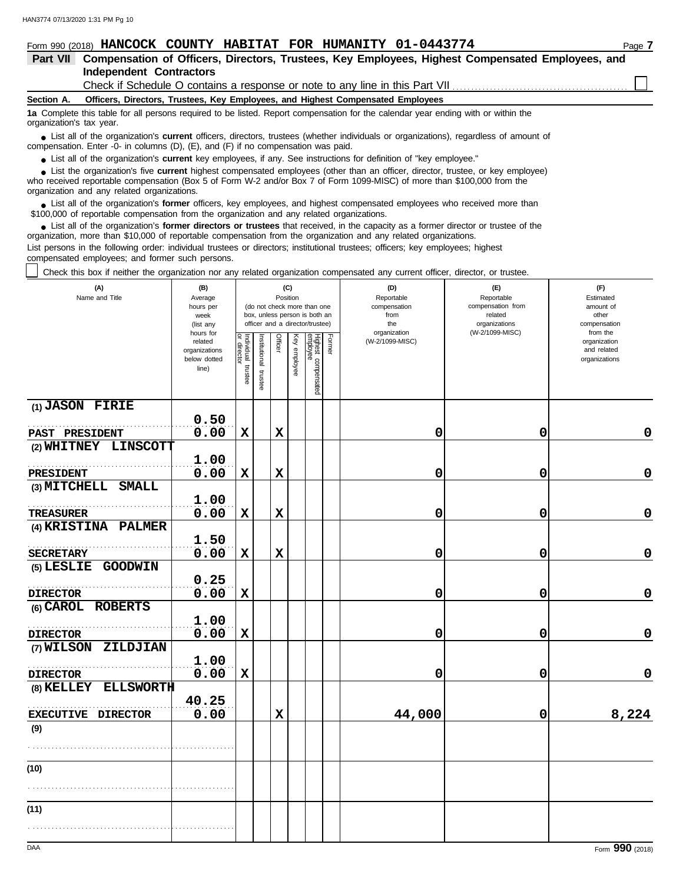### **Form 990 (2018) HANCOCK COUNTY HABITAT FOR HUMANITY 01-0443774** Page 7

| Part VII Compensation of Officers, Directors, Trustees, Key Employees, Highest Compensated Employees, and |  |
|-----------------------------------------------------------------------------------------------------------|--|
| Independent Contractors                                                                                   |  |
|                                                                                                           |  |

Check if Schedule O contains a response or note to any line in this Part VII.

#### **Section A. Officers, Directors, Trustees, Key Employees, and Highest Compensated Employees**

**1a** Complete this table for all persons required to be listed. Report compensation for the calendar year ending with or within the organization's tax year.

■ List all of the organization's **current** officers, directors, trustees (whether individuals or organizations), regardless of amount of compensation. Enter -0- in columns (D), (E), and (F) if no compensation was paid.

● List all of the organization's **current** key employees, if any. See instructions for definition of "key employee."

who received reportable compensation (Box 5 of Form W-2 and/or Box 7 of Form 1099-MISC) of more than \$100,000 from the organization and any related organizations. ■ List the organization's five **current** highest compensated employees (other than an officer, director, trustee, or key employee)<br> **•** Preceived reportable compensation (Box 5 of Form M/-2 and/or Box 7 of Form 1099-MISC)

■ List all of the organization's **former** officers, key employees, and highest compensated employees who received more than<br>00,000 of reportable compensation from the organization and any related organizations \$100,000 of reportable compensation from the organization and any related organizations.

■ List all of the organization's **former directors or trustees** that received, in the capacity as a former director or trustee of the properties and any related organizations organization, more than \$10,000 of reportable compensation from the organization and any related organizations.

List persons in the following order: individual trustees or directors; institutional trustees; officers; key employees; highest compensated employees; and former such persons.

Check this box if neither the organization nor any related organization compensated any current officer, director, or trustee.

| (A)<br>Name and Title                  | (B)<br>Average<br>hours per<br>week<br>(list any               |                    | (C)<br>Position<br>(do not check more than one<br>box, unless person is both an<br>officer and a director/trustee) |                |              |                                 |        | (D)<br>Reportable<br>compensation<br>from<br>the | (E)<br>Reportable<br>compensation from<br>related<br>organizations | (F)<br>Estimated<br>amount of<br>other<br>compensation   |
|----------------------------------------|----------------------------------------------------------------|--------------------|--------------------------------------------------------------------------------------------------------------------|----------------|--------------|---------------------------------|--------|--------------------------------------------------|--------------------------------------------------------------------|----------------------------------------------------------|
|                                        | hours for<br>related<br>organizations<br>below dotted<br>line) | Individual trustee | nstitutional<br>trustee                                                                                            | <b>Officer</b> | Key employee | Highest compensated<br>employee | Former | organization<br>(W-2/1099-MISC)                  | (W-2/1099-MISC)                                                    | from the<br>organization<br>and related<br>organizations |
| (1) JASON FIRIE                        |                                                                |                    |                                                                                                                    |                |              |                                 |        |                                                  |                                                                    |                                                          |
|                                        | 0.50                                                           |                    |                                                                                                                    |                |              |                                 |        |                                                  |                                                                    |                                                          |
| PAST PRESIDENT<br>(2) WHITNEY LINSCOTT | 0.00                                                           | $\mathbf x$        |                                                                                                                    | $\mathbf x$    |              |                                 |        | 0                                                | 0                                                                  | 0                                                        |
|                                        | 1.00                                                           |                    |                                                                                                                    |                |              |                                 |        |                                                  |                                                                    |                                                          |
| <b>PRESIDENT</b>                       | 0.00                                                           | $\mathbf x$        |                                                                                                                    | $\mathbf x$    |              |                                 |        | 0                                                | 0                                                                  | $\mathbf 0$                                              |
| (3) MITCHELL<br><b>SMALL</b>           |                                                                |                    |                                                                                                                    |                |              |                                 |        |                                                  |                                                                    |                                                          |
|                                        | 1.00                                                           |                    |                                                                                                                    |                |              |                                 |        |                                                  |                                                                    |                                                          |
| <b>TREASURER</b>                       | 0.00                                                           | $\mathbf x$        |                                                                                                                    | $\mathbf x$    |              |                                 |        | 0                                                | 0                                                                  | $\mathbf 0$                                              |
| (4) KRISTINA PALMER                    |                                                                |                    |                                                                                                                    |                |              |                                 |        |                                                  |                                                                    |                                                          |
|                                        | 1.50                                                           |                    |                                                                                                                    |                |              |                                 |        |                                                  |                                                                    |                                                          |
| <b>SECRETARY</b>                       | 0.00                                                           | $\mathbf x$        |                                                                                                                    | $\mathbf x$    |              |                                 |        | 0                                                | 0                                                                  | $\mathbf 0$                                              |
| (5) LESLIE GOODWIN                     |                                                                |                    |                                                                                                                    |                |              |                                 |        |                                                  |                                                                    |                                                          |
|                                        | 0.25                                                           |                    |                                                                                                                    |                |              |                                 |        |                                                  |                                                                    | $\mathbf 0$                                              |
| <b>DIRECTOR</b><br>(6) CAROL ROBERTS   | 0.00                                                           | $\mathbf x$        |                                                                                                                    |                |              |                                 |        | 0                                                | 0                                                                  |                                                          |
|                                        | 1.00                                                           |                    |                                                                                                                    |                |              |                                 |        |                                                  |                                                                    |                                                          |
| <b>DIRECTOR</b>                        | 0.00                                                           | $\mathbf x$        |                                                                                                                    |                |              |                                 |        | 0                                                | 0                                                                  | $\mathbf 0$                                              |
| (7) WILSON<br>ZILDJIAN                 |                                                                |                    |                                                                                                                    |                |              |                                 |        |                                                  |                                                                    |                                                          |
|                                        | 1.00                                                           |                    |                                                                                                                    |                |              |                                 |        |                                                  |                                                                    |                                                          |
| <b>DIRECTOR</b>                        | 0.00                                                           | $\mathbf x$        |                                                                                                                    |                |              |                                 |        | 0                                                | 0                                                                  | $\mathbf 0$                                              |
| (8) KELLEY ELLSWORTH                   |                                                                |                    |                                                                                                                    |                |              |                                 |        |                                                  |                                                                    |                                                          |
|                                        | 40.25                                                          |                    |                                                                                                                    |                |              |                                 |        |                                                  |                                                                    |                                                          |
| EXECUTIVE DIRECTOR                     | 0.00                                                           |                    |                                                                                                                    | $\mathbf x$    |              |                                 |        | 44,000                                           | 0                                                                  | 8,224                                                    |
| (9)                                    |                                                                |                    |                                                                                                                    |                |              |                                 |        |                                                  |                                                                    |                                                          |
|                                        |                                                                |                    |                                                                                                                    |                |              |                                 |        |                                                  |                                                                    |                                                          |
| (10)                                   |                                                                |                    |                                                                                                                    |                |              |                                 |        |                                                  |                                                                    |                                                          |
|                                        |                                                                |                    |                                                                                                                    |                |              |                                 |        |                                                  |                                                                    |                                                          |
| (11)                                   |                                                                |                    |                                                                                                                    |                |              |                                 |        |                                                  |                                                                    |                                                          |
|                                        |                                                                |                    |                                                                                                                    |                |              |                                 |        |                                                  |                                                                    |                                                          |
|                                        |                                                                |                    |                                                                                                                    |                |              |                                 |        |                                                  |                                                                    |                                                          |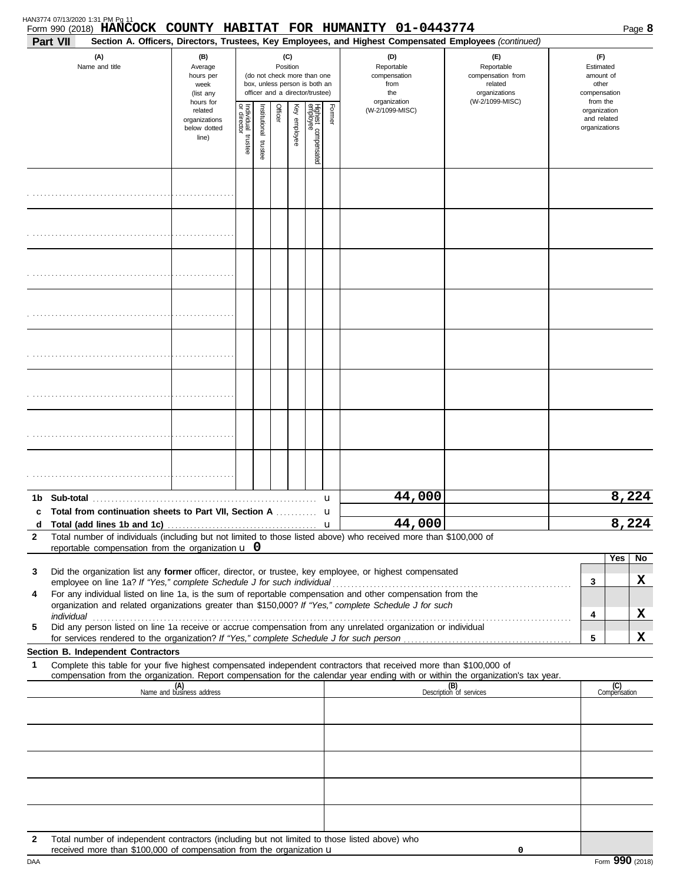| <b>Part VII</b> |                                                                                                                                                                       |                                                                |                                                                                                                    |                          |         |              |                                 |        | Form 990 (2018) HANCOCK COUNTY HABITAT FOR HUMANITY 01-0443774<br>Section A. Officers, Directors, Trustees, Key Employees, and Highest Compensated Employees (continued)                                             |                                                                                                  |                                                                    |                                              | Page 8         |
|-----------------|-----------------------------------------------------------------------------------------------------------------------------------------------------------------------|----------------------------------------------------------------|--------------------------------------------------------------------------------------------------------------------|--------------------------|---------|--------------|---------------------------------|--------|----------------------------------------------------------------------------------------------------------------------------------------------------------------------------------------------------------------------|--------------------------------------------------------------------------------------------------|--------------------------------------------------------------------|----------------------------------------------|----------------|
|                 | (A)<br>Name and title                                                                                                                                                 | (B)<br>Average<br>hours per<br>week<br>(list any               | (C)<br>Position<br>(do not check more than one<br>box, unless person is both an<br>officer and a director/trustee) |                          |         |              |                                 |        | (D)<br>Reportable<br>compensation<br>from<br>the<br>organization                                                                                                                                                     | $(\mathsf{F})$<br>Reportable<br>compensation from<br>related<br>organizations<br>(W-2/1099-MISC) | (F)<br>Estimated<br>amount of<br>other<br>compensation<br>from the |                                              |                |
|                 |                                                                                                                                                                       | hours for<br>related<br>organizations<br>below dotted<br>line) | Individual 1<br>trustee                                                                                            | Institutional<br>trustee | Officer | Key employee | Highest compensated<br>employee | Former | (W-2/1099-MISC)                                                                                                                                                                                                      |                                                                                                  |                                                                    | organization<br>and related<br>organizations |                |
|                 |                                                                                                                                                                       |                                                                |                                                                                                                    |                          |         |              |                                 |        |                                                                                                                                                                                                                      |                                                                                                  |                                                                    |                                              |                |
|                 |                                                                                                                                                                       |                                                                |                                                                                                                    |                          |         |              |                                 |        |                                                                                                                                                                                                                      |                                                                                                  |                                                                    |                                              |                |
|                 |                                                                                                                                                                       |                                                                |                                                                                                                    |                          |         |              |                                 |        |                                                                                                                                                                                                                      |                                                                                                  |                                                                    |                                              |                |
|                 |                                                                                                                                                                       |                                                                |                                                                                                                    |                          |         |              |                                 |        |                                                                                                                                                                                                                      |                                                                                                  |                                                                    |                                              |                |
|                 |                                                                                                                                                                       |                                                                |                                                                                                                    |                          |         |              |                                 |        |                                                                                                                                                                                                                      |                                                                                                  |                                                                    |                                              |                |
|                 |                                                                                                                                                                       |                                                                |                                                                                                                    |                          |         |              |                                 |        |                                                                                                                                                                                                                      |                                                                                                  |                                                                    |                                              |                |
|                 |                                                                                                                                                                       |                                                                |                                                                                                                    |                          |         |              |                                 |        |                                                                                                                                                                                                                      |                                                                                                  |                                                                    |                                              |                |
|                 |                                                                                                                                                                       |                                                                |                                                                                                                    |                          |         |              |                                 |        |                                                                                                                                                                                                                      |                                                                                                  |                                                                    |                                              |                |
|                 | Total from continuation sheets to Part VII, Section A  u                                                                                                              |                                                                |                                                                                                                    |                          |         |              |                                 | u      | 44,000                                                                                                                                                                                                               |                                                                                                  |                                                                    |                                              | 8,224          |
| d               |                                                                                                                                                                       |                                                                |                                                                                                                    |                          |         |              |                                 |        | 44,000                                                                                                                                                                                                               |                                                                                                  |                                                                    |                                              | 8,224          |
| 2               | reportable compensation from the organization $\bf{u}$ 0                                                                                                              |                                                                |                                                                                                                    |                          |         |              |                                 |        | Total number of individuals (including but not limited to those listed above) who received more than \$100,000 of                                                                                                    |                                                                                                  |                                                                    |                                              |                |
| 3               |                                                                                                                                                                       |                                                                |                                                                                                                    |                          |         |              |                                 |        |                                                                                                                                                                                                                      |                                                                                                  |                                                                    | <b>Yes</b>                                   | $\overline{N}$ |
|                 |                                                                                                                                                                       |                                                                |                                                                                                                    |                          |         |              |                                 |        | Did the organization list any former officer, director, or trustee, key employee, or highest compensated                                                                                                             |                                                                                                  |                                                                    | 3                                            | X              |
| 4               |                                                                                                                                                                       |                                                                |                                                                                                                    |                          |         |              |                                 |        | For any individual listed on line 1a, is the sum of reportable compensation and other compensation from the<br>organization and related organizations greater than \$150,000? If "Yes," complete Schedule J for such |                                                                                                  |                                                                    |                                              |                |
| 5               |                                                                                                                                                                       |                                                                |                                                                                                                    |                          |         |              |                                 |        | individual<br>Did any person listed on line 1a receive or accrue compensation from any unrelated organization or individual                                                                                          |                                                                                                  |                                                                    | 4                                            | X              |
|                 |                                                                                                                                                                       |                                                                |                                                                                                                    |                          |         |              |                                 |        |                                                                                                                                                                                                                      |                                                                                                  |                                                                    | 5                                            | X              |
| 1               | Section B. Independent Contractors                                                                                                                                    |                                                                |                                                                                                                    |                          |         |              |                                 |        | Complete this table for your five highest compensated independent contractors that received more than \$100,000 of                                                                                                   |                                                                                                  |                                                                    |                                              |                |
|                 |                                                                                                                                                                       |                                                                |                                                                                                                    |                          |         |              |                                 |        | compensation from the organization. Report compensation for the calendar year ending with or within the organization's tax year.                                                                                     |                                                                                                  |                                                                    |                                              |                |
|                 |                                                                                                                                                                       | (A)<br>Name and business address                               |                                                                                                                    |                          |         |              |                                 |        |                                                                                                                                                                                                                      | (B)<br>Description of services                                                                   |                                                                    | (C)<br>Compensation                          |                |
|                 |                                                                                                                                                                       |                                                                |                                                                                                                    |                          |         |              |                                 |        |                                                                                                                                                                                                                      |                                                                                                  |                                                                    |                                              |                |
|                 |                                                                                                                                                                       |                                                                |                                                                                                                    |                          |         |              |                                 |        |                                                                                                                                                                                                                      |                                                                                                  |                                                                    |                                              |                |
|                 |                                                                                                                                                                       |                                                                |                                                                                                                    |                          |         |              |                                 |        |                                                                                                                                                                                                                      |                                                                                                  |                                                                    |                                              |                |
|                 |                                                                                                                                                                       |                                                                |                                                                                                                    |                          |         |              |                                 |        |                                                                                                                                                                                                                      |                                                                                                  |                                                                    |                                              |                |
| 2               | Total number of independent contractors (including but not limited to those listed above) who<br>received more than \$100,000 of compensation from the organization u |                                                                |                                                                                                                    |                          |         |              |                                 |        |                                                                                                                                                                                                                      | 0                                                                                                |                                                                    |                                              |                |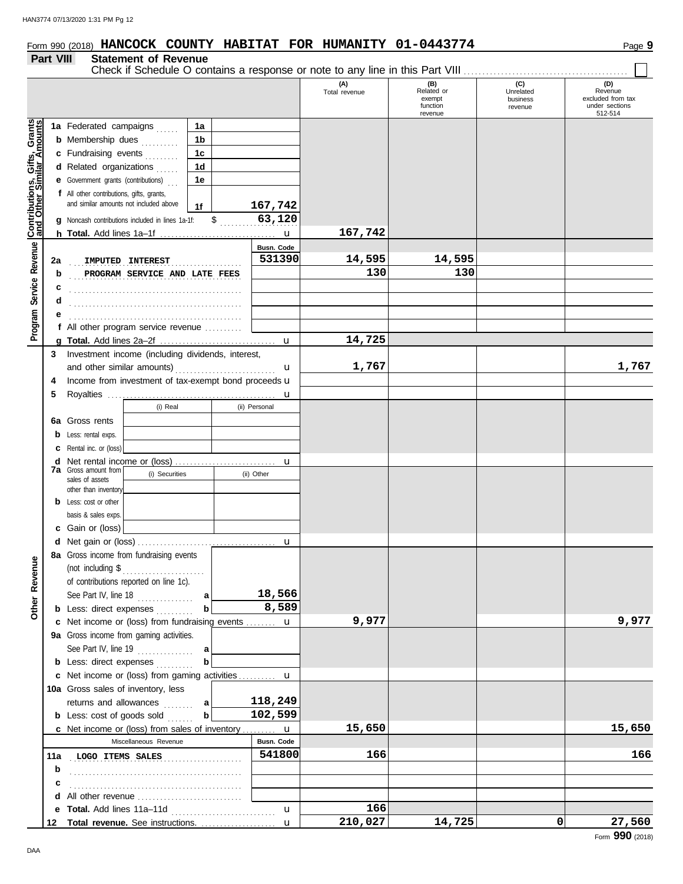### **Form 990 (2018) HANCOCK COUNTY HABITAT FOR HUMANITY 01-0443774** Page 9

#### **Part VIII Statement of Revenue**

Check if Schedule O contains a response or note to any line in this Part VIII . . . . . . . . . . . . . . . . . . . . . . . . . . . . . . . . . . . . . . . . . . . .

|                                                     |     |                                                                |                   | (A)<br>Total revenue | (B)<br>Related or<br>exempt | (C)<br>Unrelated<br>business | (D)<br>Revenue<br>excluded from tax |
|-----------------------------------------------------|-----|----------------------------------------------------------------|-------------------|----------------------|-----------------------------|------------------------------|-------------------------------------|
|                                                     |     |                                                                |                   |                      | function<br>revenue         | revenue                      | under sections<br>512-514           |
|                                                     |     | 1a Federated campaigns<br>1a                                   |                   |                      |                             |                              |                                     |
|                                                     |     | <b>b</b> Membership dues<br>1b                                 |                   |                      |                             |                              |                                     |
| Service Revenue <b>Contributions, Gifts, Grants</b> |     | c Fundraising events<br>1 <sub>c</sub>                         |                   |                      |                             |                              |                                     |
|                                                     |     | 1 <sub>d</sub><br>d Related organizations                      |                   |                      |                             |                              |                                     |
|                                                     |     | 1e<br><b>e</b> Government grants (contributions)               |                   |                      |                             |                              |                                     |
|                                                     |     | f All other contributions, gifts, grants,                      |                   |                      |                             |                              |                                     |
|                                                     |     | and similar amounts not included above<br>1f                   | 167,742           |                      |                             |                              |                                     |
|                                                     |     | g Noncash contributions included in lines 1a-1f:               | \$3,120           |                      |                             |                              |                                     |
|                                                     |     |                                                                |                   | 167,742              |                             |                              |                                     |
|                                                     |     |                                                                | <b>Busn. Code</b> |                      |                             |                              |                                     |
|                                                     | 2a  | <b>IMPUTED INTEREST</b>                                        | 531390            | 14,595               | 14,595                      |                              |                                     |
|                                                     | b   | PROGRAM SERVICE AND LATE FEES                                  |                   | 130                  | 130                         |                              |                                     |
|                                                     | c   |                                                                |                   |                      |                             |                              |                                     |
|                                                     | d   |                                                                |                   |                      |                             |                              |                                     |
|                                                     |     |                                                                |                   |                      |                             |                              |                                     |
| Program                                             |     | f All other program service revenue                            |                   |                      |                             |                              |                                     |
|                                                     |     |                                                                | $\mathbf{u}$      | 14,725               |                             |                              |                                     |
|                                                     | 3   | Investment income (including dividends, interest,              |                   |                      |                             |                              |                                     |
|                                                     |     |                                                                | u                 | 1,767                |                             |                              | 1,767                               |
|                                                     | 4   | Income from investment of tax-exempt bond proceeds u           |                   |                      |                             |                              |                                     |
|                                                     | 5   |                                                                | u                 |                      |                             |                              |                                     |
|                                                     |     | (i) Real                                                       | (ii) Personal     |                      |                             |                              |                                     |
|                                                     | 6а  | Gross rents                                                    |                   |                      |                             |                              |                                     |
|                                                     |     | Less: rental exps.                                             |                   |                      |                             |                              |                                     |
|                                                     |     | Rental inc. or (loss)                                          |                   |                      |                             |                              |                                     |
|                                                     | d   |                                                                | u                 |                      |                             |                              |                                     |
|                                                     |     | <b>7a</b> Gross amount from<br>(i) Securities                  | (ii) Other        |                      |                             |                              |                                     |
|                                                     |     | sales of assets<br>other than inventory                        |                   |                      |                             |                              |                                     |
|                                                     |     | Less: cost or other                                            |                   |                      |                             |                              |                                     |
|                                                     |     | basis & sales exps.                                            |                   |                      |                             |                              |                                     |
|                                                     |     | <b>c</b> Gain or (loss)                                        |                   |                      |                             |                              |                                     |
|                                                     |     |                                                                |                   |                      |                             |                              |                                     |
|                                                     |     | 8a Gross income from fundraising events                        |                   |                      |                             |                              |                                     |
| enue                                                |     |                                                                |                   |                      |                             |                              |                                     |
|                                                     |     | of contributions reported on line 1c).                         |                   |                      |                             |                              |                                     |
|                                                     |     | See Part IV, line $18$<br>a                                    | 18,566            |                      |                             |                              |                                     |
| Other Rev                                           |     | <b>b</b> Less: direct expenses<br>b                            | 8,589             |                      |                             |                              |                                     |
|                                                     |     | c Net income or (loss) from fundraising events  u              |                   | 9,977                |                             |                              | 9,977                               |
|                                                     |     | 9a Gross income from gaming activities.                        |                   |                      |                             |                              |                                     |
|                                                     |     | See Part IV, line 19 $\ldots$<br>a                             |                   |                      |                             |                              |                                     |
|                                                     |     | b<br><b>b</b> Less: direct expenses                            |                   |                      |                             |                              |                                     |
|                                                     |     | c Net income or (loss) from gaming activities  u               |                   |                      |                             |                              |                                     |
|                                                     |     | 10a Gross sales of inventory, less                             |                   |                      |                             |                              |                                     |
|                                                     |     | returns and allowances<br>аl                                   | 118,249           |                      |                             |                              |                                     |
|                                                     |     | $\mathbf b$<br><b>b</b> Less: cost of goods sold               | 102,599           |                      |                             |                              |                                     |
|                                                     |     | <b>c</b> Net income or (loss) from sales of inventory <b>u</b> |                   | 15,650               |                             |                              | 15,650                              |
|                                                     |     | Miscellaneous Revenue                                          | Busn. Code        |                      |                             |                              |                                     |
|                                                     | 11a | LOGO ITEMS SALES                                               | 541800            | 166                  |                             |                              | 166                                 |
|                                                     | b   |                                                                |                   |                      |                             |                              |                                     |
|                                                     | с   |                                                                |                   |                      |                             |                              |                                     |
|                                                     |     | d All other revenue                                            |                   |                      |                             |                              |                                     |
|                                                     |     |                                                                | $\mathbf{u}$      | 166                  |                             |                              |                                     |
|                                                     |     | 12 Total revenue. See instructions.                            | $\mathbf{u}$      | 210,027              | 14,725                      | 0                            | 27,560                              |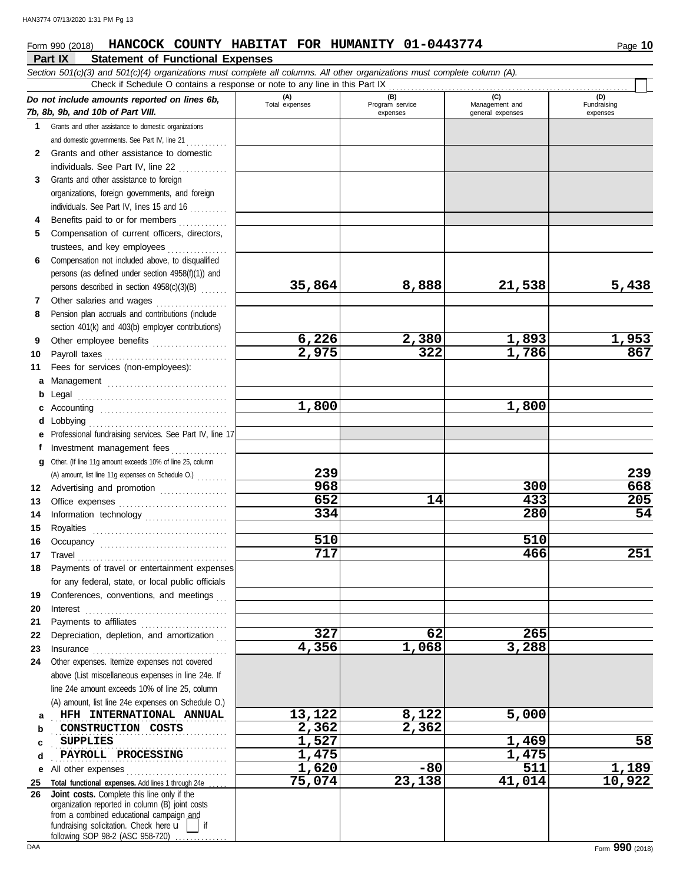### **Form 990 (2018) HANCOCK COUNTY HABITAT FOR HUMANITY 01-0443774** Page 10

|              | Part IX<br><b>Statement of Functional Expenses</b>                                                                         |                       |                        |                       |                     |
|--------------|----------------------------------------------------------------------------------------------------------------------------|-----------------------|------------------------|-----------------------|---------------------|
|              | Section 501(c)(3) and 501(c)(4) organizations must complete all columns. All other organizations must complete column (A). |                       |                        |                       |                     |
|              | Check if Schedule O contains a response or note to any line in this Part IX                                                |                       |                        |                       |                     |
|              | Do not include amounts reported on lines 6b,                                                                               | (A)<br>Total expenses | (B)<br>Program service | (C)<br>Management and | (D)<br>Fundraising  |
|              | 7b, 8b, 9b, and 10b of Part VIII.                                                                                          |                       | expenses               | general expenses      | expenses            |
| 1.           | Grants and other assistance to domestic organizations                                                                      |                       |                        |                       |                     |
|              | and domestic governments. See Part IV, line 21                                                                             |                       |                        |                       |                     |
| $\mathbf{2}$ | Grants and other assistance to domestic                                                                                    |                       |                        |                       |                     |
|              | individuals. See Part IV, line 22<br><u>.</u><br>.                                                                         |                       |                        |                       |                     |
| 3            | Grants and other assistance to foreign                                                                                     |                       |                        |                       |                     |
|              | organizations, foreign governments, and foreign                                                                            |                       |                        |                       |                     |
|              | individuals. See Part IV, lines 15 and 16                                                                                  |                       |                        |                       |                     |
| 4            | Benefits paid to or for members                                                                                            |                       |                        |                       |                     |
| 5            | Compensation of current officers, directors,                                                                               |                       |                        |                       |                     |
| 6            | trustees, and key employees<br>Compensation not included above, to disqualified                                            |                       |                        |                       |                     |
|              | persons (as defined under section 4958(f)(1)) and                                                                          |                       |                        |                       |                     |
|              | persons described in section 4958(c)(3)(B)                                                                                 | 35,864                | 8,888                  | 21,538                | 5,438               |
| 7            |                                                                                                                            |                       |                        |                       |                     |
| 8            | Pension plan accruals and contributions (include                                                                           |                       |                        |                       |                     |
|              | section 401(k) and 403(b) employer contributions)                                                                          |                       |                        |                       |                     |
| 9            | Other employee benefits                                                                                                    | 6,226                 | 2,380                  | 1,893                 |                     |
| 10           |                                                                                                                            | 2,975                 | 322                    | 1,786                 | $\frac{1,953}{867}$ |
| 11           | Fees for services (non-employees):                                                                                         |                       |                        |                       |                     |
| а            | Management                                                                                                                 |                       |                        |                       |                     |
| b            |                                                                                                                            |                       |                        |                       |                     |
| c            | Accounting                                                                                                                 | 1,800                 |                        | 1,800                 |                     |
| d            |                                                                                                                            |                       |                        |                       |                     |
| е            | Professional fundraising services. See Part IV, line 17                                                                    |                       |                        |                       |                     |
| f            | Investment management fees                                                                                                 |                       |                        |                       |                     |
| a            | Other. (If line 11g amount exceeds 10% of line 25, column                                                                  |                       |                        |                       |                     |
|              | (A) amount, list line 11g expenses on Schedule O.)                                                                         | 239                   |                        |                       | 239                 |
| 12           | Advertising and promotion                                                                                                  | 968                   |                        | 300                   | 668                 |
| 13           |                                                                                                                            | 652                   | 14                     | 433                   | 205                 |
| 14           | Information technology                                                                                                     | 334                   |                        | 280                   | 54                  |
| 15           |                                                                                                                            |                       |                        |                       |                     |
| 16           |                                                                                                                            | 510                   |                        | 510                   |                     |
|              | 17 Travel                                                                                                                  | 717                   |                        | 466                   | 251                 |
| 18           | Payments of travel or entertainment expenses                                                                               |                       |                        |                       |                     |
|              | for any federal, state, or local public officials                                                                          |                       |                        |                       |                     |
| 19           | Conferences, conventions, and meetings                                                                                     |                       |                        |                       |                     |
| 20           |                                                                                                                            |                       |                        |                       |                     |
| 21           | Payments to affiliates [11] [11] Payments to affiliates                                                                    | 327                   | 62                     | 265                   |                     |
| 22           | Depreciation, depletion, and amortization                                                                                  | 4,356                 | 1,068                  | 3,288                 |                     |
| 23<br>24     | Other expenses. Itemize expenses not covered                                                                               |                       |                        |                       |                     |
|              | above (List miscellaneous expenses in line 24e. If                                                                         |                       |                        |                       |                     |
|              | line 24e amount exceeds 10% of line 25, column                                                                             |                       |                        |                       |                     |
|              | (A) amount, list line 24e expenses on Schedule O.)                                                                         |                       |                        |                       |                     |
| a            | HFH INTERNATIONAL ANNUAL                                                                                                   | 13,122                | 8,122                  | 5,000                 |                     |
| b            | CONSTRUCTION COSTS                                                                                                         | 2,362                 | 2,362                  |                       |                     |
| c            | <b>SUPPLIES</b>                                                                                                            | 1,527                 |                        | 1,469                 | 58                  |
| d            | PAYROLL PROCESSING                                                                                                         | 1,475                 |                        | 1,475                 |                     |
| е            | All other expenses                                                                                                         | 1,620                 | $-80$                  | 511                   | <u>1,189</u>        |
| 25           | Total functional expenses. Add lines 1 through 24e                                                                         | 75,074                | 23,138                 | 41,014                | 10,922              |
| 26           | Joint costs. Complete this line only if the                                                                                |                       |                        |                       |                     |
|              | organization reported in column (B) joint costs<br>from a combined educational campaign and                                |                       |                        |                       |                     |
|              | fundraising solicitation. Check here $\mathbf{u}$<br>- if                                                                  |                       |                        |                       |                     |
|              | following SOP 98-2 (ASC 958-720) $\ldots$                                                                                  |                       |                        |                       |                     |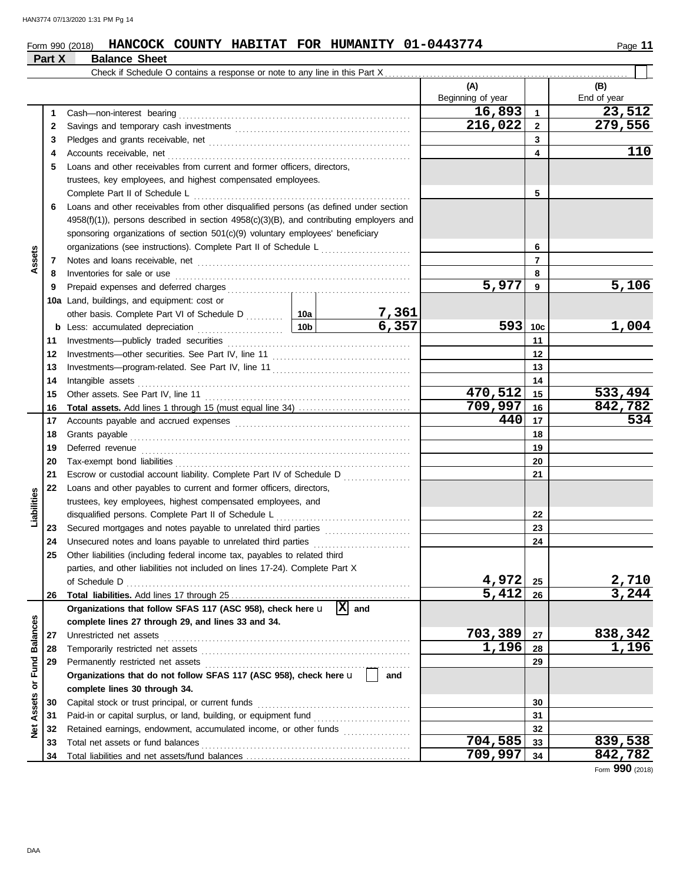#### $F$ orm 990 (2018) **HANCOCK COUNTY HABITAT FOR HUMANITY 01-0443774** Page 11 **HANCOCK COUNTY HABITAT FOR HUMANITY 01-0443774**

|                         | Part X | <b>Balance Sheet</b>                                                                                                                        |     |                       |                          |                       |                    |
|-------------------------|--------|---------------------------------------------------------------------------------------------------------------------------------------------|-----|-----------------------|--------------------------|-----------------------|--------------------|
|                         |        | Check if Schedule O contains a response or note to any line in this Part X                                                                  |     |                       |                          |                       |                    |
|                         |        |                                                                                                                                             |     |                       | (A)<br>Beginning of year |                       | (B)<br>End of year |
|                         | 1      |                                                                                                                                             |     |                       | 16,893                   | $\mathbf{1}$          | 23,512             |
|                         | 2      |                                                                                                                                             |     |                       | 216,022                  | $\mathbf{2}$          | 279,556            |
|                         | 3      |                                                                                                                                             |     |                       |                          | 3                     |                    |
|                         | 4      |                                                                                                                                             |     |                       |                          | 4                     | 110                |
|                         | 5      | Loans and other receivables from current and former officers, directors,                                                                    |     |                       |                          |                       |                    |
|                         |        | trustees, key employees, and highest compensated employees.                                                                                 |     |                       |                          |                       |                    |
|                         |        | Complete Part II of Schedule L                                                                                                              |     |                       |                          | 5                     |                    |
|                         | 6      | Loans and other receivables from other disqualified persons (as defined under section                                                       |     |                       |                          |                       |                    |
|                         |        | $4958(f)(1)$ ), persons described in section $4958(c)(3)(B)$ , and contributing employers and                                               |     |                       |                          |                       |                    |
|                         |        | sponsoring organizations of section 501(c)(9) voluntary employees' beneficiary                                                              |     |                       |                          |                       |                    |
|                         |        |                                                                                                                                             |     |                       |                          | 6                     |                    |
| Assets                  | 7      |                                                                                                                                             |     |                       |                          | $\overline{7}$        |                    |
|                         | 8      | Inventories for sale or use <i>communication</i> and <i>members</i> for sale or use <i>communication</i> and <i>members</i> for sale or use |     |                       |                          | 8                     |                    |
|                         | 9      |                                                                                                                                             |     |                       | 5,977                    | 9                     | 5,106              |
|                         | 10a    | Land, buildings, and equipment: cost or                                                                                                     |     |                       |                          |                       |                    |
|                         |        |                                                                                                                                             |     |                       |                          |                       |                    |
|                         | b      |                                                                                                                                             |     | $\frac{7,361}{6,357}$ | 593                      | 10 <sub>c</sub>       | 1,004              |
|                         | 11     |                                                                                                                                             |     |                       |                          | 11                    |                    |
|                         | 12     |                                                                                                                                             |     |                       |                          | 12                    |                    |
|                         | 13     |                                                                                                                                             |     |                       |                          | 13                    |                    |
|                         | 14     |                                                                                                                                             |     | 14                    |                          |                       |                    |
|                         | 15     |                                                                                                                                             |     | 470,512               | 15                       | 533,494               |                    |
|                         | 16     |                                                                                                                                             |     |                       | 709,997                  | 16                    | 842,782            |
|                         | 17     |                                                                                                                                             | 440 | 17                    | 534                      |                       |                    |
|                         | 18     |                                                                                                                                             |     | 18                    |                          |                       |                    |
|                         | 19     |                                                                                                                                             |     | 19                    |                          |                       |                    |
|                         | 20     |                                                                                                                                             |     | 20                    |                          |                       |                    |
|                         | 21     | Escrow or custodial account liability. Complete Part IV of Schedule D                                                                       |     |                       |                          | 21                    |                    |
|                         | 22     | Loans and other payables to current and former officers, directors,                                                                         |     |                       |                          |                       |                    |
| Liabilities             |        | trustees, key employees, highest compensated employees, and                                                                                 |     |                       |                          |                       |                    |
|                         |        | disqualified persons. Complete Part II of Schedule L                                                                                        |     |                       |                          | 22                    |                    |
|                         | 23     |                                                                                                                                             |     |                       |                          | 23                    |                    |
|                         | 24     | Unsecured notes and loans payable to unrelated third parties                                                                                |     |                       |                          | 24                    |                    |
|                         | 25     | Other liabilities (including federal income tax, payables to related third                                                                  |     |                       |                          |                       |                    |
|                         |        | parties, and other liabilities not included on lines 17-24). Complete Part X                                                                |     |                       |                          |                       |                    |
|                         |        |                                                                                                                                             |     | 4,972                 | 25                       | $\frac{2,710}{3,244}$ |                    |
|                         | 26     |                                                                                                                                             |     |                       | 5,412                    | 26                    |                    |
|                         |        | Organizations that follow SFAS 117 (ASC 958), check here u                                                                                  |     | $ \mathbf{X} $ and    |                          |                       |                    |
|                         |        | complete lines 27 through 29, and lines 33 and 34.                                                                                          |     |                       |                          |                       |                    |
|                         | 27     |                                                                                                                                             |     |                       | 703,389                  | 27                    | 838,342            |
|                         | 28     |                                                                                                                                             |     |                       | 1,196                    | 28                    | 1,196              |
|                         | 29     |                                                                                                                                             |     |                       |                          | 29                    |                    |
|                         |        | Organizations that do not follow SFAS 117 (ASC 958), check here u                                                                           |     | and                   |                          |                       |                    |
| Assets or Fund Balances |        | complete lines 30 through 34.                                                                                                               |     |                       |                          |                       |                    |
|                         | 30     | Capital stock or trust principal, or current funds                                                                                          |     |                       |                          | 30                    |                    |
|                         | 31     |                                                                                                                                             |     |                       |                          | 31                    |                    |
| $\frac{1}{2}$           | 32     | Retained earnings, endowment, accumulated income, or other funds                                                                            |     |                       |                          | 32                    |                    |
|                         | 33     |                                                                                                                                             |     |                       | 704,585                  | 33                    | 839,538            |
|                         | 34     |                                                                                                                                             |     |                       | 709,997                  | 34                    | 842,782            |

Form **990** (2018)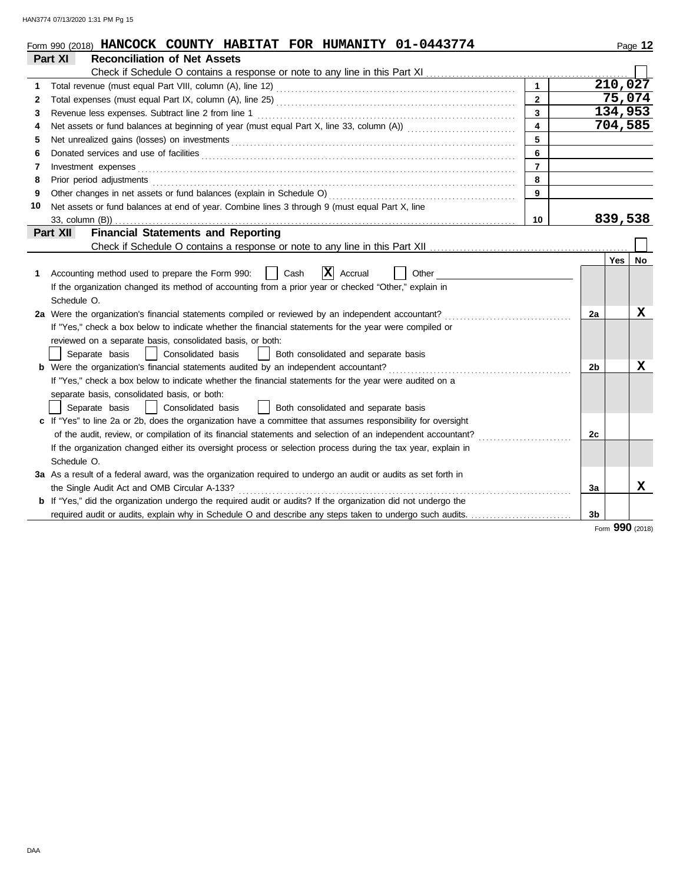| Part XI<br><b>Reconciliation of Net Assets</b><br>210,027<br>$\mathbf{1}$<br>75,074<br>$2^{\circ}$<br>2<br>$\overline{3}$<br>134,953<br>3<br>$\overline{4}$<br>704,585<br>4<br>5<br>5<br>6<br>Donated services and use of facilities [[11] Martin Martin Martin Martin Martin Martin Martin Martin Martin Martin Martin Martin Martin Martin Martin Martin Martin Martin Martin Martin Martin Martin Martin Martin Martin Ma<br>6<br>$\overline{7}$<br>7<br>8<br>Prior period adjustments [11] production and account of the contract of the contract of the contract of the contract of the contract of the contract of the contract of the contract of the contract of the contract of the co<br>8<br>$\overline{9}$<br>9<br>Net assets or fund balances at end of year. Combine lines 3 through 9 (must equal Part X, line<br>10<br>839,538<br>10<br><b>Financial Statements and Reporting</b><br>Part XII<br>Yes<br>$ \mathbf{X} $ Accrual<br>Accounting method used to prepare the Form 990:<br>Cash<br>Other<br>1<br>If the organization changed its method of accounting from a prior year or checked "Other," explain in<br>Schedule O.<br>2a Were the organization's financial statements compiled or reviewed by an independent accountant?<br>2a<br>If "Yes," check a box below to indicate whether the financial statements for the year were compiled or<br>reviewed on a separate basis, consolidated basis, or both:<br>Separate basis<br>  Consolidated basis<br>$\mathbb{R}^n$<br>Both consolidated and separate basis<br>2 <sub>b</sub><br>If "Yes," check a box below to indicate whether the financial statements for the year were audited on a<br>separate basis, consolidated basis, or both: | Page 12 |
|----------------------------------------------------------------------------------------------------------------------------------------------------------------------------------------------------------------------------------------------------------------------------------------------------------------------------------------------------------------------------------------------------------------------------------------------------------------------------------------------------------------------------------------------------------------------------------------------------------------------------------------------------------------------------------------------------------------------------------------------------------------------------------------------------------------------------------------------------------------------------------------------------------------------------------------------------------------------------------------------------------------------------------------------------------------------------------------------------------------------------------------------------------------------------------------------------------------------------------------------------------------------------------------------------------------------------------------------------------------------------------------------------------------------------------------------------------------------------------------------------------------------------------------------------------------------------------------------------------------------------------------------------------------------------------------------------------------------|---------|
|                                                                                                                                                                                                                                                                                                                                                                                                                                                                                                                                                                                                                                                                                                                                                                                                                                                                                                                                                                                                                                                                                                                                                                                                                                                                                                                                                                                                                                                                                                                                                                                                                                                                                                                      |         |
|                                                                                                                                                                                                                                                                                                                                                                                                                                                                                                                                                                                                                                                                                                                                                                                                                                                                                                                                                                                                                                                                                                                                                                                                                                                                                                                                                                                                                                                                                                                                                                                                                                                                                                                      |         |
|                                                                                                                                                                                                                                                                                                                                                                                                                                                                                                                                                                                                                                                                                                                                                                                                                                                                                                                                                                                                                                                                                                                                                                                                                                                                                                                                                                                                                                                                                                                                                                                                                                                                                                                      |         |
|                                                                                                                                                                                                                                                                                                                                                                                                                                                                                                                                                                                                                                                                                                                                                                                                                                                                                                                                                                                                                                                                                                                                                                                                                                                                                                                                                                                                                                                                                                                                                                                                                                                                                                                      |         |
|                                                                                                                                                                                                                                                                                                                                                                                                                                                                                                                                                                                                                                                                                                                                                                                                                                                                                                                                                                                                                                                                                                                                                                                                                                                                                                                                                                                                                                                                                                                                                                                                                                                                                                                      |         |
|                                                                                                                                                                                                                                                                                                                                                                                                                                                                                                                                                                                                                                                                                                                                                                                                                                                                                                                                                                                                                                                                                                                                                                                                                                                                                                                                                                                                                                                                                                                                                                                                                                                                                                                      |         |
|                                                                                                                                                                                                                                                                                                                                                                                                                                                                                                                                                                                                                                                                                                                                                                                                                                                                                                                                                                                                                                                                                                                                                                                                                                                                                                                                                                                                                                                                                                                                                                                                                                                                                                                      |         |
|                                                                                                                                                                                                                                                                                                                                                                                                                                                                                                                                                                                                                                                                                                                                                                                                                                                                                                                                                                                                                                                                                                                                                                                                                                                                                                                                                                                                                                                                                                                                                                                                                                                                                                                      |         |
|                                                                                                                                                                                                                                                                                                                                                                                                                                                                                                                                                                                                                                                                                                                                                                                                                                                                                                                                                                                                                                                                                                                                                                                                                                                                                                                                                                                                                                                                                                                                                                                                                                                                                                                      |         |
|                                                                                                                                                                                                                                                                                                                                                                                                                                                                                                                                                                                                                                                                                                                                                                                                                                                                                                                                                                                                                                                                                                                                                                                                                                                                                                                                                                                                                                                                                                                                                                                                                                                                                                                      |         |
|                                                                                                                                                                                                                                                                                                                                                                                                                                                                                                                                                                                                                                                                                                                                                                                                                                                                                                                                                                                                                                                                                                                                                                                                                                                                                                                                                                                                                                                                                                                                                                                                                                                                                                                      |         |
|                                                                                                                                                                                                                                                                                                                                                                                                                                                                                                                                                                                                                                                                                                                                                                                                                                                                                                                                                                                                                                                                                                                                                                                                                                                                                                                                                                                                                                                                                                                                                                                                                                                                                                                      |         |
|                                                                                                                                                                                                                                                                                                                                                                                                                                                                                                                                                                                                                                                                                                                                                                                                                                                                                                                                                                                                                                                                                                                                                                                                                                                                                                                                                                                                                                                                                                                                                                                                                                                                                                                      |         |
|                                                                                                                                                                                                                                                                                                                                                                                                                                                                                                                                                                                                                                                                                                                                                                                                                                                                                                                                                                                                                                                                                                                                                                                                                                                                                                                                                                                                                                                                                                                                                                                                                                                                                                                      |         |
|                                                                                                                                                                                                                                                                                                                                                                                                                                                                                                                                                                                                                                                                                                                                                                                                                                                                                                                                                                                                                                                                                                                                                                                                                                                                                                                                                                                                                                                                                                                                                                                                                                                                                                                      |         |
|                                                                                                                                                                                                                                                                                                                                                                                                                                                                                                                                                                                                                                                                                                                                                                                                                                                                                                                                                                                                                                                                                                                                                                                                                                                                                                                                                                                                                                                                                                                                                                                                                                                                                                                      | No      |
|                                                                                                                                                                                                                                                                                                                                                                                                                                                                                                                                                                                                                                                                                                                                                                                                                                                                                                                                                                                                                                                                                                                                                                                                                                                                                                                                                                                                                                                                                                                                                                                                                                                                                                                      |         |
|                                                                                                                                                                                                                                                                                                                                                                                                                                                                                                                                                                                                                                                                                                                                                                                                                                                                                                                                                                                                                                                                                                                                                                                                                                                                                                                                                                                                                                                                                                                                                                                                                                                                                                                      |         |
|                                                                                                                                                                                                                                                                                                                                                                                                                                                                                                                                                                                                                                                                                                                                                                                                                                                                                                                                                                                                                                                                                                                                                                                                                                                                                                                                                                                                                                                                                                                                                                                                                                                                                                                      |         |
|                                                                                                                                                                                                                                                                                                                                                                                                                                                                                                                                                                                                                                                                                                                                                                                                                                                                                                                                                                                                                                                                                                                                                                                                                                                                                                                                                                                                                                                                                                                                                                                                                                                                                                                      | X       |
|                                                                                                                                                                                                                                                                                                                                                                                                                                                                                                                                                                                                                                                                                                                                                                                                                                                                                                                                                                                                                                                                                                                                                                                                                                                                                                                                                                                                                                                                                                                                                                                                                                                                                                                      |         |
|                                                                                                                                                                                                                                                                                                                                                                                                                                                                                                                                                                                                                                                                                                                                                                                                                                                                                                                                                                                                                                                                                                                                                                                                                                                                                                                                                                                                                                                                                                                                                                                                                                                                                                                      |         |
|                                                                                                                                                                                                                                                                                                                                                                                                                                                                                                                                                                                                                                                                                                                                                                                                                                                                                                                                                                                                                                                                                                                                                                                                                                                                                                                                                                                                                                                                                                                                                                                                                                                                                                                      |         |
|                                                                                                                                                                                                                                                                                                                                                                                                                                                                                                                                                                                                                                                                                                                                                                                                                                                                                                                                                                                                                                                                                                                                                                                                                                                                                                                                                                                                                                                                                                                                                                                                                                                                                                                      | X       |
|                                                                                                                                                                                                                                                                                                                                                                                                                                                                                                                                                                                                                                                                                                                                                                                                                                                                                                                                                                                                                                                                                                                                                                                                                                                                                                                                                                                                                                                                                                                                                                                                                                                                                                                      |         |
|                                                                                                                                                                                                                                                                                                                                                                                                                                                                                                                                                                                                                                                                                                                                                                                                                                                                                                                                                                                                                                                                                                                                                                                                                                                                                                                                                                                                                                                                                                                                                                                                                                                                                                                      |         |
| Consolidated basis<br>Both consolidated and separate basis<br>Separate basis                                                                                                                                                                                                                                                                                                                                                                                                                                                                                                                                                                                                                                                                                                                                                                                                                                                                                                                                                                                                                                                                                                                                                                                                                                                                                                                                                                                                                                                                                                                                                                                                                                         |         |
| c If "Yes" to line 2a or 2b, does the organization have a committee that assumes responsibility for oversight                                                                                                                                                                                                                                                                                                                                                                                                                                                                                                                                                                                                                                                                                                                                                                                                                                                                                                                                                                                                                                                                                                                                                                                                                                                                                                                                                                                                                                                                                                                                                                                                        |         |
| of the audit, review, or compilation of its financial statements and selection of an independent accountant?<br>2c                                                                                                                                                                                                                                                                                                                                                                                                                                                                                                                                                                                                                                                                                                                                                                                                                                                                                                                                                                                                                                                                                                                                                                                                                                                                                                                                                                                                                                                                                                                                                                                                   |         |
| If the organization changed either its oversight process or selection process during the tax year, explain in                                                                                                                                                                                                                                                                                                                                                                                                                                                                                                                                                                                                                                                                                                                                                                                                                                                                                                                                                                                                                                                                                                                                                                                                                                                                                                                                                                                                                                                                                                                                                                                                        |         |
| Schedule O.                                                                                                                                                                                                                                                                                                                                                                                                                                                                                                                                                                                                                                                                                                                                                                                                                                                                                                                                                                                                                                                                                                                                                                                                                                                                                                                                                                                                                                                                                                                                                                                                                                                                                                          |         |
| 3a As a result of a federal award, was the organization required to undergo an audit or audits as set forth in                                                                                                                                                                                                                                                                                                                                                                                                                                                                                                                                                                                                                                                                                                                                                                                                                                                                                                                                                                                                                                                                                                                                                                                                                                                                                                                                                                                                                                                                                                                                                                                                       |         |
| the Single Audit Act and OMB Circular A-133?<br>За                                                                                                                                                                                                                                                                                                                                                                                                                                                                                                                                                                                                                                                                                                                                                                                                                                                                                                                                                                                                                                                                                                                                                                                                                                                                                                                                                                                                                                                                                                                                                                                                                                                                   | x       |
| b If "Yes," did the organization undergo the required audit or audits? If the organization did not undergo the                                                                                                                                                                                                                                                                                                                                                                                                                                                                                                                                                                                                                                                                                                                                                                                                                                                                                                                                                                                                                                                                                                                                                                                                                                                                                                                                                                                                                                                                                                                                                                                                       |         |
| 3 <sub>b</sub><br>required audit or audits, explain why in Schedule O and describe any steps taken to undergo such audits.                                                                                                                                                                                                                                                                                                                                                                                                                                                                                                                                                                                                                                                                                                                                                                                                                                                                                                                                                                                                                                                                                                                                                                                                                                                                                                                                                                                                                                                                                                                                                                                           |         |

Form **990** (2018)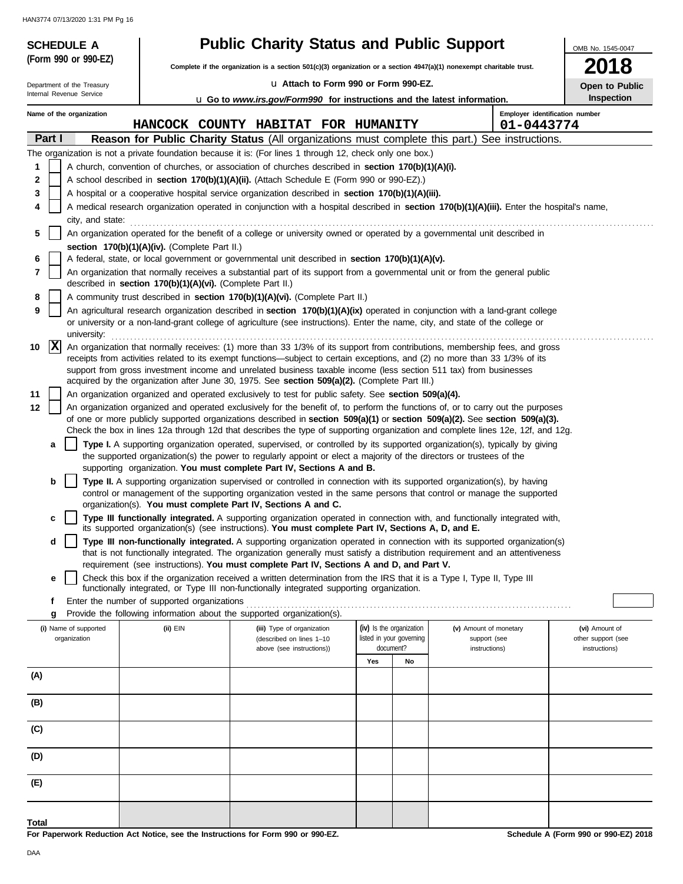HAN3774 07/13/2020 1:31 PM Pg 16

|          | <b>SCHEDULE A</b>                                                                                                                                                                                                                                                                                                                                                                                 |                                                            | <b>Public Charity Status and Public Support</b>                                                                                                                                                                                                                                                                              |                          |    |                        | OMB No. 1545-0047              |  |
|----------|---------------------------------------------------------------------------------------------------------------------------------------------------------------------------------------------------------------------------------------------------------------------------------------------------------------------------------------------------------------------------------------------------|------------------------------------------------------------|------------------------------------------------------------------------------------------------------------------------------------------------------------------------------------------------------------------------------------------------------------------------------------------------------------------------------|--------------------------|----|------------------------|--------------------------------|--|
|          | (Form 990 or 990-EZ)                                                                                                                                                                                                                                                                                                                                                                              |                                                            |                                                                                                                                                                                                                                                                                                                              |                          |    |                        | 2018                           |  |
|          | Department of the Treasury                                                                                                                                                                                                                                                                                                                                                                        |                                                            | Complete if the organization is a section 501(c)(3) organization or a section 4947(a)(1) nonexempt charitable trust.<br>La Attach to Form 990 or Form 990-EZ.<br>Open to Public                                                                                                                                              |                          |    |                        |                                |  |
|          | Internal Revenue Service                                                                                                                                                                                                                                                                                                                                                                          |                                                            | u Go to www.irs.gov/Form990 for instructions and the latest information.                                                                                                                                                                                                                                                     |                          |    |                        | Inspection                     |  |
|          | Name of the organization                                                                                                                                                                                                                                                                                                                                                                          |                                                            |                                                                                                                                                                                                                                                                                                                              |                          |    |                        | Employer identification number |  |
|          |                                                                                                                                                                                                                                                                                                                                                                                                   |                                                            | HANCOCK COUNTY HABITAT FOR HUMANITY                                                                                                                                                                                                                                                                                          |                          |    | 01-0443774             |                                |  |
| Part I   |                                                                                                                                                                                                                                                                                                                                                                                                   |                                                            | Reason for Public Charity Status (All organizations must complete this part.) See instructions.                                                                                                                                                                                                                              |                          |    |                        |                                |  |
| 1        |                                                                                                                                                                                                                                                                                                                                                                                                   |                                                            | The organization is not a private foundation because it is: (For lines 1 through 12, check only one box.)<br>A church, convention of churches, or association of churches described in section 170(b)(1)(A)(i).                                                                                                              |                          |    |                        |                                |  |
| 2        |                                                                                                                                                                                                                                                                                                                                                                                                   |                                                            | A school described in section 170(b)(1)(A)(ii). (Attach Schedule E (Form 990 or 990-EZ).)                                                                                                                                                                                                                                    |                          |    |                        |                                |  |
| 3        |                                                                                                                                                                                                                                                                                                                                                                                                   |                                                            | A hospital or a cooperative hospital service organization described in section 170(b)(1)(A)(iii).                                                                                                                                                                                                                            |                          |    |                        |                                |  |
| 4        |                                                                                                                                                                                                                                                                                                                                                                                                   |                                                            | A medical research organization operated in conjunction with a hospital described in section 170(b)(1)(A)(iii). Enter the hospital's name,                                                                                                                                                                                   |                          |    |                        |                                |  |
|          | city, and state:                                                                                                                                                                                                                                                                                                                                                                                  |                                                            |                                                                                                                                                                                                                                                                                                                              |                          |    |                        |                                |  |
| 5        |                                                                                                                                                                                                                                                                                                                                                                                                   |                                                            | An organization operated for the benefit of a college or university owned or operated by a governmental unit described in                                                                                                                                                                                                    |                          |    |                        |                                |  |
|          |                                                                                                                                                                                                                                                                                                                                                                                                   | section 170(b)(1)(A)(iv). (Complete Part II.)              |                                                                                                                                                                                                                                                                                                                              |                          |    |                        |                                |  |
| 6<br>7   |                                                                                                                                                                                                                                                                                                                                                                                                   |                                                            | A federal, state, or local government or governmental unit described in section 170(b)(1)(A)(v).<br>An organization that normally receives a substantial part of its support from a governmental unit or from the general public                                                                                             |                          |    |                        |                                |  |
|          |                                                                                                                                                                                                                                                                                                                                                                                                   | described in section 170(b)(1)(A)(vi). (Complete Part II.) |                                                                                                                                                                                                                                                                                                                              |                          |    |                        |                                |  |
| 8        |                                                                                                                                                                                                                                                                                                                                                                                                   |                                                            | A community trust described in section 170(b)(1)(A)(vi). (Complete Part II.)                                                                                                                                                                                                                                                 |                          |    |                        |                                |  |
| 9        | university:                                                                                                                                                                                                                                                                                                                                                                                       |                                                            | An agricultural research organization described in section 170(b)(1)(A)(ix) operated in conjunction with a land-grant college<br>or university or a non-land-grant college of agriculture (see instructions). Enter the name, city, and state of the college or                                                              |                          |    |                        |                                |  |
| 10       | $ \mathbf{x} $<br>An organization that normally receives: (1) more than 33 1/3% of its support from contributions, membership fees, and gross<br>receipts from activities related to its exempt functions—subject to certain exceptions, and (2) no more than 33 1/3% of its<br>support from gross investment income and unrelated business taxable income (less section 511 tax) from businesses |                                                            |                                                                                                                                                                                                                                                                                                                              |                          |    |                        |                                |  |
|          |                                                                                                                                                                                                                                                                                                                                                                                                   |                                                            | acquired by the organization after June 30, 1975. See section 509(a)(2). (Complete Part III.)                                                                                                                                                                                                                                |                          |    |                        |                                |  |
| 11<br>12 |                                                                                                                                                                                                                                                                                                                                                                                                   |                                                            | An organization organized and operated exclusively to test for public safety. See section 509(a)(4).<br>An organization organized and operated exclusively for the benefit of, to perform the functions of, or to carry out the purposes                                                                                     |                          |    |                        |                                |  |
|          |                                                                                                                                                                                                                                                                                                                                                                                                   |                                                            | of one or more publicly supported organizations described in section 509(a)(1) or section 509(a)(2). See section 509(a)(3).                                                                                                                                                                                                  |                          |    |                        |                                |  |
|          |                                                                                                                                                                                                                                                                                                                                                                                                   |                                                            | Check the box in lines 12a through 12d that describes the type of supporting organization and complete lines 12e, 12f, and 12g.                                                                                                                                                                                              |                          |    |                        |                                |  |
| а        |                                                                                                                                                                                                                                                                                                                                                                                                   |                                                            | Type I. A supporting organization operated, supervised, or controlled by its supported organization(s), typically by giving<br>the supported organization(s) the power to regularly appoint or elect a majority of the directors or trustees of the<br>supporting organization. You must complete Part IV, Sections A and B. |                          |    |                        |                                |  |
| b        |                                                                                                                                                                                                                                                                                                                                                                                                   |                                                            | Type II. A supporting organization supervised or controlled in connection with its supported organization(s), by having<br>control or management of the supporting organization vested in the same persons that control or manage the supported                                                                              |                          |    |                        |                                |  |
|          |                                                                                                                                                                                                                                                                                                                                                                                                   |                                                            | organization(s). You must complete Part IV, Sections A and C.                                                                                                                                                                                                                                                                |                          |    |                        |                                |  |
| c        |                                                                                                                                                                                                                                                                                                                                                                                                   |                                                            | Type III functionally integrated. A supporting organization operated in connection with, and functionally integrated with,<br>its supported organization(s) (see instructions). You must complete Part IV, Sections A, D, and E.                                                                                             |                          |    |                        |                                |  |
| d        |                                                                                                                                                                                                                                                                                                                                                                                                   |                                                            | Type III non-functionally integrated. A supporting organization operated in connection with its supported organization(s)<br>that is not functionally integrated. The organization generally must satisfy a distribution requirement and an attentiveness                                                                    |                          |    |                        |                                |  |
|          |                                                                                                                                                                                                                                                                                                                                                                                                   |                                                            | requirement (see instructions). You must complete Part IV, Sections A and D, and Part V.                                                                                                                                                                                                                                     |                          |    |                        |                                |  |
| е        |                                                                                                                                                                                                                                                                                                                                                                                                   |                                                            | Check this box if the organization received a written determination from the IRS that it is a Type I, Type II, Type III<br>functionally integrated, or Type III non-functionally integrated supporting organization.                                                                                                         |                          |    |                        |                                |  |
| f<br>g   |                                                                                                                                                                                                                                                                                                                                                                                                   | Enter the number of supported organizations                | Provide the following information about the supported organization(s).                                                                                                                                                                                                                                                       |                          |    |                        |                                |  |
|          | (i) Name of supported                                                                                                                                                                                                                                                                                                                                                                             | (ii) EIN                                                   | (iii) Type of organization                                                                                                                                                                                                                                                                                                   | (iv) Is the organization |    | (v) Amount of monetary | (vi) Amount of                 |  |
|          | organization                                                                                                                                                                                                                                                                                                                                                                                      |                                                            | (described on lines 1-10                                                                                                                                                                                                                                                                                                     | listed in your governing |    | support (see           | other support (see             |  |
|          |                                                                                                                                                                                                                                                                                                                                                                                                   |                                                            | above (see instructions))                                                                                                                                                                                                                                                                                                    | document?<br>Yes         | No | instructions)          | instructions)                  |  |
| (A)      |                                                                                                                                                                                                                                                                                                                                                                                                   |                                                            |                                                                                                                                                                                                                                                                                                                              |                          |    |                        |                                |  |
|          |                                                                                                                                                                                                                                                                                                                                                                                                   |                                                            |                                                                                                                                                                                                                                                                                                                              |                          |    |                        |                                |  |
| (B)      |                                                                                                                                                                                                                                                                                                                                                                                                   |                                                            |                                                                                                                                                                                                                                                                                                                              |                          |    |                        |                                |  |
| (C)      |                                                                                                                                                                                                                                                                                                                                                                                                   |                                                            |                                                                                                                                                                                                                                                                                                                              |                          |    |                        |                                |  |
| (D)      |                                                                                                                                                                                                                                                                                                                                                                                                   |                                                            |                                                                                                                                                                                                                                                                                                                              |                          |    |                        |                                |  |
| (E)      |                                                                                                                                                                                                                                                                                                                                                                                                   |                                                            |                                                                                                                                                                                                                                                                                                                              |                          |    |                        |                                |  |
| Total    |                                                                                                                                                                                                                                                                                                                                                                                                   |                                                            |                                                                                                                                                                                                                                                                                                                              |                          |    |                        |                                |  |

**For Paperwork Reduction Act Notice, see the Instructions for Form 990 or 990-EZ.**

**Schedule A (Form 990 or 990-EZ) 2018**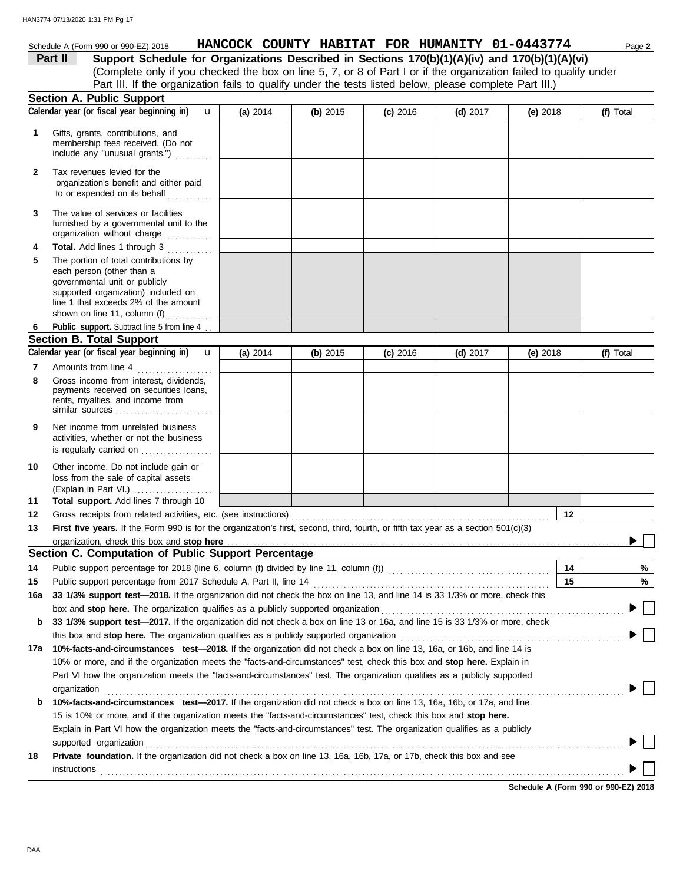## Schedule A (Form 990 or 990-EZ) 2018 **HANCOCK COUNTY HABITAT FOR HUMANITY 01-0443774** Page 2

(Complete only if you checked the box on line 5, 7, or 8 of Part I or if the organization failed to qualify under **Part II** Support Schedule for Organizations Described in Sections 170(b)(1)(A)(iv) and 170(b)(1)(A)(vi) Part III. If the organization fails to qualify under the tests listed below, please complete Part III.)

|        | <b>Section A. Public Support</b>                                                                                                                                                                                                                   |            |          |            |            |            |           |  |  |
|--------|----------------------------------------------------------------------------------------------------------------------------------------------------------------------------------------------------------------------------------------------------|------------|----------|------------|------------|------------|-----------|--|--|
|        | Calendar year (or fiscal year beginning in)<br>u                                                                                                                                                                                                   | (a) $2014$ | (b) 2015 | $(c)$ 2016 | $(d)$ 2017 | (e) $2018$ | (f) Total |  |  |
| 1      | Gifts, grants, contributions, and<br>membership fees received. (Do not<br>include any "unusual grants.")                                                                                                                                           |            |          |            |            |            |           |  |  |
| 2      | Tax revenues levied for the<br>organization's benefit and either paid<br>to or expended on its behalf                                                                                                                                              |            |          |            |            |            |           |  |  |
| 3      | The value of services or facilities<br>furnished by a governmental unit to the<br>organization without charge                                                                                                                                      |            |          |            |            |            |           |  |  |
| 4<br>5 | Total. Add lines 1 through 3<br>The portion of total contributions by<br>each person (other than a<br>governmental unit or publicly<br>supported organization) included on<br>line 1 that exceeds 2% of the amount<br>shown on line 11, column (f) |            |          |            |            |            |           |  |  |
| 6      | Public support. Subtract line 5 from line 4.                                                                                                                                                                                                       |            |          |            |            |            |           |  |  |
|        | <b>Section B. Total Support</b>                                                                                                                                                                                                                    |            |          |            |            |            |           |  |  |
|        | Calendar year (or fiscal year beginning in)<br>$\mathbf{u}$                                                                                                                                                                                        | (a) 2014   | (b) 2015 | $(c)$ 2016 | (d) $2017$ | (e) $2018$ | (f) Total |  |  |
| 7      | Amounts from line 4                                                                                                                                                                                                                                |            |          |            |            |            |           |  |  |
| 8      | Gross income from interest, dividends,<br>payments received on securities loans,<br>rents, royalties, and income from<br>similar sources                                                                                                           |            |          |            |            |            |           |  |  |
| 9      | Net income from unrelated business<br>activities, whether or not the business<br>is regularly carried on                                                                                                                                           |            |          |            |            |            |           |  |  |
| 10     | Other income. Do not include gain or<br>loss from the sale of capital assets                                                                                                                                                                       |            |          |            |            |            |           |  |  |
| 11     | Total support. Add lines 7 through 10                                                                                                                                                                                                              |            |          |            |            |            |           |  |  |
| 12     | Gross receipts from related activities, etc. (see instructions)                                                                                                                                                                                    |            |          |            |            | 12         |           |  |  |
| 13     | First five years. If the Form 990 is for the organization's first, second, third, fourth, or fifth tax year as a section 501(c)(3)                                                                                                                 |            |          |            |            |            |           |  |  |
|        | organization, check this box and stop here                                                                                                                                                                                                         |            |          |            |            |            |           |  |  |
|        | Section C. Computation of Public Support Percentage                                                                                                                                                                                                |            |          |            |            |            |           |  |  |
| 14     |                                                                                                                                                                                                                                                    |            |          |            |            | 14         | %         |  |  |
| 15     |                                                                                                                                                                                                                                                    |            |          |            |            | 15         | %         |  |  |
|        | 16a 33 1/3% support test-2018. If the organization did not check the box on line 13, and line 14 is 33 1/3% or more, check this                                                                                                                    |            |          |            |            |            |           |  |  |
|        | box and stop here. The organization qualifies as a publicly supported organization                                                                                                                                                                 |            |          |            |            |            |           |  |  |
| b      | 33 1/3% support test-2017. If the organization did not check a box on line 13 or 16a, and line 15 is 33 1/3% or more, check                                                                                                                        |            |          |            |            |            |           |  |  |
|        | this box and stop here. The organization qualifies as a publicly supported organization                                                                                                                                                            |            |          |            |            |            |           |  |  |
| 17a    | 10%-facts-and-circumstances test-2018. If the organization did not check a box on line 13, 16a, or 16b, and line 14 is                                                                                                                             |            |          |            |            |            |           |  |  |
|        | 10% or more, and if the organization meets the "facts-and-circumstances" test, check this box and stop here. Explain in                                                                                                                            |            |          |            |            |            |           |  |  |
|        | Part VI how the organization meets the "facts-and-circumstances" test. The organization qualifies as a publicly supported                                                                                                                          |            |          |            |            |            |           |  |  |
|        | organization                                                                                                                                                                                                                                       |            |          |            |            |            |           |  |  |
| b      | 10%-facts-and-circumstances test-2017. If the organization did not check a box on line 13, 16a, 16b, or 17a, and line                                                                                                                              |            |          |            |            |            |           |  |  |
|        | 15 is 10% or more, and if the organization meets the "facts-and-circumstances" test, check this box and stop here.                                                                                                                                 |            |          |            |            |            |           |  |  |
|        | Explain in Part VI how the organization meets the "facts-and-circumstances" test. The organization qualifies as a publicly                                                                                                                         |            |          |            |            |            |           |  |  |
|        | supported organization contains and contains a supported organization contains a supported organization contains a supported organization contains a supported organization contains a supported or support of the support of                      |            |          |            |            |            |           |  |  |
| 18     | Private foundation. If the organization did not check a box on line 13, 16a, 16b, 17a, or 17b, check this box and see                                                                                                                              |            |          |            |            |            |           |  |  |
|        |                                                                                                                                                                                                                                                    |            |          |            |            |            |           |  |  |
|        |                                                                                                                                                                                                                                                    |            |          |            |            |            |           |  |  |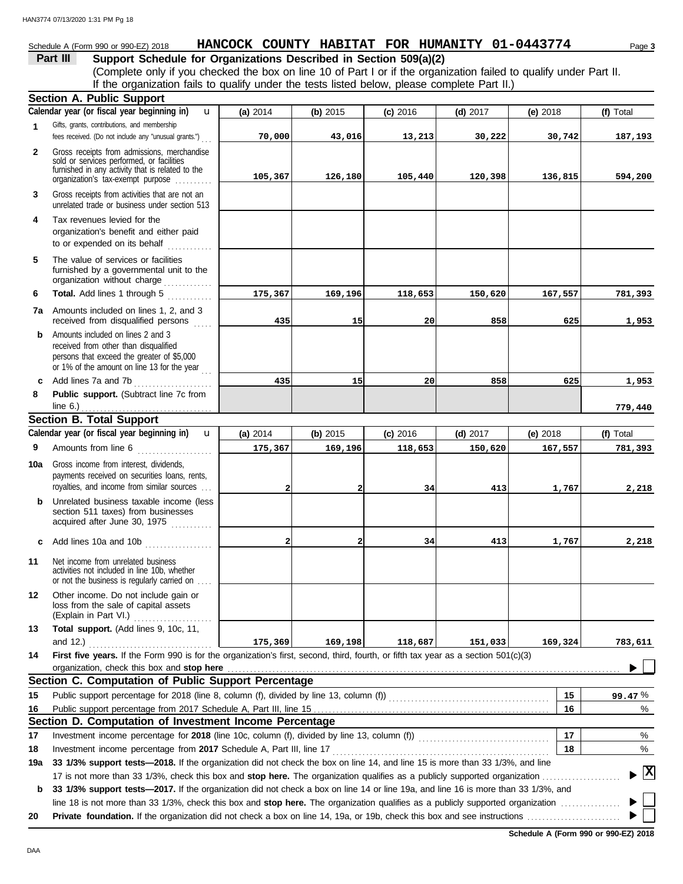### Schedule A (Form 990 or 990-EZ) 2018 **HANCOCK COUNTY HABITAT FOR HUMANITY 01-0443774** Page 3

**Part III** Support Schedule for Organizations Described in Section 509(a)(2)

(Complete only if you checked the box on line 10 of Part I or if the organization failed to qualify under Part II. If the organization fails to qualify under the tests listed below, please complete Part II.)

|              | <b>Section A. Public Support</b>                                                                                                                                                  |                         |                         |            |            |          |              |  |  |  |  |
|--------------|-----------------------------------------------------------------------------------------------------------------------------------------------------------------------------------|-------------------------|-------------------------|------------|------------|----------|--------------|--|--|--|--|
|              | Calendar year (or fiscal year beginning in)<br>$\mathbf{u}$                                                                                                                       | (a) 2014                | (b) 2015                | $(c)$ 2016 | $(d)$ 2017 | (e) 2018 | (f) Total    |  |  |  |  |
| 1            | Gifts, grants, contributions, and membership<br>fees received. (Do not include any "unusual grants.")                                                                             | 70,000                  | 43,016                  | 13,213     | 30,222     | 30,742   | 187,193      |  |  |  |  |
| $\mathbf{2}$ | Gross receipts from admissions, merchandise<br>sold or services performed, or facilities<br>furnished in any activity that is related to the<br>organization's tax-exempt purpose | 105,367                 | 126,180                 | 105,440    | 120,398    | 136,815  | 594,200      |  |  |  |  |
| 3            | Gross receipts from activities that are not an<br>unrelated trade or business under section 513                                                                                   |                         |                         |            |            |          |              |  |  |  |  |
| 4            | Tax revenues levied for the<br>organization's benefit and either paid<br>to or expended on its behalf<br>.                                                                        |                         |                         |            |            |          |              |  |  |  |  |
| 5            | The value of services or facilities<br>furnished by a governmental unit to the<br>organization without charge                                                                     |                         |                         |            |            |          |              |  |  |  |  |
| 6            | Total. Add lines 1 through 5                                                                                                                                                      | 175,367                 | 169,196                 | 118,653    | 150,620    | 167,557  | 781,393      |  |  |  |  |
| 7a           | Amounts included on lines 1, 2, and 3<br>received from disqualified persons<br><b>Barbar</b>                                                                                      | 435                     | 15                      | 20         | 858        | 625      | 1,953        |  |  |  |  |
| b            | Amounts included on lines 2 and 3<br>received from other than disqualified<br>persons that exceed the greater of \$5,000<br>or 1% of the amount on line 13 for the year           |                         |                         |            |            |          |              |  |  |  |  |
| c            | Add lines 7a and 7b<br>.                                                                                                                                                          | 435                     | 15                      | 20         | 858        | 625      | 1,953        |  |  |  |  |
| 8            | Public support. (Subtract line 7c from<br>line $6$ .)<br>.                                                                                                                        |                         |                         |            |            |          | 779,440      |  |  |  |  |
|              | <b>Section B. Total Support</b>                                                                                                                                                   |                         |                         |            |            |          |              |  |  |  |  |
|              | Calendar year (or fiscal year beginning in)<br>$\mathbf{u}$<br>(a) 2014<br>(b) 2015<br>$(c)$ 2016<br>$(d)$ 2017<br>(e) 2018<br>(f) Total                                          |                         |                         |            |            |          |              |  |  |  |  |
| 9            | Amounts from line 6<br>175,367<br>169,196<br>118,653<br>150,620<br>167,557<br>781,393                                                                                             |                         |                         |            |            |          |              |  |  |  |  |
| 10a          | Gross income from interest, dividends,<br>payments received on securities loans, rents,<br>royalties, and income from similar sources                                             | 2                       | $\overline{\mathbf{2}}$ | 34         | 413        | 1,767    | 2,218        |  |  |  |  |
| b            | Unrelated business taxable income (less<br>section 511 taxes) from businesses<br>acquired after June 30, 1975                                                                     |                         |                         |            |            |          |              |  |  |  |  |
| c            | Add lines 10a and 10b                                                                                                                                                             | $\overline{\mathbf{2}}$ | $\mathbf{2}$            | 34         | 413        | 1,767    | 2,218        |  |  |  |  |
| 11           | Net income from unrelated business<br>activities not included in line 10b, whether<br>or not the business is regularly carried on                                                 |                         |                         |            |            |          |              |  |  |  |  |
| 12           | Other income. Do not include gain or<br>loss from the sale of capital assets<br>(Explain in Part VI.)                                                                             |                         |                         |            |            |          |              |  |  |  |  |
| 13           | Total support. (Add lines 9, 10c, 11,<br>and $12.$ )                                                                                                                              | 175,369                 | 169,198                 | 118,687    | 151,033    | 169,324  | 783,611      |  |  |  |  |
| 14           | First five years. If the Form 990 is for the organization's first, second, third, fourth, or fifth tax year as a section 501(c)(3)                                                |                         |                         |            |            |          |              |  |  |  |  |
|              | organization, check this box and stop here                                                                                                                                        |                         |                         |            |            |          |              |  |  |  |  |
|              | Section C. Computation of Public Support Percentage                                                                                                                               |                         |                         |            |            |          |              |  |  |  |  |
| 15           |                                                                                                                                                                                   |                         |                         |            |            | 15       | 99.47%       |  |  |  |  |
| 16           |                                                                                                                                                                                   |                         |                         |            |            | 16       | %            |  |  |  |  |
|              | Section D. Computation of Investment Income Percentage                                                                                                                            |                         |                         |            |            |          |              |  |  |  |  |
| 17           |                                                                                                                                                                                   |                         |                         |            |            | 17       | %            |  |  |  |  |
| 18           | Investment income percentage from 2017 Schedule A, Part III, line 17                                                                                                              |                         |                         |            |            | 18       | %            |  |  |  |  |
| 19a          | 33 1/3% support tests-2018. If the organization did not check the box on line 14, and line 15 is more than 33 1/3%, and line                                                      |                         |                         |            |            |          | $\mathbf{x}$ |  |  |  |  |
| b            | 33 1/3% support tests-2017. If the organization did not check a box on line 14 or line 19a, and line 16 is more than 33 1/3%, and                                                 |                         |                         |            |            |          |              |  |  |  |  |
|              | line 18 is not more than 33 1/3%, check this box and stop here. The organization qualifies as a publicly supported organization                                                   |                         |                         |            |            |          |              |  |  |  |  |
| 20           |                                                                                                                                                                                   |                         |                         |            |            |          |              |  |  |  |  |

**Schedule A (Form 990 or 990-EZ) 2018**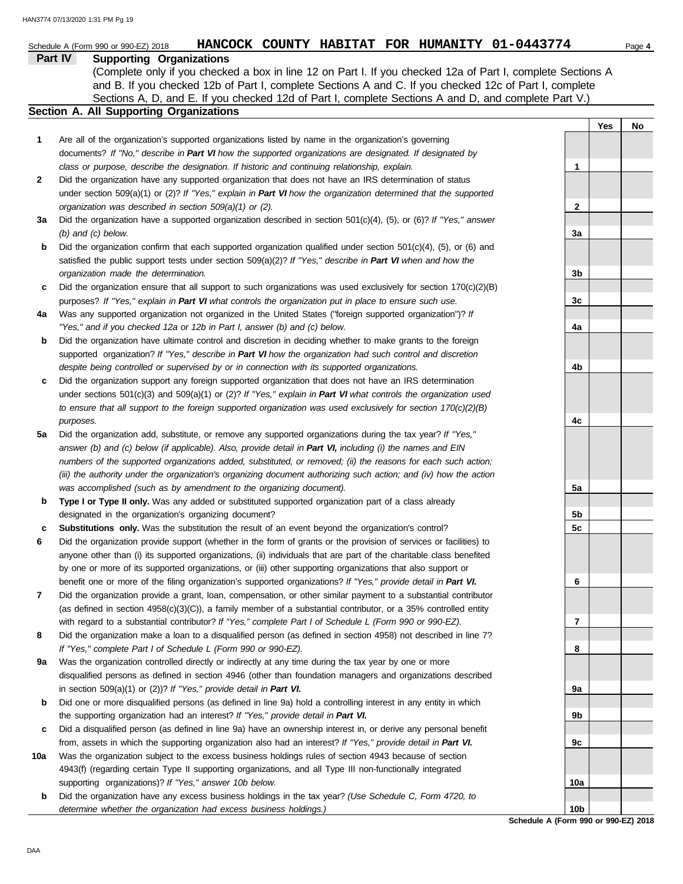|         | Schedule A (Form 990 or 990-EZ) 2018                                                                        |  |  |  |  |  | HANCOCK COUNTY HABITAT FOR HUMANITY 01-0443774                                                       | Page 4 |
|---------|-------------------------------------------------------------------------------------------------------------|--|--|--|--|--|------------------------------------------------------------------------------------------------------|--------|
| Part IV | <b>Supporting Organizations</b>                                                                             |  |  |  |  |  |                                                                                                      |        |
|         | (Complete only if you checked a box in line 12 on Part I. If you checked 12a of Part I, complete Sections A |  |  |  |  |  |                                                                                                      |        |
|         | and B. If you checked 12b of Part I, complete Sections A and C. If you checked 12c of Part I, complete      |  |  |  |  |  |                                                                                                      |        |
|         |                                                                                                             |  |  |  |  |  | Sections A, D, and E. If you checked 12d of Part I, complete Sections A and D, and complete Part V.) |        |

### **Section A. All Supporting Organizations**

|              |                                                                                                                                                                                  |     | Yes | No |
|--------------|----------------------------------------------------------------------------------------------------------------------------------------------------------------------------------|-----|-----|----|
| 1            | Are all of the organization's supported organizations listed by name in the organization's governing                                                                             |     |     |    |
|              | documents? If "No," describe in Part VI how the supported organizations are designated. If designated by                                                                         |     |     |    |
|              | class or purpose, describe the designation. If historic and continuing relationship, explain.                                                                                    | 1   |     |    |
| $\mathbf{2}$ | Did the organization have any supported organization that does not have an IRS determination of status                                                                           |     |     |    |
|              | under section 509(a)(1) or (2)? If "Yes," explain in Part VI how the organization determined that the supported                                                                  |     |     |    |
|              | organization was described in section 509(a)(1) or (2).                                                                                                                          | 2   |     |    |
| За           | Did the organization have a supported organization described in section $501(c)(4)$ , (5), or (6)? If "Yes," answer                                                              |     |     |    |
|              | $(b)$ and $(c)$ below.                                                                                                                                                           | 3a  |     |    |
| b            | Did the organization confirm that each supported organization qualified under section 501(c)(4), (5), or (6) and                                                                 |     |     |    |
|              | satisfied the public support tests under section 509(a)(2)? If "Yes," describe in Part VI when and how the                                                                       |     |     |    |
|              | organization made the determination.                                                                                                                                             | 3b  |     |    |
| c            | Did the organization ensure that all support to such organizations was used exclusively for section $170(c)(2)(B)$                                                               |     |     |    |
|              | purposes? If "Yes," explain in Part VI what controls the organization put in place to ensure such use.                                                                           | 3c  |     |    |
| 4a           | Was any supported organization not organized in the United States ("foreign supported organization")? If                                                                         |     |     |    |
|              | "Yes," and if you checked 12a or 12b in Part I, answer (b) and (c) below.                                                                                                        | 4a  |     |    |
| b            | Did the organization have ultimate control and discretion in deciding whether to make grants to the foreign                                                                      |     |     |    |
|              | supported organization? If "Yes," describe in Part VI how the organization had such control and discretion                                                                       |     |     |    |
|              | despite being controlled or supervised by or in connection with its supported organizations.                                                                                     | 4b  |     |    |
| c            | Did the organization support any foreign supported organization that does not have an IRS determination                                                                          |     |     |    |
|              | under sections $501(c)(3)$ and $509(a)(1)$ or (2)? If "Yes," explain in Part VI what controls the organization used                                                              |     |     |    |
|              | to ensure that all support to the foreign supported organization was used exclusively for section $170(c)(2)(B)$                                                                 |     |     |    |
|              | purposes.                                                                                                                                                                        | 4с  |     |    |
| 5а           | Did the organization add, substitute, or remove any supported organizations during the tax year? If "Yes,"                                                                       |     |     |    |
|              | answer (b) and (c) below (if applicable). Also, provide detail in Part VI, including (i) the names and EIN                                                                       |     |     |    |
|              | numbers of the supported organizations added, substituted, or removed; (ii) the reasons for each such action;                                                                    |     |     |    |
|              | (iii) the authority under the organization's organizing document authorizing such action; and (iv) how the action                                                                |     |     |    |
|              | was accomplished (such as by amendment to the organizing document).                                                                                                              | 5a  |     |    |
| b            | Type I or Type II only. Was any added or substituted supported organization part of a class already                                                                              |     |     |    |
|              | designated in the organization's organizing document?                                                                                                                            | 5b  |     |    |
| c            | <b>Substitutions only.</b> Was the substitution the result of an event beyond the organization's control?                                                                        | 5с  |     |    |
| 6            | Did the organization provide support (whether in the form of grants or the provision of services or facilities) to                                                               |     |     |    |
|              | anyone other than (i) its supported organizations, (ii) individuals that are part of the charitable class benefited                                                              |     |     |    |
|              | by one or more of its supported organizations, or (iii) other supporting organizations that also support or                                                                      |     |     |    |
|              | benefit one or more of the filing organization's supported organizations? If "Yes," provide detail in Part VI.                                                                   | 6   |     |    |
| 7            | Did the organization provide a grant, loan, compensation, or other similar payment to a substantial contributor                                                                  |     |     |    |
|              | (as defined in section $4958(c)(3)(C)$ ), a family member of a substantial contributor, or a 35% controlled entity                                                               | 7   |     |    |
|              | with regard to a substantial contributor? If "Yes," complete Part I of Schedule L (Form 990 or 990-EZ).                                                                          |     |     |    |
| 8            | Did the organization make a loan to a disqualified person (as defined in section 4958) not described in line 7?<br>If "Yes," complete Part I of Schedule L (Form 990 or 990-EZ). | 8   |     |    |
| 9a           | Was the organization controlled directly or indirectly at any time during the tax year by one or more                                                                            |     |     |    |
|              | disqualified persons as defined in section 4946 (other than foundation managers and organizations described                                                                      |     |     |    |
|              | in section $509(a)(1)$ or $(2)$ ? If "Yes," provide detail in Part VI.                                                                                                           | 9a  |     |    |
| b            | Did one or more disqualified persons (as defined in line 9a) hold a controlling interest in any entity in which                                                                  |     |     |    |
|              | the supporting organization had an interest? If "Yes," provide detail in Part VI.                                                                                                | 9b  |     |    |
| c            | Did a disqualified person (as defined in line 9a) have an ownership interest in, or derive any personal benefit                                                                  |     |     |    |
|              | from, assets in which the supporting organization also had an interest? If "Yes," provide detail in Part VI.                                                                     | 9c  |     |    |
| 10a          | Was the organization subject to the excess business holdings rules of section 4943 because of section                                                                            |     |     |    |
|              | 4943(f) (regarding certain Type II supporting organizations, and all Type III non-functionally integrated                                                                        |     |     |    |
|              | supporting organizations)? If "Yes," answer 10b below.                                                                                                                           | 10a |     |    |
| b            | Did the organization have any excess business holdings in the tax year? (Use Schedule C, Form 4720, to                                                                           |     |     |    |
|              | determine whether the organization had excess business holdings.)                                                                                                                | 10b |     |    |
|              |                                                                                                                                                                                  |     |     |    |

**Schedule A (Form 990 or 990-EZ) 2018**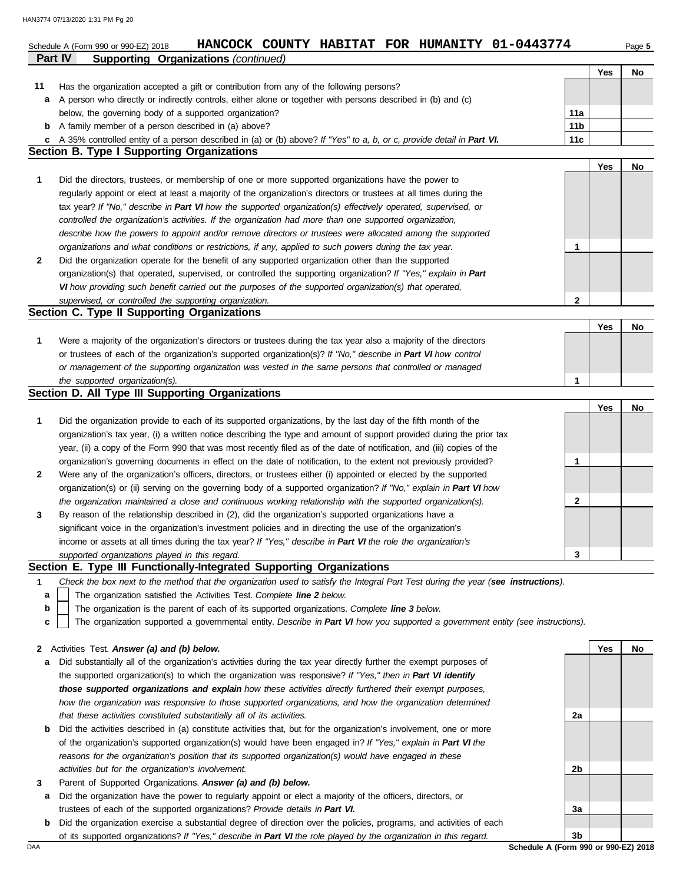#### **Part IV Supporting Organizations** *(continued)* Schedule A (Form 990 or 990-EZ) 2018 **HANCOCK COUNTY HABITAT FOR HUMANITY 01-0443774** Page 5 **Yes No 2 1** *organizations and what conditions or restrictions, if any, applied to such powers during the tax year. describe how the powers to appoint and/or remove directors or trustees were allocated among the supported controlled the organization's activities. If the organization had more than one supported organization,* tax year? *If "No," describe in Part VI how the supported organization(s) effectively operated, supervised, or* regularly appoint or elect at least a majority of the organization's directors or trustees at all times during the **Section B. Type I Supporting Organizations 11 c** A 35% controlled entity of a person described in (a) or (b) above? *If "Yes" to a, b, or c, provide detail in Part VI.* **b** A family member of a person described in (a) above? **a** A person who directly or indirectly controls, either alone or together with persons described in (b) and (c) Has the organization accepted a gift or contribution from any of the following persons? below, the governing body of a supported organization? **11a 11b 11c** Did the directors, trustees, or membership of one or more supported organizations have the power to Did the organization operate for the benefit of any supported organization other than the supported organization(s) that operated, supervised, or controlled the supporting organization? *If "Yes," explain in Part VI how providing such benefit carried out the purposes of the supported organization(s) that operated, supervised, or controlled the supporting organization.* **Section C. Type II Supporting Organizations** Were a majority of the organization's directors or trustees during the tax year also a majority of the directors or trustees of each of the organization's supported organization(s)? *If "No," describe in Part VI how control* **1** *or management of the supporting organization was vested in the same persons that controlled or managed the supported organization(s).* **Section D. All Type III Supporting Organizations** Did the organization provide to each of its supported organizations, by the last day of the fifth month of the organization's tax year, (i) a written notice describing the type and amount of support provided during the prior tax **1** year, (ii) a copy of the Form 990 that was most recently filed as of the date of notification, and (iii) copies of the organization's governing documents in effect on the date of notification, to the extent not previously provided? **2** Were any of the organization's officers, directors, or trustees either (i) appointed or elected by the supported *the organization maintained a close and continuous working relationship with the supported organization(s).* organization(s) or (ii) serving on the governing body of a supported organization? *If "No," explain in Part VI how supported organizations played in this regard.* income or assets at all times during the tax year? *If "Yes," describe in Part VI the role the organization's* **3** significant voice in the organization's investment policies and in directing the use of the organization's By reason of the relationship described in (2), did the organization's supported organizations have a **Section E. Type III Functionally-Integrated Supporting Organizations 2** Activities Test. *Answer (a) and (b) below.* **1** *Check the box next to the method that the organization used to satisfy the Integral Part Test during the year (see instructions).* The organization satisfied the Activities Test. *Complete line 2 below.* The organization is the parent of each of its supported organizations. *Complete line 3 below.* The organization supported a governmental entity. *Describe in Part VI how you supported a government entity (see instructions).* **a** Did substantially all of the organization's activities during the tax year directly further the exempt purposes of **b** Did the activities described in (a) constitute activities that, but for the organization's involvement, one or more **c b a** the supported organization(s) to which the organization was responsive? *If "Yes," then in Part VI identify those supported organizations and explain how these activities directly furthered their exempt purposes, how the organization was responsive to those supported organizations, and how the organization determined that these activities constituted substantially all of its activities.* of the organization's supported organization(s) would have been engaged in? *If "Yes," explain in Part VI the reasons for the organization's position that its supported organization(s) would have engaged in these activities but for the organization's involvement.* **Yes No 1 2 1 Yes No Yes No 1 2 3 Yes No 2a 2b**

- **3** Parent of Supported Organizations. *Answer (a) and (b) below.*
- **a** Did the organization have the power to regularly appoint or elect a majority of the officers, directors, or trustees of each of the supported organizations? *Provide details in Part VI.*
- **b** Did the organization exercise a substantial degree of direction over the policies, programs, and activities of each of its supported organizations? *If "Yes," describe in Part VI the role played by the organization in this regard.*

DAA **Schedule A (Form 990 or 990-EZ) 2018 3b**

**3a**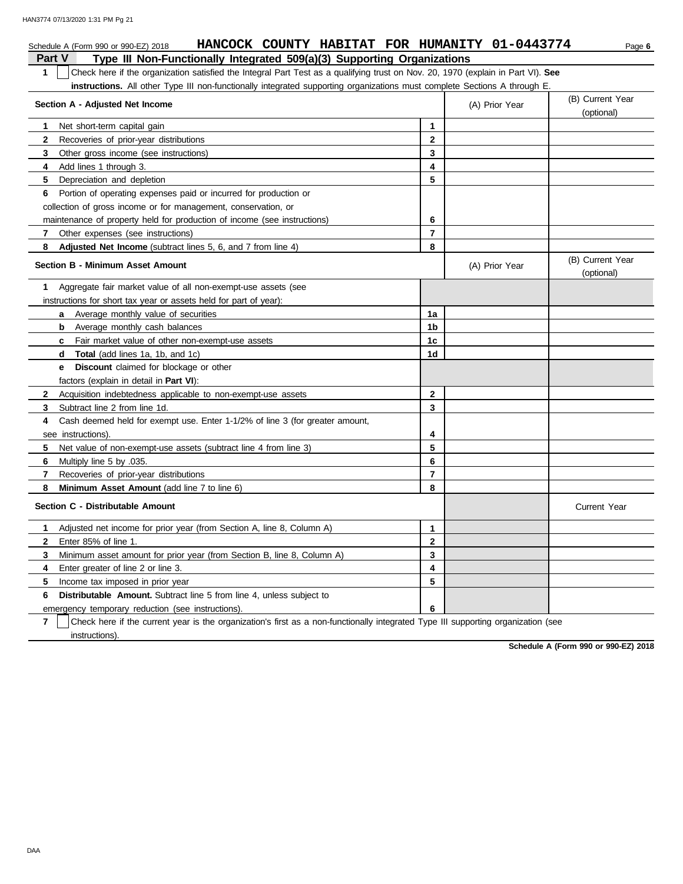| HANCOCK COUNTY HABITAT FOR HUMANITY 01-0443774<br>Schedule A (Form 990 or 990-EZ) 2018                                                           |                         |                | Page 6                         |
|--------------------------------------------------------------------------------------------------------------------------------------------------|-------------------------|----------------|--------------------------------|
| Part V<br>Type III Non-Functionally Integrated 509(a)(3) Supporting Organizations                                                                |                         |                |                                |
| $\mathbf{1}$<br>Check here if the organization satisfied the Integral Part Test as a qualifying trust on Nov. 20, 1970 (explain in Part VI). See |                         |                |                                |
| <b>instructions.</b> All other Type III non-functionally integrated supporting organizations must complete Sections A through E.                 |                         |                |                                |
| Section A - Adjusted Net Income                                                                                                                  |                         | (A) Prior Year | (B) Current Year<br>(optional) |
| Net short-term capital gain<br>1.                                                                                                                | 1                       |                |                                |
| $\mathbf{2}$<br>Recoveries of prior-year distributions                                                                                           | $\mathbf{2}$            |                |                                |
| 3<br>Other gross income (see instructions)                                                                                                       | 3                       |                |                                |
| Add lines 1 through 3.<br>4                                                                                                                      | 4                       |                |                                |
| 5<br>Depreciation and depletion                                                                                                                  | 5                       |                |                                |
| Portion of operating expenses paid or incurred for production or<br>6                                                                            |                         |                |                                |
| collection of gross income or for management, conservation, or                                                                                   |                         |                |                                |
| maintenance of property held for production of income (see instructions)                                                                         | 6                       |                |                                |
| 7 Other expenses (see instructions)                                                                                                              | $\overline{7}$          |                |                                |
| 8<br>Adjusted Net Income (subtract lines 5, 6, and 7 from line 4)                                                                                | 8                       |                |                                |
| Section B - Minimum Asset Amount                                                                                                                 |                         | (A) Prior Year | (B) Current Year<br>(optional) |
| Aggregate fair market value of all non-exempt-use assets (see<br>$\mathbf 1$                                                                     |                         |                |                                |
| instructions for short tax year or assets held for part of year):                                                                                |                         |                |                                |
| <b>a</b> Average monthly value of securities                                                                                                     | 1a                      |                |                                |
| <b>b</b> Average monthly cash balances                                                                                                           | 1b                      |                |                                |
| c Fair market value of other non-exempt-use assets                                                                                               | 1 <sub>c</sub>          |                |                                |
| <b>Total</b> (add lines 1a, 1b, and 1c)<br>d                                                                                                     | 1d                      |                |                                |
| <b>e</b> Discount claimed for blockage or other                                                                                                  |                         |                |                                |
| factors (explain in detail in <b>Part VI)</b> :                                                                                                  |                         |                |                                |
| $\mathbf{2}$<br>Acquisition indebtedness applicable to non-exempt-use assets                                                                     | $\mathbf{2}$            |                |                                |
| 3<br>Subtract line 2 from line 1d.                                                                                                               | 3                       |                |                                |
| Cash deemed held for exempt use. Enter 1-1/2% of line 3 (for greater amount,<br>4                                                                |                         |                |                                |
| see instructions)                                                                                                                                | 4                       |                |                                |
| 5<br>Net value of non-exempt-use assets (subtract line 4 from line 3)                                                                            | 5                       |                |                                |
| 6<br>Multiply line 5 by .035.                                                                                                                    | 6                       |                |                                |
| 7<br>Recoveries of prior-year distributions                                                                                                      | $\overline{\mathbf{r}}$ |                |                                |
| Minimum Asset Amount (add line 7 to line 6)<br>8                                                                                                 | 8                       |                |                                |
| Section C - Distributable Amount                                                                                                                 |                         |                | <b>Current Year</b>            |
| Adjusted net income for prior year (from Section A, line 8, Column A)<br>1.                                                                      | $\mathbf{1}$            |                |                                |
| $\mathbf{2}$<br>Enter 85% of line 1.                                                                                                             | $\mathbf{2}$            |                |                                |
| 3<br>Minimum asset amount for prior year (from Section B, line 8, Column A)                                                                      | 3                       |                |                                |
| 4<br>Enter greater of line 2 or line 3.                                                                                                          | 4                       |                |                                |
| Income tax imposed in prior year<br>5                                                                                                            | 5                       |                |                                |
| <b>Distributable Amount.</b> Subtract line 5 from line 4, unless subject to<br>6                                                                 |                         |                |                                |
| emergency temporary reduction (see instructions).                                                                                                | 6                       |                |                                |

emergency temporary reduction (see instructions).

**7** instructions). Check here if the current year is the organization's first as a non-functionally integrated Type III supporting organization (see

**Schedule A (Form 990 or 990-EZ) 2018**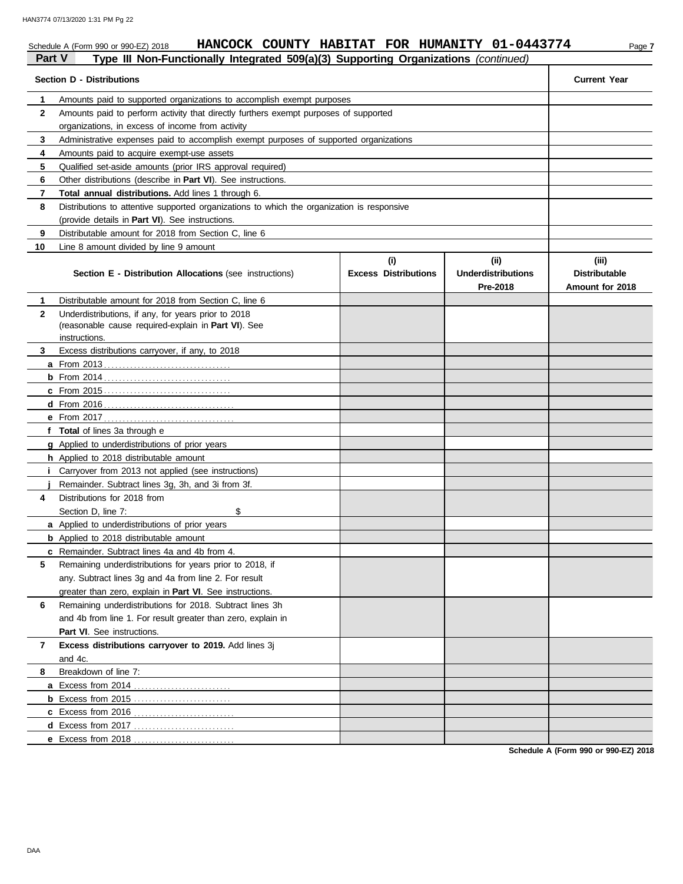#### Schedule A (Form 990 or 990-EZ) 2018 **HANCOCK COUNTY HABITAT FOR HUMANITY 01-0443774** Page 7 **Part V COUNTY HAPPENS**<br>**Part V Type III Non-Functionally Integrated 509(a)(3)**

| raπ v                            | Type III Non-Functionally Integrated 509(a)(3) Supporting Organizations (continued)                                         |                                    |                                               |                                                  |  |  |  |
|----------------------------------|-----------------------------------------------------------------------------------------------------------------------------|------------------------------------|-----------------------------------------------|--------------------------------------------------|--|--|--|
| <b>Section D - Distributions</b> | <b>Current Year</b>                                                                                                         |                                    |                                               |                                                  |  |  |  |
| 1                                | Amounts paid to supported organizations to accomplish exempt purposes                                                       |                                    |                                               |                                                  |  |  |  |
| $\mathbf{2}$                     | Amounts paid to perform activity that directly furthers exempt purposes of supported                                        |                                    |                                               |                                                  |  |  |  |
|                                  | organizations, in excess of income from activity                                                                            |                                    |                                               |                                                  |  |  |  |
| 3                                | Administrative expenses paid to accomplish exempt purposes of supported organizations                                       |                                    |                                               |                                                  |  |  |  |
| 4                                | Amounts paid to acquire exempt-use assets                                                                                   |                                    |                                               |                                                  |  |  |  |
| 5                                | Qualified set-aside amounts (prior IRS approval required)                                                                   |                                    |                                               |                                                  |  |  |  |
| 6                                | Other distributions (describe in Part VI). See instructions.                                                                |                                    |                                               |                                                  |  |  |  |
| $\overline{7}$                   | Total annual distributions. Add lines 1 through 6.                                                                          |                                    |                                               |                                                  |  |  |  |
| 8                                | Distributions to attentive supported organizations to which the organization is responsive                                  |                                    |                                               |                                                  |  |  |  |
|                                  | (provide details in Part VI). See instructions.                                                                             |                                    |                                               |                                                  |  |  |  |
| 9                                | Distributable amount for 2018 from Section C, line 6                                                                        |                                    |                                               |                                                  |  |  |  |
| 10                               | Line 8 amount divided by line 9 amount                                                                                      |                                    |                                               |                                                  |  |  |  |
|                                  | <b>Section E - Distribution Allocations (see instructions)</b>                                                              | (i)<br><b>Excess Distributions</b> | (ii)<br><b>Underdistributions</b><br>Pre-2018 | (iii)<br><b>Distributable</b><br>Amount for 2018 |  |  |  |
| $\mathbf 1$                      | Distributable amount for 2018 from Section C, line 6                                                                        |                                    |                                               |                                                  |  |  |  |
| $\mathbf{2}$                     | Underdistributions, if any, for years prior to 2018<br>(reasonable cause required-explain in Part VI). See<br>instructions. |                                    |                                               |                                                  |  |  |  |
| 3                                | Excess distributions carryover, if any, to 2018                                                                             |                                    |                                               |                                                  |  |  |  |
|                                  |                                                                                                                             |                                    |                                               |                                                  |  |  |  |
|                                  |                                                                                                                             |                                    |                                               |                                                  |  |  |  |
|                                  |                                                                                                                             |                                    |                                               |                                                  |  |  |  |
|                                  |                                                                                                                             |                                    |                                               |                                                  |  |  |  |
|                                  |                                                                                                                             |                                    |                                               |                                                  |  |  |  |
|                                  | f Total of lines 3a through e                                                                                               |                                    |                                               |                                                  |  |  |  |
|                                  | g Applied to underdistributions of prior years                                                                              |                                    |                                               |                                                  |  |  |  |
|                                  | h Applied to 2018 distributable amount                                                                                      |                                    |                                               |                                                  |  |  |  |
|                                  | <i>i</i> Carryover from 2013 not applied (see instructions)                                                                 |                                    |                                               |                                                  |  |  |  |
|                                  | Remainder. Subtract lines 3g, 3h, and 3i from 3f.                                                                           |                                    |                                               |                                                  |  |  |  |
| 4                                | Distributions for 2018 from                                                                                                 |                                    |                                               |                                                  |  |  |  |
|                                  | \$<br>Section D. line 7:                                                                                                    |                                    |                                               |                                                  |  |  |  |
|                                  | <b>a</b> Applied to underdistributions of prior years                                                                       |                                    |                                               |                                                  |  |  |  |
|                                  | <b>b</b> Applied to 2018 distributable amount                                                                               |                                    |                                               |                                                  |  |  |  |
|                                  | <b>c</b> Remainder. Subtract lines 4a and 4b from 4.                                                                        |                                    |                                               |                                                  |  |  |  |
| 5                                | Remaining underdistributions for years prior to 2018, if                                                                    |                                    |                                               |                                                  |  |  |  |
|                                  | any. Subtract lines 3g and 4a from line 2. For result                                                                       |                                    |                                               |                                                  |  |  |  |
|                                  | greater than zero, explain in Part VI. See instructions.                                                                    |                                    |                                               |                                                  |  |  |  |
| 6                                | Remaining underdistributions for 2018. Subtract lines 3h                                                                    |                                    |                                               |                                                  |  |  |  |
|                                  | and 4b from line 1. For result greater than zero, explain in                                                                |                                    |                                               |                                                  |  |  |  |
|                                  | Part VI. See instructions.                                                                                                  |                                    |                                               |                                                  |  |  |  |
| 7                                | Excess distributions carryover to 2019. Add lines 3j                                                                        |                                    |                                               |                                                  |  |  |  |
|                                  | and 4c.                                                                                                                     |                                    |                                               |                                                  |  |  |  |
| 8                                | Breakdown of line 7:                                                                                                        |                                    |                                               |                                                  |  |  |  |
|                                  |                                                                                                                             |                                    |                                               |                                                  |  |  |  |
|                                  |                                                                                                                             |                                    |                                               |                                                  |  |  |  |
|                                  |                                                                                                                             |                                    |                                               |                                                  |  |  |  |
|                                  |                                                                                                                             |                                    |                                               |                                                  |  |  |  |
|                                  | e Excess from 2018                                                                                                          |                                    |                                               |                                                  |  |  |  |

**Schedule A (Form 990 or 990-EZ) 2018**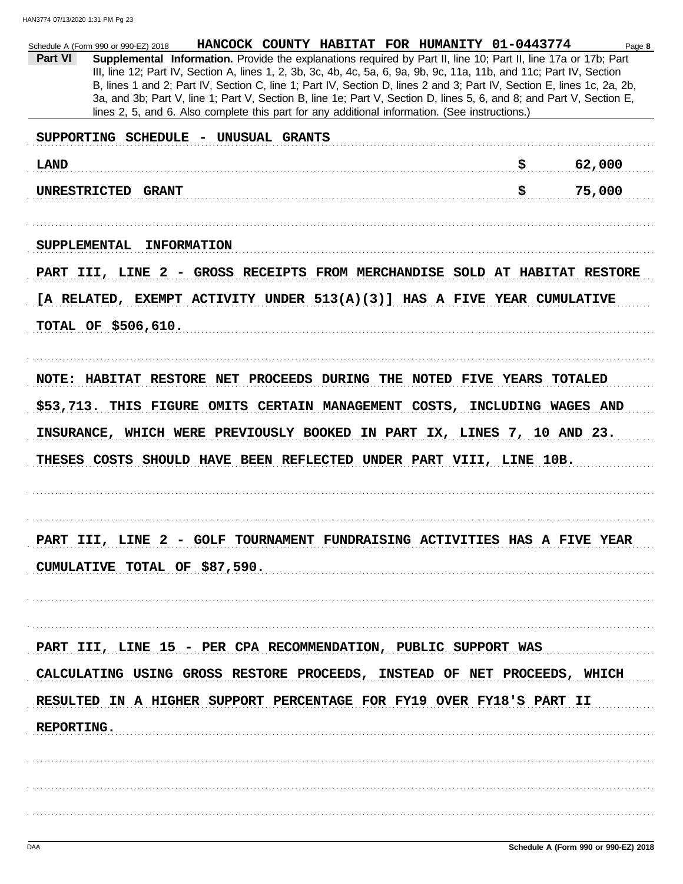|             | HANCOCK COUNTY HABITAT FOR HUMANITY 01-0443774<br>Schedule A (Form 990 or 990-EZ) 2018                                                                                                                                                         |                     | Page 8         |
|-------------|------------------------------------------------------------------------------------------------------------------------------------------------------------------------------------------------------------------------------------------------|---------------------|----------------|
| Part VI     | Supplemental Information. Provide the explanations required by Part II, line 10; Part II, line 17a or 17b; Part                                                                                                                                |                     |                |
|             | III, line 12; Part IV, Section A, lines 1, 2, 3b, 3c, 4b, 4c, 5a, 6, 9a, 9b, 9c, 11a, 11b, and 11c; Part IV, Section<br>B, lines 1 and 2; Part IV, Section C, line 1; Part IV, Section D, lines 2 and 3; Part IV, Section E, lines 1c, 2a, 2b, |                     |                |
|             | 3a, and 3b; Part V, line 1; Part V, Section B, line 1e; Part V, Section D, lines 5, 6, and 8; and Part V, Section E,                                                                                                                           |                     |                |
|             | lines 2, 5, and 6. Also complete this part for any additional information. (See instructions.)                                                                                                                                                 |                     |                |
|             | SUPPORTING SCHEDULE<br>- UNUSUAL GRANTS                                                                                                                                                                                                        |                     |                |
|             |                                                                                                                                                                                                                                                |                     |                |
| LAND        |                                                                                                                                                                                                                                                | \$                  | 62,000         |
|             | <b>UNRESTRICTED</b><br><b>GRANT</b>                                                                                                                                                                                                            | \$                  | 75,000         |
|             |                                                                                                                                                                                                                                                |                     |                |
|             | <b>SUPPLEMENTAL</b><br><b>INFORMATION</b>                                                                                                                                                                                                      |                     |                |
|             |                                                                                                                                                                                                                                                |                     |                |
|             | PART III, LINE 2 - GROSS RECEIPTS FROM MERCHANDISE SOLD AT HABITAT RESTORE                                                                                                                                                                     |                     |                |
| [A RELATED, | EXEMPT ACTIVITY UNDER $513(A)(3)$ ] HAS A FIVE YEAR CUMULATIVE                                                                                                                                                                                 |                     |                |
|             | TOTAL OF \$506,610.                                                                                                                                                                                                                            |                     |                |
|             |                                                                                                                                                                                                                                                |                     |                |
|             |                                                                                                                                                                                                                                                |                     |                |
| NOTE:       | <b>HABITAT RESTORE NET</b><br>PROCEEDS DURING<br>THE<br>NOTED FIVE                                                                                                                                                                             | YEARS               | <b>TOTALED</b> |
|             | \$53,713. THIS FIGURE OMITS CERTAIN MANAGEMENT COSTS,                                                                                                                                                                                          | INCLUDING WAGES AND |                |
|             | INSURANCE, WHICH WERE PREVIOUSLY BOOKED IN PART IX, LINES 7, 10 AND 23.                                                                                                                                                                        |                     |                |
|             |                                                                                                                                                                                                                                                |                     |                |
|             | THESES COSTS SHOULD HAVE BEEN REFLECTED UNDER PART VIII, LINE 10B.                                                                                                                                                                             |                     |                |
|             |                                                                                                                                                                                                                                                |                     |                |
|             |                                                                                                                                                                                                                                                |                     |                |
|             | PART III, LINE 2 - GOLF TOURNAMENT FUNDRAISING ACTIVITIES HAS A FIVE YEAR                                                                                                                                                                      |                     |                |
|             |                                                                                                                                                                                                                                                |                     |                |
|             | CUMULATIVE TOTAL OF \$87,590.                                                                                                                                                                                                                  |                     |                |
|             |                                                                                                                                                                                                                                                |                     |                |
|             |                                                                                                                                                                                                                                                |                     |                |
|             | PART III, LINE 15 - PER CPA RECOMMENDATION, PUBLIC SUPPORT WAS                                                                                                                                                                                 |                     |                |
|             |                                                                                                                                                                                                                                                |                     |                |
|             | CALCULATING USING GROSS RESTORE PROCEEDS, INSTEAD OF NET PROCEEDS, WHICH                                                                                                                                                                       |                     |                |
|             | RESULTED IN A HIGHER SUPPORT PERCENTAGE FOR FY19 OVER FY18'S PART II                                                                                                                                                                           |                     |                |
| REPORTING.  |                                                                                                                                                                                                                                                |                     |                |
|             |                                                                                                                                                                                                                                                |                     |                |
|             |                                                                                                                                                                                                                                                |                     |                |
|             |                                                                                                                                                                                                                                                |                     |                |
|             |                                                                                                                                                                                                                                                |                     |                |
|             |                                                                                                                                                                                                                                                |                     |                |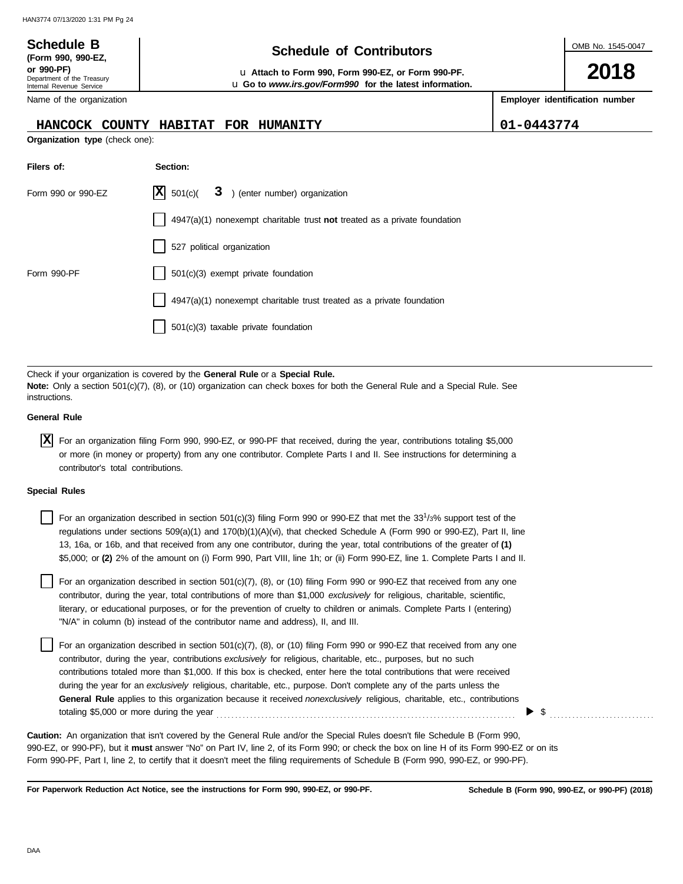Department of the Treasury Internal Revenue Service Name of the organization

**(Form 990, 990-EZ,**

## **Schedule of Contributors Schedule B**

**or 990-PF)** u **Attach to Form 990, Form 990-EZ, or Form 990-PF.** u **Go to** *www.irs.gov/Form990* **for the latest information.** OMB No. 1545-0047

**2018**

**Employer identification number**

|  |  |  |  | HANCOCK COUNTY HABITAT FOR HUMANITY | $101 - 0443774$ |
|--|--|--|--|-------------------------------------|-----------------|
|--|--|--|--|-------------------------------------|-----------------|

**Organization type** (check one):

| Filers of:         | Section:                                                                    |
|--------------------|-----------------------------------------------------------------------------|
| Form 990 or 990-EZ | $ \mathbf{X} $ 501(c)(<br>3 ) (enter number) organization                   |
|                    | $4947(a)(1)$ nonexempt charitable trust not treated as a private foundation |
|                    | 527 political organization                                                  |
| Form 990-PF        | 501(c)(3) exempt private foundation                                         |
|                    | 4947(a)(1) nonexempt charitable trust treated as a private foundation       |
|                    | 501(c)(3) taxable private foundation                                        |

Check if your organization is covered by the **General Rule** or a **Special Rule. Note:** Only a section 501(c)(7), (8), or (10) organization can check boxes for both the General Rule and a Special Rule. See instructions.

#### **General Rule**

For an organization filing Form 990, 990-EZ, or 990-PF that received, during the year, contributions totaling \$5,000 **X** or more (in money or property) from any one contributor. Complete Parts I and II. See instructions for determining a contributor's total contributions.

#### **Special Rules**

| For an organization described in section 501(c)(3) filing Form 990 or 990-EZ that met the 33 <sup>1</sup> /3% support test of the |
|-----------------------------------------------------------------------------------------------------------------------------------|
| regulations under sections 509(a)(1) and 170(b)(1)(A)(vi), that checked Schedule A (Form 990 or 990-EZ), Part II, line            |
| 13, 16a, or 16b, and that received from any one contributor, during the year, total contributions of the greater of (1)           |
| \$5,000; or (2) 2% of the amount on (i) Form 990, Part VIII, line 1h; or (ii) Form 990-EZ, line 1. Complete Parts I and II.       |

literary, or educational purposes, or for the prevention of cruelty to children or animals. Complete Parts I (entering) For an organization described in section 501(c)(7), (8), or (10) filing Form 990 or 990-EZ that received from any one contributor, during the year, total contributions of more than \$1,000 *exclusively* for religious, charitable, scientific, "N/A" in column (b) instead of the contributor name and address), II, and III.

For an organization described in section 501(c)(7), (8), or (10) filing Form 990 or 990-EZ that received from any one contributor, during the year, contributions *exclusively* for religious, charitable, etc., purposes, but no such contributions totaled more than \$1,000. If this box is checked, enter here the total contributions that were received during the year for an *exclusively* religious, charitable, etc., purpose. Don't complete any of the parts unless the **General Rule** applies to this organization because it received *nonexclusively* religious, charitable, etc., contributions totaling \$5,000 or more during the year . . . . . . . . . . . . . . . . . . . . . . . . . . . . . . . . . . . . . . . . . . . . . . . . . . . . . . . . . . . . . . . . . . . . . . . . . . . . . . . .

990-EZ, or 990-PF), but it **must** answer "No" on Part IV, line 2, of its Form 990; or check the box on line H of its Form 990-EZ or on its Form 990-PF, Part I, line 2, to certify that it doesn't meet the filing requirements of Schedule B (Form 990, 990-EZ, or 990-PF). **Caution:** An organization that isn't covered by the General Rule and/or the Special Rules doesn't file Schedule B (Form 990,

**For Paperwork Reduction Act Notice, see the instructions for Form 990, 990-EZ, or 990-PF.**

 $\triangleright$  \$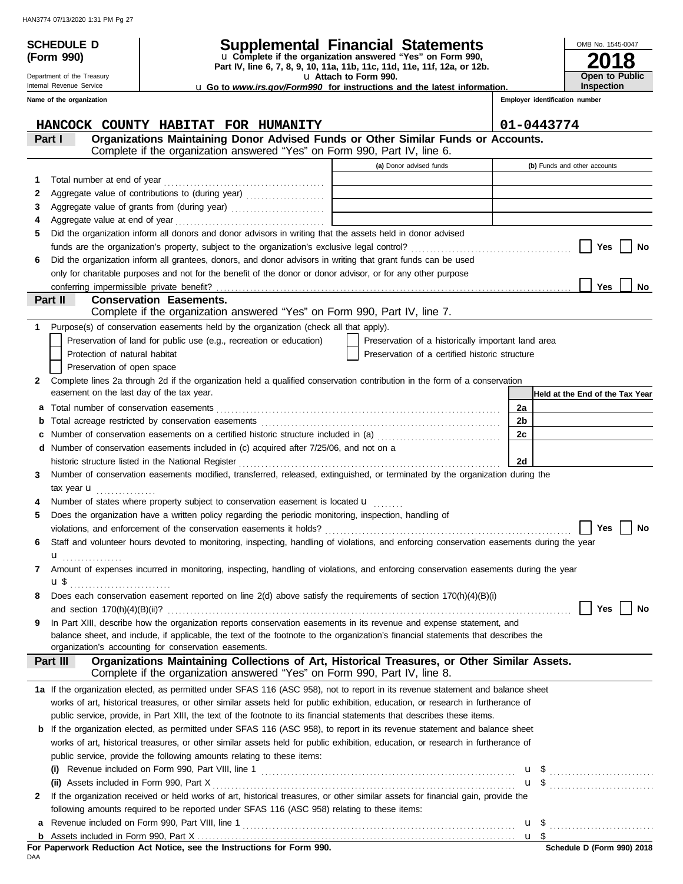**(Form 990)**

Department of the Treasury Internal Revenue Service

## **SCHEDULE D Supplemental Financial Statements**

**Part IV, line 6, 7, 8, 9, 10, 11a, 11b, 11c, 11d, 11e, 11f, 12a, or 12b.** u **Complete if the organization answered "Yes" on Form 990,**

u **Attach to Form 990.**  u **Go to** *www.irs.gov/Form990* **for instructions and the latest information.**

**Inspection**

**2018**

**Open to Public**

OMB No. 1545-0047

| Name of the organization                                                                          |                                                                                                                                                                                                                                | Employer identification number  |
|---------------------------------------------------------------------------------------------------|--------------------------------------------------------------------------------------------------------------------------------------------------------------------------------------------------------------------------------|---------------------------------|
| HANCOCK COUNTY HABITAT FOR HUMANITY                                                               |                                                                                                                                                                                                                                | 01-0443774                      |
| Part I                                                                                            | Organizations Maintaining Donor Advised Funds or Other Similar Funds or Accounts.<br>Complete if the organization answered "Yes" on Form 990, Part IV, line 6.                                                                 |                                 |
|                                                                                                   | (a) Donor advised funds                                                                                                                                                                                                        | (b) Funds and other accounts    |
| Total number at end of year<br>1                                                                  |                                                                                                                                                                                                                                |                                 |
| 2                                                                                                 |                                                                                                                                                                                                                                |                                 |
| 3                                                                                                 |                                                                                                                                                                                                                                |                                 |
| 4                                                                                                 |                                                                                                                                                                                                                                |                                 |
| 5                                                                                                 | Did the organization inform all donors and donor advisors in writing that the assets held in donor advised                                                                                                                     |                                 |
|                                                                                                   |                                                                                                                                                                                                                                | Yes<br>No                       |
| 6                                                                                                 | Did the organization inform all grantees, donors, and donor advisors in writing that grant funds can be used                                                                                                                   |                                 |
|                                                                                                   | only for charitable purposes and not for the benefit of the donor or donor advisor, or for any other purpose                                                                                                                   |                                 |
|                                                                                                   |                                                                                                                                                                                                                                | Yes<br>No                       |
| Part II<br><b>Conservation Easements.</b>                                                         | Complete if the organization answered "Yes" on Form 990, Part IV, line 7.                                                                                                                                                      |                                 |
| Purpose(s) of conservation easements held by the organization (check all that apply).<br>1        |                                                                                                                                                                                                                                |                                 |
| Preservation of land for public use (e.g., recreation or education)                               | Preservation of a historically important land area                                                                                                                                                                             |                                 |
| Protection of natural habitat                                                                     | Preservation of a certified historic structure                                                                                                                                                                                 |                                 |
| Preservation of open space                                                                        |                                                                                                                                                                                                                                |                                 |
| 2                                                                                                 | Complete lines 2a through 2d if the organization held a qualified conservation contribution in the form of a conservation                                                                                                      |                                 |
| easement on the last day of the tax year.                                                         |                                                                                                                                                                                                                                | Held at the End of the Tax Year |
| а                                                                                                 |                                                                                                                                                                                                                                | 2a                              |
| b                                                                                                 |                                                                                                                                                                                                                                | 2b                              |
| c                                                                                                 | Number of conservation easements on a certified historic structure included in (a) [[[[[[ [ ]]]]                                                                                                                               | 2c                              |
| <b>d</b> Number of conservation easements included in (c) acquired after $7/25/06$ , and not on a |                                                                                                                                                                                                                                |                                 |
|                                                                                                   | historic structure listed in the National Register [11] match and the structure of the National Register [11] match and the National Register [11] match and the National Register [11] match and the National Register [11] m | 2d                              |
| 3                                                                                                 | Number of conservation easements modified, transferred, released, extinguished, or terminated by the organization during the                                                                                                   |                                 |
| tax year $\mathbf u$                                                                              |                                                                                                                                                                                                                                |                                 |
| Number of states where property subject to conservation easement is located u                     |                                                                                                                                                                                                                                |                                 |
| 5                                                                                                 | Does the organization have a written policy regarding the periodic monitoring, inspection, handling of                                                                                                                         | Yes<br>No                       |
| 6                                                                                                 | Staff and volunteer hours devoted to monitoring, inspecting, handling of violations, and enforcing conservation easements during the year                                                                                      |                                 |
|                                                                                                   |                                                                                                                                                                                                                                |                                 |
| u <u>.</u> .                                                                                      | Amount of expenses incurred in monitoring, inspecting, handling of violations, and enforcing conservation easements during the year                                                                                            |                                 |
| u\$                                                                                               |                                                                                                                                                                                                                                |                                 |
|                                                                                                   | Does each conservation easement reported on line $2(d)$ above satisfy the requirements of section $170(h)(4)(B)(i)$                                                                                                            |                                 |
|                                                                                                   |                                                                                                                                                                                                                                | Yes<br>No                       |
| 9                                                                                                 | In Part XIII, describe how the organization reports conservation easements in its revenue and expense statement, and                                                                                                           |                                 |
|                                                                                                   | balance sheet, and include, if applicable, the text of the footnote to the organization's financial statements that describes the                                                                                              |                                 |
| organization's accounting for conservation easements.                                             |                                                                                                                                                                                                                                |                                 |
| Part III                                                                                          | Organizations Maintaining Collections of Art, Historical Treasures, or Other Similar Assets.<br>Complete if the organization answered "Yes" on Form 990, Part IV, line 8.                                                      |                                 |
|                                                                                                   | 1a If the organization elected, as permitted under SFAS 116 (ASC 958), not to report in its revenue statement and balance sheet                                                                                                |                                 |
|                                                                                                   | works of art, historical treasures, or other similar assets held for public exhibition, education, or research in furtherance of                                                                                               |                                 |
|                                                                                                   | public service, provide, in Part XIII, the text of the footnote to its financial statements that describes these items.                                                                                                        |                                 |
| b                                                                                                 | If the organization elected, as permitted under SFAS 116 (ASC 958), to report in its revenue statement and balance sheet                                                                                                       |                                 |
|                                                                                                   | works of art, historical treasures, or other similar assets held for public exhibition, education, or research in furtherance of                                                                                               |                                 |
| public service, provide the following amounts relating to these items:                            |                                                                                                                                                                                                                                |                                 |
|                                                                                                   |                                                                                                                                                                                                                                | $\mathbf{u}$ \$                 |
|                                                                                                   |                                                                                                                                                                                                                                |                                 |
| 2                                                                                                 | If the organization received or held works of art, historical treasures, or other similar assets for financial gain, provide the                                                                                               |                                 |
|                                                                                                   | following amounts required to be reported under SFAS 116 (ASC 958) relating to these items:                                                                                                                                    |                                 |
| а                                                                                                 |                                                                                                                                                                                                                                | $\mathbf{u}$ \$                 |
|                                                                                                   |                                                                                                                                                                                                                                |                                 |

DAA **For Paperwork Reduction Act Notice, see the Instructions for Form 990.**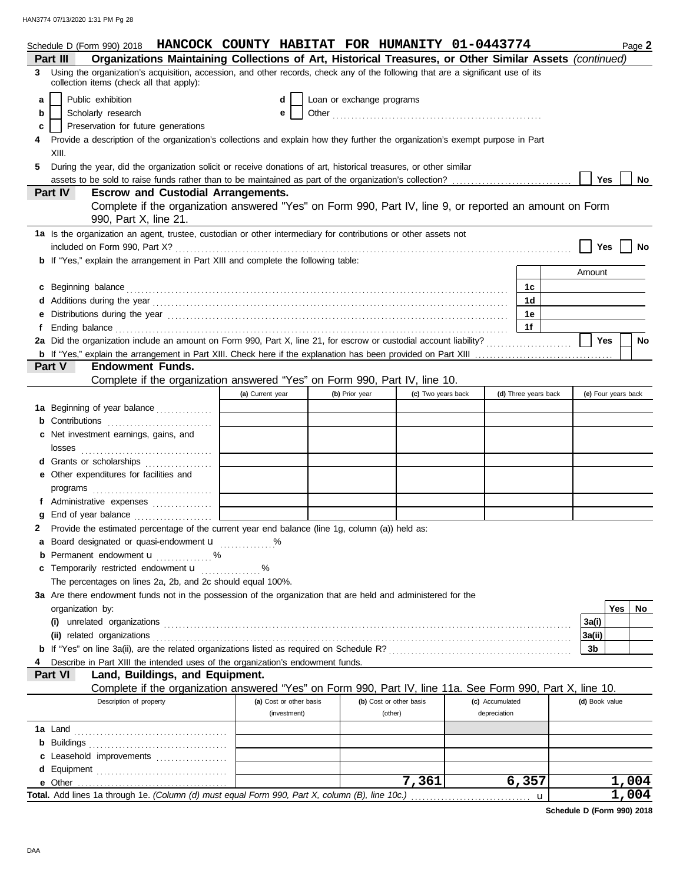|   | Schedule D (Form 990) 2018 HANCOCK COUNTY HABITAT FOR HUMANITY 01-0443774                                                                                                                                                      |                                                  |                           |                                    |                                 |                      |                     | Page 2     |  |  |
|---|--------------------------------------------------------------------------------------------------------------------------------------------------------------------------------------------------------------------------------|--------------------------------------------------|---------------------------|------------------------------------|---------------------------------|----------------------|---------------------|------------|--|--|
|   | Organizations Maintaining Collections of Art, Historical Treasures, or Other Similar Assets (continued)<br>Part III                                                                                                            |                                                  |                           |                                    |                                 |                      |                     |            |  |  |
|   | 3 Using the organization's acquisition, accession, and other records, check any of the following that are a significant use of its<br>collection items (check all that apply):                                                 |                                                  |                           |                                    |                                 |                      |                     |            |  |  |
| a | Public exhibition                                                                                                                                                                                                              | d                                                | Loan or exchange programs |                                    |                                 |                      |                     |            |  |  |
| b | Scholarly research                                                                                                                                                                                                             | е                                                |                           |                                    |                                 |                      |                     |            |  |  |
| c | Preservation for future generations                                                                                                                                                                                            |                                                  |                           |                                    |                                 |                      |                     |            |  |  |
|   | Provide a description of the organization's collections and explain how they further the organization's exempt purpose in Part                                                                                                 |                                                  |                           |                                    |                                 |                      |                     |            |  |  |
|   | XIII.                                                                                                                                                                                                                          |                                                  |                           |                                    |                                 |                      |                     |            |  |  |
| 5 | During the year, did the organization solicit or receive donations of art, historical treasures, or other similar                                                                                                              |                                                  |                           |                                    |                                 |                      |                     |            |  |  |
|   |                                                                                                                                                                                                                                |                                                  |                           |                                    |                                 |                      | Yes                 | No         |  |  |
|   | Part IV<br><b>Escrow and Custodial Arrangements.</b>                                                                                                                                                                           |                                                  |                           |                                    |                                 |                      |                     |            |  |  |
|   | Complete if the organization answered "Yes" on Form 990, Part IV, line 9, or reported an amount on Form                                                                                                                        |                                                  |                           |                                    |                                 |                      |                     |            |  |  |
|   | 990, Part X, line 21.                                                                                                                                                                                                          |                                                  |                           |                                    |                                 |                      |                     |            |  |  |
|   | 1a Is the organization an agent, trustee, custodian or other intermediary for contributions or other assets not                                                                                                                |                                                  |                           |                                    |                                 |                      |                     |            |  |  |
|   | included on Form 990, Part X?                                                                                                                                                                                                  |                                                  |                           |                                    |                                 |                      | Yes                 | No         |  |  |
|   | <b>b</b> If "Yes," explain the arrangement in Part XIII and complete the following table:                                                                                                                                      |                                                  |                           |                                    |                                 |                      |                     |            |  |  |
|   |                                                                                                                                                                                                                                |                                                  |                           |                                    |                                 |                      | Amount              |            |  |  |
| c |                                                                                                                                                                                                                                |                                                  |                           |                                    |                                 | 1c                   |                     |            |  |  |
|   |                                                                                                                                                                                                                                |                                                  |                           |                                    |                                 | 1d                   |                     |            |  |  |
|   | Distributions during the year manufactured contains and the year manufactured with the year manufactured with                                                                                                                  |                                                  |                           |                                    |                                 | 1e                   |                     |            |  |  |
| f | Ending balance contains and account of the contact of the contact of the contact of the contact of the contact of the contact of the contact of the contact of the contact of the contact of the contact of the contact of the |                                                  |                           |                                    |                                 | 1f                   |                     |            |  |  |
|   | 2a Did the organization include an amount on Form 990, Part X, line 21, for escrow or custodial account liability?                                                                                                             |                                                  |                           |                                    |                                 |                      | Yes                 | No         |  |  |
|   |                                                                                                                                                                                                                                |                                                  |                           |                                    |                                 |                      |                     |            |  |  |
|   | Part V<br><b>Endowment Funds.</b>                                                                                                                                                                                              |                                                  |                           |                                    |                                 |                      |                     |            |  |  |
|   | Complete if the organization answered "Yes" on Form 990, Part IV, line 10.                                                                                                                                                     |                                                  |                           |                                    |                                 |                      |                     |            |  |  |
|   |                                                                                                                                                                                                                                | (a) Current year                                 | (b) Prior year            | (c) Two years back                 |                                 | (d) Three years back | (e) Four years back |            |  |  |
|   | 1a Beginning of year balance                                                                                                                                                                                                   |                                                  |                           |                                    |                                 |                      |                     |            |  |  |
| b |                                                                                                                                                                                                                                |                                                  |                           |                                    |                                 |                      |                     |            |  |  |
|   | Net investment earnings, gains, and                                                                                                                                                                                            |                                                  |                           |                                    |                                 |                      |                     |            |  |  |
|   | losses                                                                                                                                                                                                                         |                                                  |                           |                                    |                                 |                      |                     |            |  |  |
|   | d Grants or scholarships                                                                                                                                                                                                       |                                                  |                           |                                    |                                 |                      |                     |            |  |  |
|   | Other expenditures for facilities and                                                                                                                                                                                          |                                                  |                           |                                    |                                 |                      |                     |            |  |  |
|   |                                                                                                                                                                                                                                |                                                  |                           |                                    |                                 |                      |                     |            |  |  |
|   |                                                                                                                                                                                                                                | <u> 1990 - John Barnett, francuski politik (</u> |                           |                                    |                                 |                      |                     |            |  |  |
|   | End of year balance                                                                                                                                                                                                            |                                                  |                           |                                    |                                 |                      |                     |            |  |  |
|   | Provide the estimated percentage of the current year end balance (line 1g, column (a)) held as:                                                                                                                                |                                                  |                           |                                    |                                 |                      |                     |            |  |  |
|   | Board designated or quasi-endowment <b>u</b> %                                                                                                                                                                                 |                                                  |                           |                                    |                                 |                      |                     |            |  |  |
|   | <b>b</b> Permanent endowment <b>u</b> %                                                                                                                                                                                        |                                                  |                           |                                    |                                 |                      |                     |            |  |  |
| c | Temporarily restricted endowment <b>u</b> %                                                                                                                                                                                    |                                                  |                           |                                    |                                 |                      |                     |            |  |  |
|   | The percentages on lines 2a, 2b, and 2c should equal 100%.                                                                                                                                                                     |                                                  |                           |                                    |                                 |                      |                     |            |  |  |
|   | 3a Are there endowment funds not in the possession of the organization that are held and administered for the                                                                                                                  |                                                  |                           |                                    |                                 |                      |                     |            |  |  |
|   | organization by:                                                                                                                                                                                                               |                                                  |                           |                                    |                                 |                      |                     | Yes<br>No. |  |  |
|   |                                                                                                                                                                                                                                |                                                  |                           |                                    |                                 |                      | 3a(i)               |            |  |  |
|   |                                                                                                                                                                                                                                |                                                  |                           |                                    |                                 |                      | 3a(ii)              |            |  |  |
|   |                                                                                                                                                                                                                                |                                                  |                           |                                    |                                 |                      | 3b                  |            |  |  |
|   | Describe in Part XIII the intended uses of the organization's endowment funds.                                                                                                                                                 |                                                  |                           |                                    |                                 |                      |                     |            |  |  |
|   | Part VI<br>Land, Buildings, and Equipment.                                                                                                                                                                                     |                                                  |                           |                                    |                                 |                      |                     |            |  |  |
|   | Complete if the organization answered "Yes" on Form 990, Part IV, line 11a. See Form 990, Part X, line 10.                                                                                                                     |                                                  |                           |                                    |                                 |                      |                     |            |  |  |
|   | Description of property                                                                                                                                                                                                        | (a) Cost or other basis<br>(investment)          |                           | (b) Cost or other basis<br>(other) | (c) Accumulated<br>depreciation |                      | (d) Book value      |            |  |  |
|   |                                                                                                                                                                                                                                |                                                  |                           |                                    |                                 |                      |                     |            |  |  |
|   |                                                                                                                                                                                                                                |                                                  |                           |                                    |                                 |                      |                     |            |  |  |
|   |                                                                                                                                                                                                                                |                                                  |                           |                                    |                                 |                      |                     |            |  |  |
|   | c Leasehold improvements                                                                                                                                                                                                       |                                                  |                           |                                    |                                 |                      |                     |            |  |  |
|   |                                                                                                                                                                                                                                |                                                  |                           |                                    |                                 |                      |                     |            |  |  |
|   |                                                                                                                                                                                                                                |                                                  |                           | 7,361                              |                                 | 6,357                |                     | 1,004      |  |  |
|   |                                                                                                                                                                                                                                |                                                  |                           |                                    |                                 |                      |                     | 1,004      |  |  |

**Schedule D (Form 990) 2018**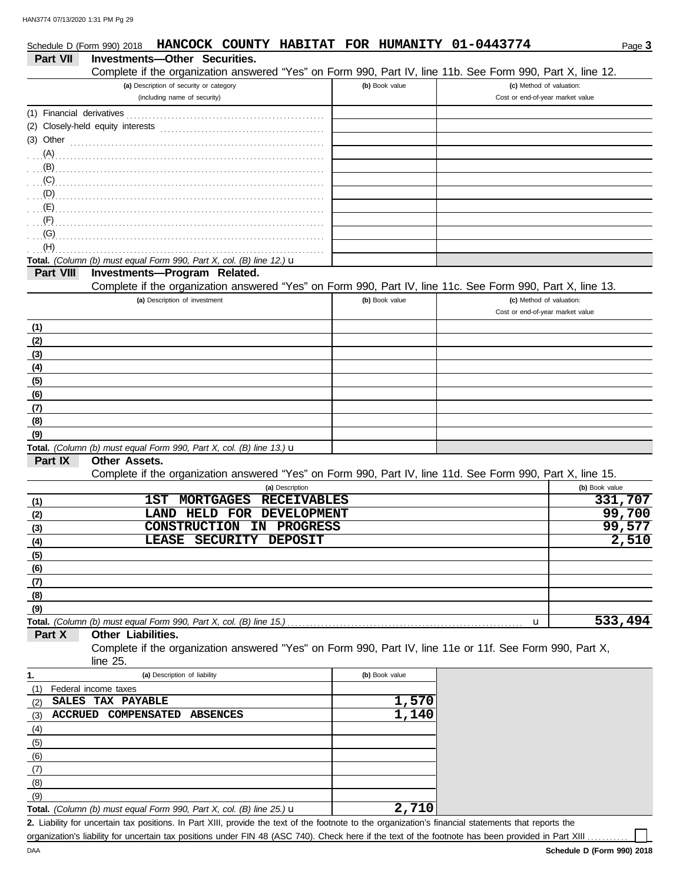|                 | Schedule D (Form 990) 2018 HANCOCK COUNTY HABITAT FOR HUMANITY 01-0443774                                                                                                                                                                |                |                                                              | Page 3         |
|-----------------|------------------------------------------------------------------------------------------------------------------------------------------------------------------------------------------------------------------------------------------|----------------|--------------------------------------------------------------|----------------|
| <b>Part VII</b> | Investments-Other Securities.                                                                                                                                                                                                            |                |                                                              |                |
|                 | Complete if the organization answered "Yes" on Form 990, Part IV, line 11b. See Form 990, Part X, line 12.                                                                                                                               |                |                                                              |                |
|                 | (a) Description of security or category<br>(including name of security)                                                                                                                                                                  | (b) Book value | (c) Method of valuation:<br>Cost or end-of-year market value |                |
|                 |                                                                                                                                                                                                                                          |                |                                                              |                |
|                 |                                                                                                                                                                                                                                          |                |                                                              |                |
|                 |                                                                                                                                                                                                                                          |                |                                                              |                |
|                 |                                                                                                                                                                                                                                          |                |                                                              |                |
|                 |                                                                                                                                                                                                                                          |                |                                                              |                |
|                 | $\mathbf{B}$                                                                                                                                                                                                                             |                |                                                              |                |
|                 | (C)<br>$\mathbf{D}$ (D) and the contract of the contract of the contract of the contract of the contract of the contract of the contract of the contract of the contract of the contract of the contract of the contract of the contract |                |                                                              |                |
|                 |                                                                                                                                                                                                                                          |                |                                                              |                |
|                 |                                                                                                                                                                                                                                          |                |                                                              |                |
|                 |                                                                                                                                                                                                                                          |                |                                                              |                |
| (H)             |                                                                                                                                                                                                                                          |                |                                                              |                |
|                 | Total. (Column (b) must equal Form 990, Part X, col. (B) line 12.) $\mathbf u$                                                                                                                                                           |                |                                                              |                |
| Part VIII       | Investments-Program Related.                                                                                                                                                                                                             |                |                                                              |                |
|                 | Complete if the organization answered "Yes" on Form 990, Part IV, line 11c. See Form 990, Part X, line 13.                                                                                                                               |                |                                                              |                |
|                 | (a) Description of investment                                                                                                                                                                                                            | (b) Book value | (c) Method of valuation:                                     |                |
|                 |                                                                                                                                                                                                                                          |                | Cost or end-of-year market value                             |                |
| (1)             |                                                                                                                                                                                                                                          |                |                                                              |                |
| (2)             |                                                                                                                                                                                                                                          |                |                                                              |                |
| (3)             |                                                                                                                                                                                                                                          |                |                                                              |                |
| (4)             |                                                                                                                                                                                                                                          |                |                                                              |                |
| (5)             |                                                                                                                                                                                                                                          |                |                                                              |                |
| (6)             |                                                                                                                                                                                                                                          |                |                                                              |                |
| (7)             |                                                                                                                                                                                                                                          |                |                                                              |                |
| (8)<br>(9)      |                                                                                                                                                                                                                                          |                |                                                              |                |
|                 | Total. (Column (b) must equal Form 990, Part X, col. (B) line 13.) $\mathbf u$                                                                                                                                                           |                |                                                              |                |
| Part IX         | <b>Other Assets.</b>                                                                                                                                                                                                                     |                |                                                              |                |
|                 | Complete if the organization answered "Yes" on Form 990, Part IV, line 11d. See Form 990, Part X, line 15.                                                                                                                               |                |                                                              |                |
|                 | (a) Description                                                                                                                                                                                                                          |                |                                                              | (b) Book value |
| (1)             | 1ST<br><b>MORTGAGES</b><br><b>RECEIVABLES</b>                                                                                                                                                                                            |                |                                                              | 331,707        |
| (2)             | LAND HELD FOR DEVELOPMENT                                                                                                                                                                                                                |                |                                                              | 99,700         |
| (3)             | <b>CONSTRUCTION</b><br>IN PROGRESS                                                                                                                                                                                                       |                |                                                              | 99,577         |
| (4)             | LEASE SECURITY<br>DEPOSIT                                                                                                                                                                                                                |                |                                                              | 2,510          |
| (5)             |                                                                                                                                                                                                                                          |                |                                                              |                |
| (6)             |                                                                                                                                                                                                                                          |                |                                                              |                |
| (7)             |                                                                                                                                                                                                                                          |                |                                                              |                |
| (8)             |                                                                                                                                                                                                                                          |                |                                                              |                |
| (9)             |                                                                                                                                                                                                                                          |                |                                                              |                |
|                 |                                                                                                                                                                                                                                          |                | u                                                            | 533,494        |
| Part X          | Other Liabilities.                                                                                                                                                                                                                       |                |                                                              |                |
|                 | Complete if the organization answered "Yes" on Form 990, Part IV, line 11e or 11f. See Form 990, Part X,                                                                                                                                 |                |                                                              |                |
|                 | line $25$ .                                                                                                                                                                                                                              |                |                                                              |                |
| 1.              | (a) Description of liability                                                                                                                                                                                                             | (b) Book value |                                                              |                |
| (1)             | Federal income taxes<br>SALES TAX PAYABLE                                                                                                                                                                                                | 1,570          |                                                              |                |
| (2)<br>ACCRUED  | <b>COMPENSATED</b><br><b>ABSENCES</b>                                                                                                                                                                                                    | 1,140          |                                                              |                |
| (3)             |                                                                                                                                                                                                                                          |                |                                                              |                |
| (4)<br>(5)      |                                                                                                                                                                                                                                          |                |                                                              |                |
| (6)             |                                                                                                                                                                                                                                          |                |                                                              |                |
| (7)             |                                                                                                                                                                                                                                          |                |                                                              |                |
| (8)             |                                                                                                                                                                                                                                          |                |                                                              |                |
| (9)             |                                                                                                                                                                                                                                          |                |                                                              |                |
|                 | Total. (Column (b) must equal Form 990, Part X, col. (B) line 25.) $\mathbf u$                                                                                                                                                           | 2,710          |                                                              |                |

Liability for uncertain tax positions. In Part XIII, provide the text of the footnote to the organization's financial statements that reports the **2.** organization's liability for uncertain tax positions under FIN 48 (ASC 740). Check here if the text of the footnote has been provided in Part XIII .

 $\mathbf{I}$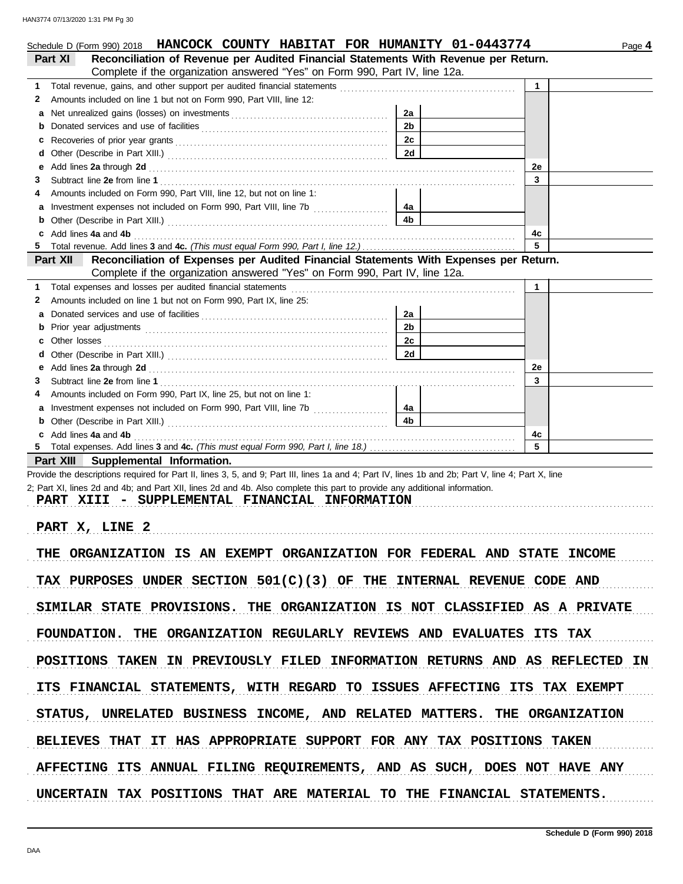| Schedule D (Form 990) 2018 HANCOCK COUNTY HABITAT FOR HUMANITY 01-0443774<br>Part XI<br>Reconciliation of Revenue per Audited Financial Statements With Revenue per Return.                                                         |                | Page 4       |  |  |  |  |  |
|-------------------------------------------------------------------------------------------------------------------------------------------------------------------------------------------------------------------------------------|----------------|--------------|--|--|--|--|--|
| Complete if the organization answered "Yes" on Form 990, Part IV, line 12a.                                                                                                                                                         |                |              |  |  |  |  |  |
| 1                                                                                                                                                                                                                                   |                | $\mathbf{1}$ |  |  |  |  |  |
| Amounts included on line 1 but not on Form 990, Part VIII, line 12:<br>2                                                                                                                                                            |                |              |  |  |  |  |  |
| a                                                                                                                                                                                                                                   | 2a             |              |  |  |  |  |  |
| b                                                                                                                                                                                                                                   | 2 <sub>b</sub> |              |  |  |  |  |  |
| c                                                                                                                                                                                                                                   | 2c             |              |  |  |  |  |  |
| d                                                                                                                                                                                                                                   | 2d             |              |  |  |  |  |  |
| Add lines 2a through 2d [11] Add [12] Add [12] Add lines 2a through 2d [12] Add lines 2a through 2d [12] Add [12] Add [12] Add [12] Add [12] Add [12] Add [12] Add [12] Add [12] Add [12] Add [12] Add [12] Add [12] Add [12]<br>е  |                | 2e           |  |  |  |  |  |
| 3                                                                                                                                                                                                                                   |                | 3            |  |  |  |  |  |
| Amounts included on Form 990, Part VIII, line 12, but not on line 1:<br>4                                                                                                                                                           |                |              |  |  |  |  |  |
| а                                                                                                                                                                                                                                   | 4a             |              |  |  |  |  |  |
| b                                                                                                                                                                                                                                   | 4b             |              |  |  |  |  |  |
| Add lines 4a and 4b<br>c                                                                                                                                                                                                            |                | 4c           |  |  |  |  |  |
| 5.                                                                                                                                                                                                                                  |                | 5            |  |  |  |  |  |
| Reconciliation of Expenses per Audited Financial Statements With Expenses per Return.<br>Part XII                                                                                                                                   |                |              |  |  |  |  |  |
| Complete if the organization answered "Yes" on Form 990, Part IV, line 12a.                                                                                                                                                         |                |              |  |  |  |  |  |
| 1                                                                                                                                                                                                                                   |                | $\mathbf 1$  |  |  |  |  |  |
| Amounts included on line 1 but not on Form 990, Part IX, line 25:<br>2                                                                                                                                                              |                |              |  |  |  |  |  |
| a                                                                                                                                                                                                                                   | 2a             |              |  |  |  |  |  |
| Prior year adjustments [11, 11] All the contract of the contract of the contract of the contract of the contract of the contract of the contract of the contract of the contract of the contract of the contract of the contra<br>b | 2 <sub>b</sub> |              |  |  |  |  |  |
| c                                                                                                                                                                                                                                   | 2с             |              |  |  |  |  |  |
| d                                                                                                                                                                                                                                   | <b>2d</b>      |              |  |  |  |  |  |
| Add lines 2a through 2d [11] All and the contract of the contract of the contract of the contract of the contract of the contract of the contract of the contract of the contract of the contract of the contract of the contr<br>е |                | 2е           |  |  |  |  |  |
| 3                                                                                                                                                                                                                                   |                | 3            |  |  |  |  |  |
| Amounts included on Form 990, Part IX, line 25, but not on line 1:<br>4                                                                                                                                                             |                |              |  |  |  |  |  |
| a                                                                                                                                                                                                                                   | 4a             |              |  |  |  |  |  |
| b                                                                                                                                                                                                                                   | 4 <sub>b</sub> |              |  |  |  |  |  |
| c Add lines 4a and 4b                                                                                                                                                                                                               |                | 4c           |  |  |  |  |  |
|                                                                                                                                                                                                                                     |                | 5            |  |  |  |  |  |
| Part XIII Supplemental Information.                                                                                                                                                                                                 |                |              |  |  |  |  |  |
| Provide the descriptions required for Part II, lines 3, 5, and 9; Part III, lines 1a and 4; Part IV, lines 1b and 2b; Part V, line 4; Part X, line                                                                                  |                |              |  |  |  |  |  |
| 2; Part XI, lines 2d and 4b; and Part XII, lines 2d and 4b. Also complete this part to provide any additional information.                                                                                                          |                |              |  |  |  |  |  |
| PART XIII - SUPPLEMENTAL FINANCIAL INFORMATION                                                                                                                                                                                      |                |              |  |  |  |  |  |
|                                                                                                                                                                                                                                     |                |              |  |  |  |  |  |
| PART X, LINE 2                                                                                                                                                                                                                      |                |              |  |  |  |  |  |
|                                                                                                                                                                                                                                     |                |              |  |  |  |  |  |
| THE ORGANIZATION IS AN EXEMPT ORGANIZATION FOR FEDERAL AND STATE INCOME                                                                                                                                                             |                |              |  |  |  |  |  |
|                                                                                                                                                                                                                                     |                |              |  |  |  |  |  |
| TAX PURPOSES UNDER SECTION $501(C)(3)$ OF THE INTERNAL REVENUE CODE AND                                                                                                                                                             |                |              |  |  |  |  |  |
|                                                                                                                                                                                                                                     |                |              |  |  |  |  |  |
| SIMILAR STATE PROVISIONS. THE ORGANIZATION IS NOT CLASSIFIED AS A PRIVATE                                                                                                                                                           |                |              |  |  |  |  |  |
|                                                                                                                                                                                                                                     |                |              |  |  |  |  |  |
| FOUNDATION. THE ORGANIZATION REGULARLY REVIEWS AND EVALUATES ITS TAX                                                                                                                                                                |                |              |  |  |  |  |  |
|                                                                                                                                                                                                                                     |                |              |  |  |  |  |  |
|                                                                                                                                                                                                                                     |                |              |  |  |  |  |  |
| POSITIONS TAKEN IN PREVIOUSLY FILED INFORMATION RETURNS AND AS REFLECTED IN                                                                                                                                                         |                |              |  |  |  |  |  |
|                                                                                                                                                                                                                                     |                |              |  |  |  |  |  |
| ITS FINANCIAL STATEMENTS, WITH REGARD TO ISSUES AFFECTING ITS TAX EXEMPT                                                                                                                                                            |                |              |  |  |  |  |  |
|                                                                                                                                                                                                                                     |                |              |  |  |  |  |  |
| STATUS, UNRELATED BUSINESS INCOME, AND RELATED MATTERS. THE ORGANIZATION                                                                                                                                                            |                |              |  |  |  |  |  |
|                                                                                                                                                                                                                                     |                |              |  |  |  |  |  |
| BELIEVES THAT IT HAS APPROPRIATE SUPPORT FOR ANY TAX POSITIONS TAKEN                                                                                                                                                                |                |              |  |  |  |  |  |
|                                                                                                                                                                                                                                     |                |              |  |  |  |  |  |
| AFFECTING ITS ANNUAL FILING REQUIREMENTS, AND AS SUCH, DOES NOT HAVE ANY                                                                                                                                                            |                |              |  |  |  |  |  |
|                                                                                                                                                                                                                                     |                |              |  |  |  |  |  |
| UNCERTAIN TAX POSITIONS THAT ARE MATERIAL TO THE FINANCIAL STATEMENTS.                                                                                                                                                              |                |              |  |  |  |  |  |
|                                                                                                                                                                                                                                     |                |              |  |  |  |  |  |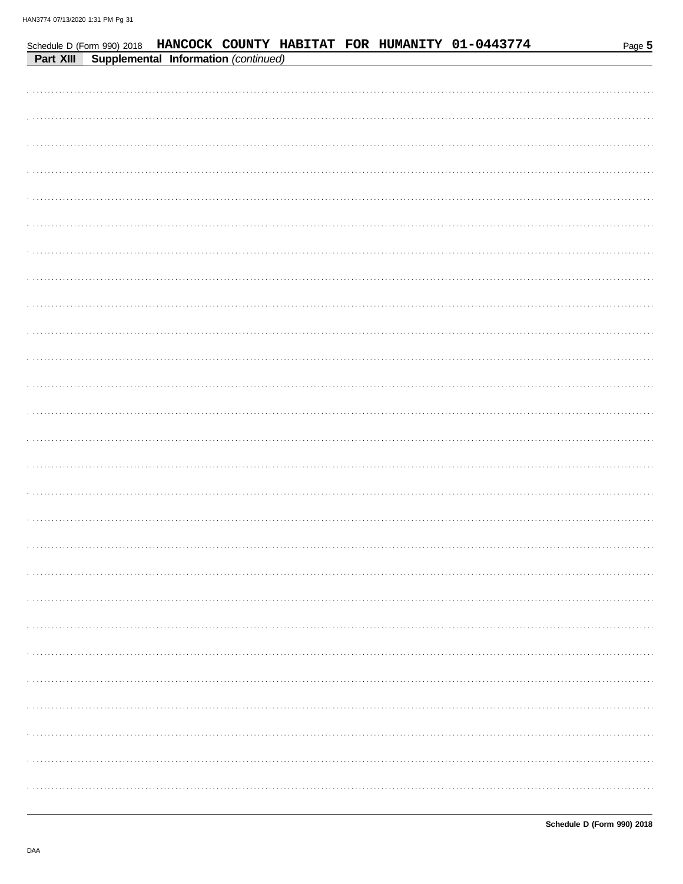|           |                                      |  |  |  | Schedule D (Form 990) 2018 HANCOCK COUNTY HABITAT FOR HUMANITY 01-0443774 | Page 5 |
|-----------|--------------------------------------|--|--|--|---------------------------------------------------------------------------|--------|
| Part XIII | Supplemental Information (continued) |  |  |  |                                                                           |        |
|           |                                      |  |  |  |                                                                           |        |
|           |                                      |  |  |  |                                                                           |        |
|           |                                      |  |  |  |                                                                           |        |
|           |                                      |  |  |  |                                                                           |        |
|           |                                      |  |  |  |                                                                           |        |
|           |                                      |  |  |  |                                                                           |        |
|           |                                      |  |  |  |                                                                           |        |
|           |                                      |  |  |  |                                                                           |        |
|           |                                      |  |  |  |                                                                           |        |
|           |                                      |  |  |  |                                                                           |        |
|           |                                      |  |  |  |                                                                           |        |
|           |                                      |  |  |  |                                                                           |        |
|           |                                      |  |  |  |                                                                           |        |
|           |                                      |  |  |  |                                                                           |        |
|           |                                      |  |  |  |                                                                           |        |
|           |                                      |  |  |  |                                                                           |        |
|           |                                      |  |  |  |                                                                           |        |
|           |                                      |  |  |  |                                                                           |        |
|           |                                      |  |  |  |                                                                           |        |
|           |                                      |  |  |  |                                                                           |        |
|           |                                      |  |  |  |                                                                           |        |
|           |                                      |  |  |  |                                                                           |        |
|           |                                      |  |  |  |                                                                           |        |
|           |                                      |  |  |  |                                                                           |        |
|           |                                      |  |  |  |                                                                           |        |
|           |                                      |  |  |  |                                                                           |        |
|           |                                      |  |  |  |                                                                           |        |
|           |                                      |  |  |  |                                                                           |        |
|           |                                      |  |  |  |                                                                           |        |
|           |                                      |  |  |  |                                                                           |        |
|           |                                      |  |  |  |                                                                           |        |
|           |                                      |  |  |  |                                                                           |        |
|           |                                      |  |  |  |                                                                           |        |
|           |                                      |  |  |  |                                                                           |        |
|           |                                      |  |  |  |                                                                           |        |
|           |                                      |  |  |  |                                                                           |        |
|           |                                      |  |  |  |                                                                           |        |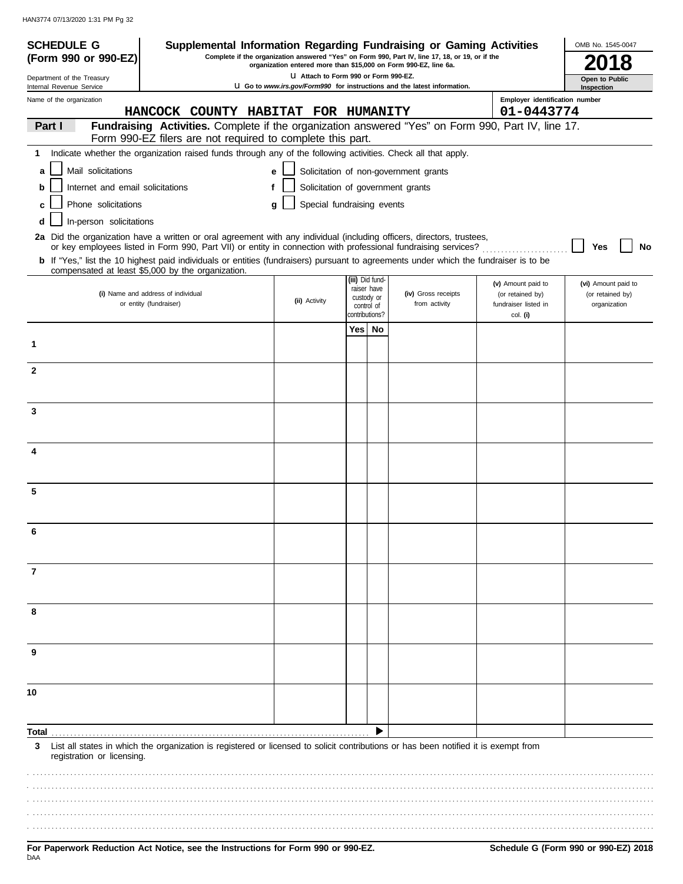HAN3774 07/13/2020 1:31 PM Pg 32

| <b>SCHEDULE G</b>                                                                                                                                                                           | Supplemental Information Regarding Fundraising or Gaming Activities                                                                                                                                                                                                                                          |                                 |       |                              |                                                                                  |                                              | OMB No. 1545-0047                |
|---------------------------------------------------------------------------------------------------------------------------------------------------------------------------------------------|--------------------------------------------------------------------------------------------------------------------------------------------------------------------------------------------------------------------------------------------------------------------------------------------------------------|---------------------------------|-------|------------------------------|----------------------------------------------------------------------------------|----------------------------------------------|----------------------------------|
| Complete if the organization answered "Yes" on Form 990, Part IV, line 17, 18, or 19, or if the<br>(Form 990 or 990-EZ)<br>organization entered more than \$15,000 on Form 990-EZ, line 6a. |                                                                                                                                                                                                                                                                                                              |                                 |       |                              |                                                                                  |                                              |                                  |
| Department of the Treasury                                                                                                                                                                  |                                                                                                                                                                                                                                                                                                              | Open to Public                  |       |                              |                                                                                  |                                              |                                  |
| Internal Revenue Service<br>Name of the organization                                                                                                                                        | HANCOCK COUNTY HABITAT FOR HUMANITY                                                                                                                                                                                                                                                                          |                                 |       |                              | <b>U.</b> Go to www.irs.gov/Form990 for instructions and the latest information. | Employer identification number<br>01-0443774 | Inspection                       |
| Part I                                                                                                                                                                                      | Fundraising Activities. Complete if the organization answered "Yes" on Form 990, Part IV, line 17.                                                                                                                                                                                                           |                                 |       |                              |                                                                                  |                                              |                                  |
|                                                                                                                                                                                             | Form 990-EZ filers are not required to complete this part.                                                                                                                                                                                                                                                   |                                 |       |                              |                                                                                  |                                              |                                  |
| 1                                                                                                                                                                                           | Indicate whether the organization raised funds through any of the following activities. Check all that apply.                                                                                                                                                                                                |                                 |       |                              |                                                                                  |                                              |                                  |
| Mail solicitations<br>a                                                                                                                                                                     |                                                                                                                                                                                                                                                                                                              | e                               |       |                              | Solicitation of non-government grants                                            |                                              |                                  |
| Internet and email solicitations<br>b                                                                                                                                                       |                                                                                                                                                                                                                                                                                                              |                                 |       |                              | Solicitation of government grants                                                |                                              |                                  |
| Phone solicitations<br>c                                                                                                                                                                    |                                                                                                                                                                                                                                                                                                              | Special fundraising events<br>g |       |                              |                                                                                  |                                              |                                  |
| In-person solicitations<br>d                                                                                                                                                                |                                                                                                                                                                                                                                                                                                              |                                 |       |                              |                                                                                  |                                              |                                  |
|                                                                                                                                                                                             | 2a Did the organization have a written or oral agreement with any individual (including officers, directors, trustees,                                                                                                                                                                                       |                                 |       |                              |                                                                                  |                                              |                                  |
|                                                                                                                                                                                             | or key employees listed in Form 990, Part VII) or entity in connection with professional fundraising services?<br>b If "Yes," list the 10 highest paid individuals or entities (fundraisers) pursuant to agreements under which the fundraiser is to be<br>compensated at least \$5,000 by the organization. |                                 |       |                              |                                                                                  |                                              | Yes<br>No                        |
|                                                                                                                                                                                             |                                                                                                                                                                                                                                                                                                              |                                 |       | (iii) Did fund-              |                                                                                  | (v) Amount paid to                           | (vi) Amount paid to              |
|                                                                                                                                                                                             | (i) Name and address of individual<br>or entity (fundraiser)                                                                                                                                                                                                                                                 | (ii) Activity                   |       | raiser have<br>custody or    | (iv) Gross receipts<br>from activity                                             | (or retained by)<br>fundraiser listed in     | (or retained by)<br>organization |
|                                                                                                                                                                                             |                                                                                                                                                                                                                                                                                                              |                                 |       | control of<br>contributions? |                                                                                  | col. (i)                                     |                                  |
|                                                                                                                                                                                             |                                                                                                                                                                                                                                                                                                              |                                 | Yes I | No                           |                                                                                  |                                              |                                  |
| 1                                                                                                                                                                                           |                                                                                                                                                                                                                                                                                                              |                                 |       |                              |                                                                                  |                                              |                                  |
| $\mathbf{2}$                                                                                                                                                                                |                                                                                                                                                                                                                                                                                                              |                                 |       |                              |                                                                                  |                                              |                                  |
|                                                                                                                                                                                             |                                                                                                                                                                                                                                                                                                              |                                 |       |                              |                                                                                  |                                              |                                  |
|                                                                                                                                                                                             |                                                                                                                                                                                                                                                                                                              |                                 |       |                              |                                                                                  |                                              |                                  |
| 3                                                                                                                                                                                           |                                                                                                                                                                                                                                                                                                              |                                 |       |                              |                                                                                  |                                              |                                  |
|                                                                                                                                                                                             |                                                                                                                                                                                                                                                                                                              |                                 |       |                              |                                                                                  |                                              |                                  |
| 4                                                                                                                                                                                           |                                                                                                                                                                                                                                                                                                              |                                 |       |                              |                                                                                  |                                              |                                  |
|                                                                                                                                                                                             |                                                                                                                                                                                                                                                                                                              |                                 |       |                              |                                                                                  |                                              |                                  |
|                                                                                                                                                                                             |                                                                                                                                                                                                                                                                                                              |                                 |       |                              |                                                                                  |                                              |                                  |
| 5                                                                                                                                                                                           |                                                                                                                                                                                                                                                                                                              |                                 |       |                              |                                                                                  |                                              |                                  |
|                                                                                                                                                                                             |                                                                                                                                                                                                                                                                                                              |                                 |       |                              |                                                                                  |                                              |                                  |
| 6                                                                                                                                                                                           |                                                                                                                                                                                                                                                                                                              |                                 |       |                              |                                                                                  |                                              |                                  |
|                                                                                                                                                                                             |                                                                                                                                                                                                                                                                                                              |                                 |       |                              |                                                                                  |                                              |                                  |
|                                                                                                                                                                                             |                                                                                                                                                                                                                                                                                                              |                                 |       |                              |                                                                                  |                                              |                                  |
| 7                                                                                                                                                                                           |                                                                                                                                                                                                                                                                                                              |                                 |       |                              |                                                                                  |                                              |                                  |
|                                                                                                                                                                                             |                                                                                                                                                                                                                                                                                                              |                                 |       |                              |                                                                                  |                                              |                                  |
| 8                                                                                                                                                                                           |                                                                                                                                                                                                                                                                                                              |                                 |       |                              |                                                                                  |                                              |                                  |
|                                                                                                                                                                                             |                                                                                                                                                                                                                                                                                                              |                                 |       |                              |                                                                                  |                                              |                                  |
|                                                                                                                                                                                             |                                                                                                                                                                                                                                                                                                              |                                 |       |                              |                                                                                  |                                              |                                  |
| 9                                                                                                                                                                                           |                                                                                                                                                                                                                                                                                                              |                                 |       |                              |                                                                                  |                                              |                                  |
|                                                                                                                                                                                             |                                                                                                                                                                                                                                                                                                              |                                 |       |                              |                                                                                  |                                              |                                  |
| 10                                                                                                                                                                                          |                                                                                                                                                                                                                                                                                                              |                                 |       |                              |                                                                                  |                                              |                                  |
|                                                                                                                                                                                             |                                                                                                                                                                                                                                                                                                              |                                 |       |                              |                                                                                  |                                              |                                  |
|                                                                                                                                                                                             |                                                                                                                                                                                                                                                                                                              |                                 |       |                              |                                                                                  |                                              |                                  |
| Total<br>3                                                                                                                                                                                  | List all states in which the organization is registered or licensed to solicit contributions or has been notified it is exempt from                                                                                                                                                                          |                                 |       |                              |                                                                                  |                                              |                                  |
| registration or licensing.                                                                                                                                                                  |                                                                                                                                                                                                                                                                                                              |                                 |       |                              |                                                                                  |                                              |                                  |
|                                                                                                                                                                                             |                                                                                                                                                                                                                                                                                                              |                                 |       |                              |                                                                                  |                                              |                                  |
|                                                                                                                                                                                             |                                                                                                                                                                                                                                                                                                              |                                 |       |                              |                                                                                  |                                              |                                  |
|                                                                                                                                                                                             |                                                                                                                                                                                                                                                                                                              |                                 |       |                              |                                                                                  |                                              |                                  |
|                                                                                                                                                                                             |                                                                                                                                                                                                                                                                                                              |                                 |       |                              |                                                                                  |                                              |                                  |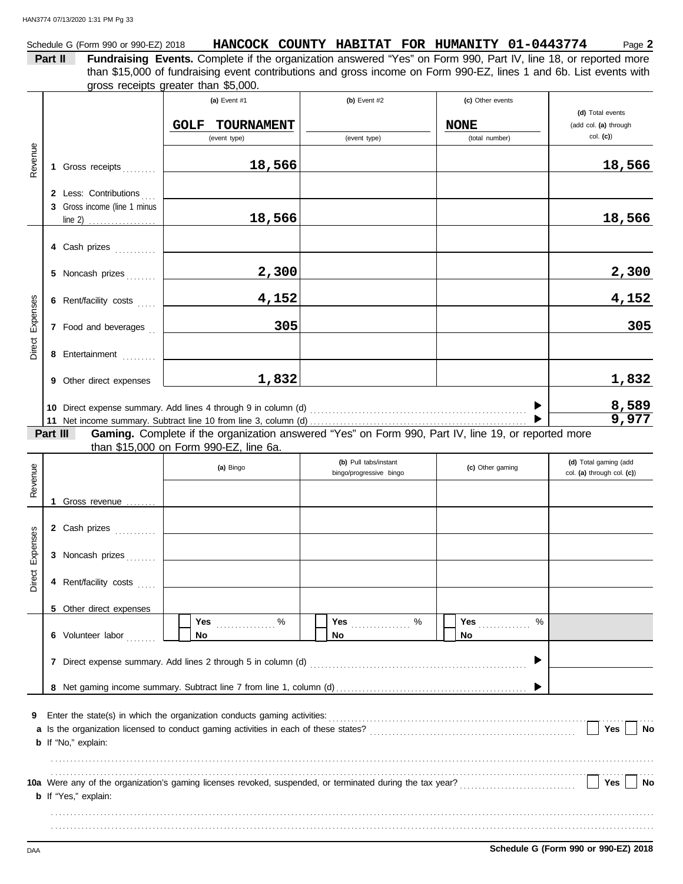| Schedule G (Form 990 or 990-EZ) 2018                                                                                                |  |  | HANCOCK COUNTY HABITAT FOR HUMANITY 01-0443774 | Page 2 |
|-------------------------------------------------------------------------------------------------------------------------------------|--|--|------------------------------------------------|--------|
| $\sum_{i=1}^{n}$<br>. Elle les les la comparación de la comparación de la comparación de la comparación de la comparación de la com |  |  |                                                |        |

**Part II Fundraising Events.** Complete if the organization answered "Yes" on Form 990, Part IV, line 18, or reported more gross receipts greater than \$5,000. than \$15,000 of fundraising event contributions and gross income on Form 990-EZ, lines 1 and 6b. List events with

|                 |          |                                                       | (a) Event $#1$<br><b>GOLF</b><br><b>TOURNAMENT</b><br>(event type)                                        | (b) Event $#2$<br>(event type)                   | (c) Other events<br><b>NONE</b><br>(total number) | (d) Total events<br>(add col. (a) through<br>col. (c) |  |
|-----------------|----------|-------------------------------------------------------|-----------------------------------------------------------------------------------------------------------|--------------------------------------------------|---------------------------------------------------|-------------------------------------------------------|--|
| Revenue         |          | 1 Gross receipts                                      | 18,566                                                                                                    |                                                  |                                                   | 18,566                                                |  |
|                 |          | 2 Less: Contributions<br>3 Gross income (line 1 minus | 18,566                                                                                                    |                                                  |                                                   | 18,566                                                |  |
|                 |          | 4 Cash prizes                                         |                                                                                                           |                                                  |                                                   |                                                       |  |
|                 |          | 5 Noncash prizes                                      | 2,300                                                                                                     |                                                  |                                                   | 2,300                                                 |  |
|                 |          | 6 Rent/facility costs                                 | 4,152                                                                                                     |                                                  |                                                   | 4,152                                                 |  |
| Direct Expenses |          | 7 Food and beverages                                  | 305                                                                                                       |                                                  |                                                   | 305                                                   |  |
|                 |          | 8 Entertainment                                       |                                                                                                           |                                                  |                                                   |                                                       |  |
|                 |          | 9 Other direct expenses                               | 1,832                                                                                                     |                                                  |                                                   | 1,832                                                 |  |
|                 |          |                                                       |                                                                                                           |                                                  |                                                   |                                                       |  |
|                 |          |                                                       |                                                                                                           |                                                  |                                                   | $\frac{8,589}{9,977}$                                 |  |
|                 | Part III |                                                       | Gaming. Complete if the organization answered "Yes" on Form 990, Part IV, line 19, or reported more       |                                                  |                                                   |                                                       |  |
|                 |          |                                                       | than \$15,000 on Form 990-EZ, line 6a.                                                                    |                                                  |                                                   |                                                       |  |
|                 |          |                                                       | (a) Bingo                                                                                                 | (b) Pull tabs/instant<br>bingo/progressive bingo | (c) Other gaming                                  | (d) Total gaming (add<br>col. (a) through col. (c))   |  |
| Revenue         |          |                                                       |                                                                                                           |                                                  |                                                   |                                                       |  |
|                 |          | 1 Gross revenue                                       |                                                                                                           |                                                  |                                                   |                                                       |  |
|                 |          |                                                       |                                                                                                           |                                                  |                                                   |                                                       |  |
|                 |          | 2 Cash prizes                                         |                                                                                                           |                                                  |                                                   |                                                       |  |
| Direct Expenses |          | 3 Noncash prizes                                      |                                                                                                           |                                                  |                                                   |                                                       |  |
|                 |          | 4 Rent/facility costs                                 |                                                                                                           |                                                  |                                                   |                                                       |  |
|                 |          | 5 Other direct expenses                               |                                                                                                           |                                                  |                                                   |                                                       |  |
|                 |          | 6 Volunteer labor                                     | No                                                                                                        | Yes <u></u> %<br>No                              | %<br>Yes <u></u><br>No                            |                                                       |  |
|                 |          |                                                       | 7 Direct expense summary. Add lines 2 through 5 in column (d)                                             |                                                  |                                                   |                                                       |  |
|                 |          |                                                       |                                                                                                           |                                                  |                                                   |                                                       |  |
|                 |          |                                                       |                                                                                                           |                                                  |                                                   |                                                       |  |
| 9               |          |                                                       |                                                                                                           |                                                  |                                                   |                                                       |  |
|                 |          | <b>b</b> If "No," explain:                            |                                                                                                           |                                                  |                                                   | Yes<br>No                                             |  |
|                 |          |                                                       |                                                                                                           |                                                  |                                                   |                                                       |  |
|                 |          |                                                       | 10a Were any of the organization's gaming licenses revoked, suspended, or terminated during the tax year? |                                                  |                                                   | Yes<br>No                                             |  |
|                 |          | <b>b</b> If "Yes," explain:                           |                                                                                                           |                                                  |                                                   |                                                       |  |
|                 |          |                                                       |                                                                                                           |                                                  |                                                   |                                                       |  |
|                 |          |                                                       |                                                                                                           |                                                  |                                                   |                                                       |  |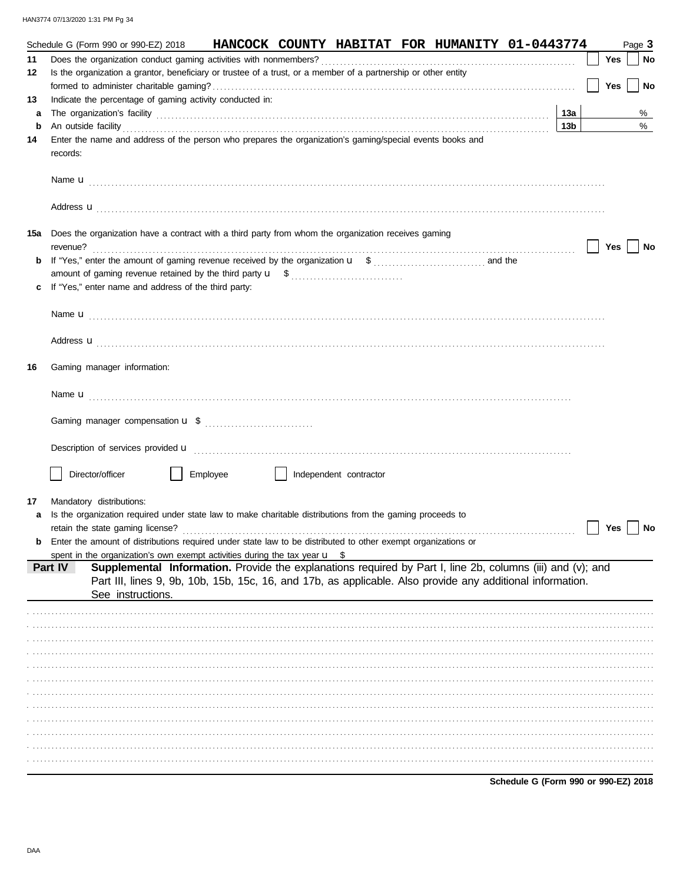HAN3774 07/13/2020 1:31 PM Pg 34

|         |          | Schedule G (Form 990 or 990-EZ) 2018                     |          |                                                                                                                |                        | HANCOCK COUNTY HABITAT FOR HUMANITY 01-0443774                                                                                                                                                                                      |     |     | Page 3    |
|---------|----------|----------------------------------------------------------|----------|----------------------------------------------------------------------------------------------------------------|------------------------|-------------------------------------------------------------------------------------------------------------------------------------------------------------------------------------------------------------------------------------|-----|-----|-----------|
| 11      |          |                                                          |          |                                                                                                                |                        |                                                                                                                                                                                                                                     |     | Yes | <b>No</b> |
| 12      |          |                                                          |          | Is the organization a grantor, beneficiary or trustee of a trust, or a member of a partnership or other entity |                        |                                                                                                                                                                                                                                     |     | Yes | No        |
| 13      |          | Indicate the percentage of gaming activity conducted in: |          |                                                                                                                |                        |                                                                                                                                                                                                                                     |     |     |           |
| a       |          |                                                          |          |                                                                                                                |                        |                                                                                                                                                                                                                                     | 13а |     | %         |
| b       |          |                                                          |          |                                                                                                                |                        |                                                                                                                                                                                                                                     | 13b |     | %         |
| 14      | records: |                                                          |          | Enter the name and address of the person who prepares the organization's gaming/special events books and       |                        |                                                                                                                                                                                                                                     |     |     |           |
|         |          |                                                          |          |                                                                                                                |                        |                                                                                                                                                                                                                                     |     |     |           |
|         |          |                                                          |          |                                                                                                                |                        | Address <b>u</b>                                                                                                                                                                                                                    |     |     |           |
| 15a     |          |                                                          |          | Does the organization have a contract with a third party from whom the organization receives gaming            |                        |                                                                                                                                                                                                                                     |     | Yes | No        |
| b       |          |                                                          |          |                                                                                                                |                        |                                                                                                                                                                                                                                     |     |     |           |
|         |          |                                                          |          |                                                                                                                |                        |                                                                                                                                                                                                                                     |     |     |           |
|         |          | If "Yes," enter name and address of the third party:     |          |                                                                                                                |                        |                                                                                                                                                                                                                                     |     |     |           |
|         |          |                                                          |          |                                                                                                                |                        |                                                                                                                                                                                                                                     |     |     |           |
|         |          |                                                          |          |                                                                                                                |                        | Address <b>u</b>                                                                                                                                                                                                                    |     |     |           |
| 16      |          | Gaming manager information:                              |          |                                                                                                                |                        |                                                                                                                                                                                                                                     |     |     |           |
|         |          |                                                          |          |                                                                                                                |                        |                                                                                                                                                                                                                                     |     |     |           |
|         |          |                                                          |          |                                                                                                                |                        |                                                                                                                                                                                                                                     |     |     |           |
|         |          |                                                          |          |                                                                                                                |                        | Description of services provided <b>u</b> electron contract the contract of the contract of the contract of the contract of the contract of the contract of the contract of the contract of the contract of the contract of the con |     |     |           |
|         |          | Director/officer                                         | Employee |                                                                                                                | Independent contractor |                                                                                                                                                                                                                                     |     |     |           |
|         |          |                                                          |          |                                                                                                                |                        |                                                                                                                                                                                                                                     |     |     |           |
| 17<br>a |          | Mandatory distributions:                                 |          | Is the organization required under state law to make charitable distributions from the gaming proceeds to      |                        |                                                                                                                                                                                                                                     |     |     |           |
|         |          |                                                          |          |                                                                                                                |                        |                                                                                                                                                                                                                                     |     | Yes | No        |
|         |          |                                                          |          | Enter the amount of distributions required under state law to be distributed to other exempt organizations or  |                        |                                                                                                                                                                                                                                     |     |     |           |
|         |          |                                                          |          | spent in the organization's own exempt activities during the tax year $\mathbf{u}$ \$                          |                        |                                                                                                                                                                                                                                     |     |     |           |
|         | Part IV  | See instructions.                                        |          |                                                                                                                |                        | Supplemental Information. Provide the explanations required by Part I, line 2b, columns (iii) and (v); and<br>Part III, lines 9, 9b, 10b, 15b, 15c, 16, and 17b, as applicable. Also provide any additional information.            |     |     |           |
|         |          |                                                          |          |                                                                                                                |                        |                                                                                                                                                                                                                                     |     |     |           |
|         |          |                                                          |          |                                                                                                                |                        |                                                                                                                                                                                                                                     |     |     |           |
|         |          |                                                          |          |                                                                                                                |                        |                                                                                                                                                                                                                                     |     |     |           |
|         |          |                                                          |          |                                                                                                                |                        |                                                                                                                                                                                                                                     |     |     |           |
|         |          |                                                          |          |                                                                                                                |                        |                                                                                                                                                                                                                                     |     |     |           |
|         |          |                                                          |          |                                                                                                                |                        |                                                                                                                                                                                                                                     |     |     |           |
|         |          |                                                          |          |                                                                                                                |                        |                                                                                                                                                                                                                                     |     |     |           |
|         |          |                                                          |          |                                                                                                                |                        |                                                                                                                                                                                                                                     |     |     |           |
|         |          |                                                          |          |                                                                                                                |                        |                                                                                                                                                                                                                                     |     |     |           |
|         |          |                                                          |          |                                                                                                                |                        |                                                                                                                                                                                                                                     |     |     |           |
|         |          |                                                          |          |                                                                                                                |                        |                                                                                                                                                                                                                                     |     |     |           |
|         |          |                                                          |          |                                                                                                                |                        |                                                                                                                                                                                                                                     |     |     |           |

Schedule G (Form 990 or 990-EZ) 2018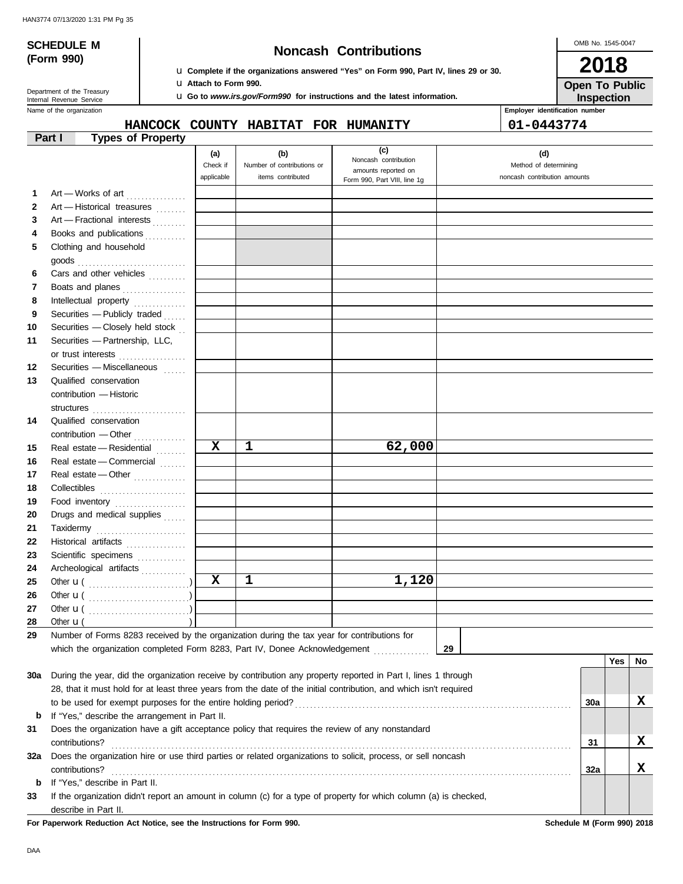# **SCHEDULE M Noncash Contributions**

OMB No. 1545-0047 **2018**

**Inspection Open To Public**

| U Complete if the organizations answered "Yes" on Form 990, Part IV, lines 29 or 30. |  |  |  |  |
|--------------------------------------------------------------------------------------|--|--|--|--|
| <b>u</b> Attach to Form 990.                                                         |  |  |  |  |

u **Go to** *www.irs.gov/Form990* **for instructions and the latest information.**

Name of the organization **Employer is a structure in the organization Employer is a structure in the organization** Internal Revenue Service Department of the Treasury

**(Form 990)**

| yer identification number |  |
|---------------------------|--|
|                           |  |

|              |                                                                                                                    |                               | HANCOCK COUNTY HABITAT FOR HUMANITY                    |                                                                                    | 01-0443774                                                   |     |     |    |
|--------------|--------------------------------------------------------------------------------------------------------------------|-------------------------------|--------------------------------------------------------|------------------------------------------------------------------------------------|--------------------------------------------------------------|-----|-----|----|
|              | Part I<br><b>Types of Property</b>                                                                                 |                               |                                                        |                                                                                    |                                                              |     |     |    |
|              |                                                                                                                    | (a)<br>Check if<br>applicable | (b)<br>Number of contributions or<br>items contributed | (c)<br>Noncash contribution<br>amounts reported on<br>Form 990, Part VIII, line 1g | (d)<br>Method of determining<br>noncash contribution amounts |     |     |    |
| 1            | Art — Works of art                                                                                                 |                               |                                                        |                                                                                    |                                                              |     |     |    |
| $\mathbf{2}$ | Art - Historical treasures                                                                                         |                               |                                                        |                                                                                    |                                                              |     |     |    |
| 3            | Art - Fractional interests                                                                                         |                               |                                                        |                                                                                    |                                                              |     |     |    |
| 4            | Books and publications                                                                                             |                               |                                                        |                                                                                    |                                                              |     |     |    |
| 5            | Clothing and household                                                                                             |                               |                                                        |                                                                                    |                                                              |     |     |    |
|              |                                                                                                                    |                               |                                                        |                                                                                    |                                                              |     |     |    |
| 6            | Cars and other vehicles                                                                                            |                               |                                                        |                                                                                    |                                                              |     |     |    |
| 7            | Boats and planes                                                                                                   |                               |                                                        |                                                                                    |                                                              |     |     |    |
| 8            | Intellectual property                                                                                              |                               |                                                        |                                                                                    |                                                              |     |     |    |
| 9            | Securities - Publicly traded                                                                                       |                               |                                                        |                                                                                    |                                                              |     |     |    |
| 10           | Securities - Closely held stock                                                                                    |                               |                                                        |                                                                                    |                                                              |     |     |    |
| 11           | Securities - Partnership, LLC,                                                                                     |                               |                                                        |                                                                                    |                                                              |     |     |    |
|              | or trust interests                                                                                                 |                               |                                                        |                                                                                    |                                                              |     |     |    |
| 12           | Securities - Miscellaneous [11111]                                                                                 |                               |                                                        |                                                                                    |                                                              |     |     |    |
| 13           | Qualified conservation                                                                                             |                               |                                                        |                                                                                    |                                                              |     |     |    |
|              | contribution - Historic                                                                                            |                               |                                                        |                                                                                    |                                                              |     |     |    |
|              | structures                                                                                                         |                               |                                                        |                                                                                    |                                                              |     |     |    |
| 14           | Qualified conservation                                                                                             |                               |                                                        |                                                                                    |                                                              |     |     |    |
|              | contribution - Other                                                                                               |                               |                                                        |                                                                                    |                                                              |     |     |    |
| 15           | Real estate - Residential                                                                                          | $\mathbf x$                   | $\mathbf{1}$                                           | 62,000                                                                             |                                                              |     |     |    |
| 16           | Real estate - Commercial                                                                                           |                               |                                                        |                                                                                    |                                                              |     |     |    |
| 17           | Real estate - Other                                                                                                |                               |                                                        |                                                                                    |                                                              |     |     |    |
| 18           |                                                                                                                    |                               |                                                        |                                                                                    |                                                              |     |     |    |
| 19           | Food inventory                                                                                                     |                               |                                                        |                                                                                    |                                                              |     |     |    |
| 20           | Drugs and medical supplies                                                                                         |                               |                                                        |                                                                                    |                                                              |     |     |    |
| 21           | Taxidermy                                                                                                          |                               |                                                        |                                                                                    |                                                              |     |     |    |
| 22           | Historical artifacts                                                                                               |                               |                                                        |                                                                                    |                                                              |     |     |    |
| 23<br>24     | Scientific specimens                                                                                               |                               |                                                        |                                                                                    |                                                              |     |     |    |
| 25           | Archeological artifacts                                                                                            | $\mathbf x$                   | 1                                                      | $\overline{1}$ ,120                                                                |                                                              |     |     |    |
| 26           |                                                                                                                    |                               |                                                        |                                                                                    |                                                              |     |     |    |
| 27           |                                                                                                                    |                               |                                                        |                                                                                    |                                                              |     |     |    |
| 28           | Other $\mathbf{u}$ ( )                                                                                             |                               |                                                        |                                                                                    |                                                              |     |     |    |
| 29           | Number of Forms 8283 received by the organization during the tax year for contributions for                        |                               |                                                        |                                                                                    |                                                              |     |     |    |
|              | which the organization completed Form 8283, Part IV, Donee Acknowledgement                                         |                               |                                                        |                                                                                    | 29                                                           |     |     |    |
|              |                                                                                                                    |                               |                                                        |                                                                                    |                                                              |     | Yes | No |
| 30a          | During the year, did the organization receive by contribution any property reported in Part I, lines 1 through     |                               |                                                        |                                                                                    |                                                              |     |     |    |
|              | 28, that it must hold for at least three years from the date of the initial contribution, and which isn't required |                               |                                                        |                                                                                    |                                                              |     |     |    |
|              |                                                                                                                    |                               |                                                        |                                                                                    |                                                              | 30a |     | X  |
| b            | If "Yes," describe the arrangement in Part II.                                                                     |                               |                                                        |                                                                                    |                                                              |     |     |    |
| 31           | Does the organization have a gift acceptance policy that requires the review of any nonstandard                    |                               |                                                        |                                                                                    |                                                              |     |     |    |
|              | contributions?                                                                                                     |                               |                                                        |                                                                                    |                                                              | 31  |     | х  |
| 32a          | Does the organization hire or use third parties or related organizations to solicit, process, or sell noncash      |                               |                                                        |                                                                                    |                                                              |     |     |    |
|              | contributions?                                                                                                     |                               |                                                        |                                                                                    |                                                              | 32a |     | х  |
| b            | If "Yes," describe in Part II.                                                                                     |                               |                                                        |                                                                                    |                                                              |     |     |    |
| 33           | If the organization didn't report an amount in column (c) for a type of property for which column (a) is checked,  |                               |                                                        |                                                                                    |                                                              |     |     |    |
|              | describe in Part II.                                                                                               |                               |                                                        |                                                                                    |                                                              |     |     |    |

**For Paperwork Reduction Act Notice, see the Instructions for Form 990. Schedule M (Form 990) 2018**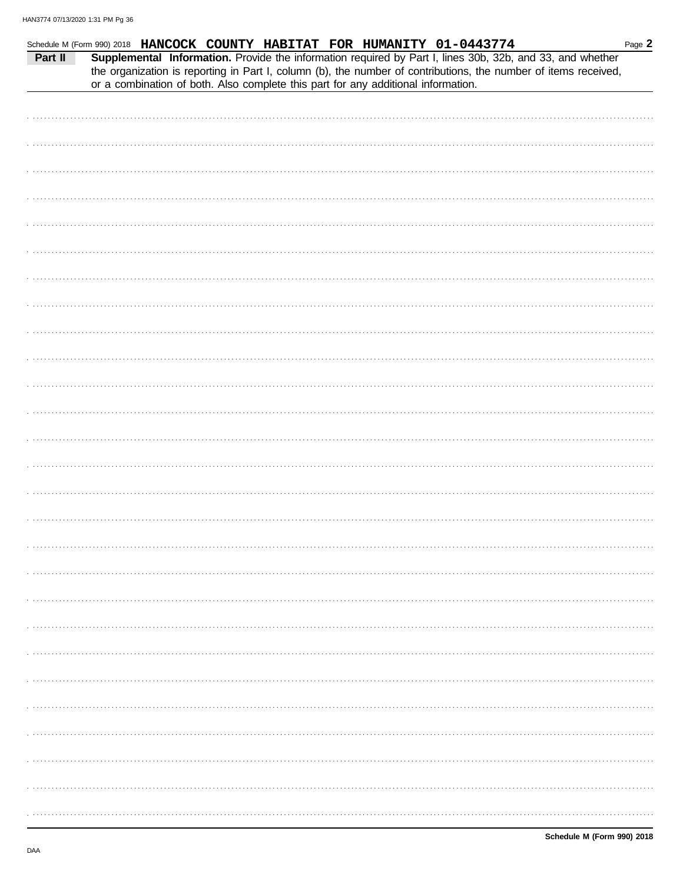|         |  |  |                                                                                   | Schedule M (Form 990) 2018 HANCOCK COUNTY HABITAT FOR HUMANITY 01-0443774                                                                                                                                                    | Page 2 |
|---------|--|--|-----------------------------------------------------------------------------------|------------------------------------------------------------------------------------------------------------------------------------------------------------------------------------------------------------------------------|--------|
| Part II |  |  |                                                                                   | Supplemental Information. Provide the information required by Part I, lines 30b, 32b, and 33, and whether<br>the organization is reporting in Part I, column (b), the number of contributions, the number of items received, |        |
|         |  |  | or a combination of both. Also complete this part for any additional information. |                                                                                                                                                                                                                              |        |
|         |  |  |                                                                                   |                                                                                                                                                                                                                              |        |
|         |  |  |                                                                                   |                                                                                                                                                                                                                              |        |
|         |  |  |                                                                                   |                                                                                                                                                                                                                              |        |
|         |  |  |                                                                                   |                                                                                                                                                                                                                              |        |
|         |  |  |                                                                                   |                                                                                                                                                                                                                              |        |
|         |  |  |                                                                                   |                                                                                                                                                                                                                              |        |
|         |  |  |                                                                                   |                                                                                                                                                                                                                              |        |
|         |  |  |                                                                                   |                                                                                                                                                                                                                              |        |
|         |  |  |                                                                                   |                                                                                                                                                                                                                              |        |
|         |  |  |                                                                                   |                                                                                                                                                                                                                              |        |
|         |  |  |                                                                                   |                                                                                                                                                                                                                              |        |
|         |  |  |                                                                                   |                                                                                                                                                                                                                              |        |
|         |  |  |                                                                                   |                                                                                                                                                                                                                              |        |
|         |  |  |                                                                                   |                                                                                                                                                                                                                              |        |
|         |  |  |                                                                                   |                                                                                                                                                                                                                              |        |
|         |  |  |                                                                                   |                                                                                                                                                                                                                              |        |
|         |  |  |                                                                                   |                                                                                                                                                                                                                              |        |
|         |  |  |                                                                                   |                                                                                                                                                                                                                              |        |
|         |  |  |                                                                                   |                                                                                                                                                                                                                              |        |
|         |  |  |                                                                                   |                                                                                                                                                                                                                              |        |
|         |  |  |                                                                                   |                                                                                                                                                                                                                              |        |
|         |  |  |                                                                                   |                                                                                                                                                                                                                              |        |
|         |  |  |                                                                                   |                                                                                                                                                                                                                              |        |
|         |  |  |                                                                                   |                                                                                                                                                                                                                              |        |
|         |  |  |                                                                                   |                                                                                                                                                                                                                              |        |
|         |  |  |                                                                                   |                                                                                                                                                                                                                              |        |
|         |  |  |                                                                                   |                                                                                                                                                                                                                              |        |
|         |  |  |                                                                                   |                                                                                                                                                                                                                              |        |
|         |  |  |                                                                                   |                                                                                                                                                                                                                              |        |
|         |  |  |                                                                                   |                                                                                                                                                                                                                              |        |
|         |  |  |                                                                                   |                                                                                                                                                                                                                              |        |
|         |  |  |                                                                                   |                                                                                                                                                                                                                              |        |
|         |  |  |                                                                                   |                                                                                                                                                                                                                              |        |
|         |  |  |                                                                                   |                                                                                                                                                                                                                              |        |
|         |  |  |                                                                                   |                                                                                                                                                                                                                              |        |
|         |  |  |                                                                                   |                                                                                                                                                                                                                              |        |
|         |  |  |                                                                                   |                                                                                                                                                                                                                              |        |
|         |  |  |                                                                                   |                                                                                                                                                                                                                              |        |
|         |  |  |                                                                                   |                                                                                                                                                                                                                              |        |
|         |  |  |                                                                                   |                                                                                                                                                                                                                              |        |
|         |  |  |                                                                                   |                                                                                                                                                                                                                              |        |
|         |  |  |                                                                                   |                                                                                                                                                                                                                              |        |
|         |  |  |                                                                                   |                                                                                                                                                                                                                              |        |
|         |  |  |                                                                                   |                                                                                                                                                                                                                              |        |
|         |  |  |                                                                                   |                                                                                                                                                                                                                              |        |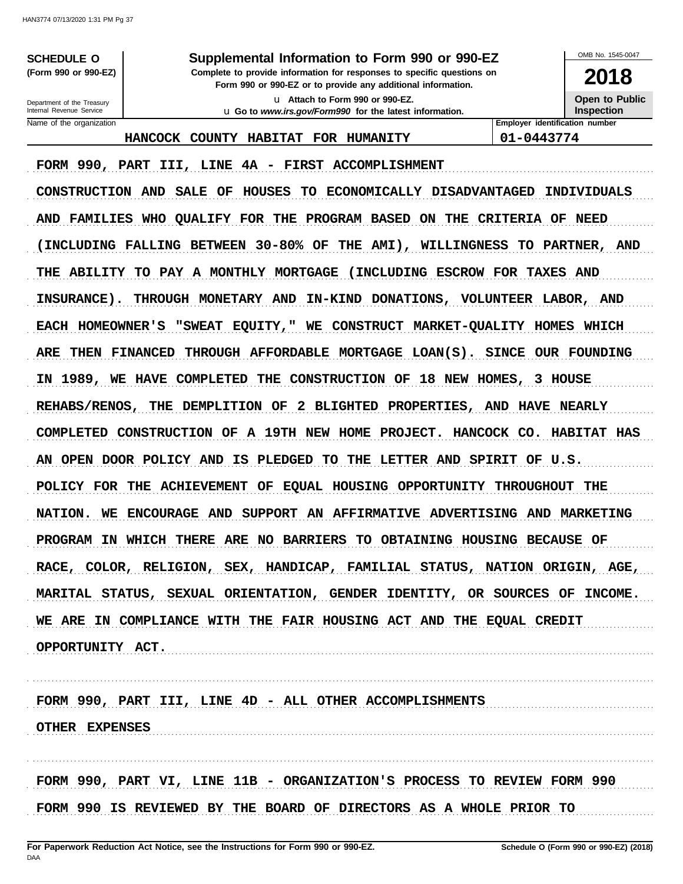Supplemental Information to Form 990 or 990-EZ

Complete to provide information for responses to specific questions on Form 990 or 990-EZ or to provide any additional information.

> u Attach to Form 990 or 990-EZ. u Go to www.irs.gov/Form990 for the latest information.

**Open to Public Inspection** 

OMB No. 1545-0047

2018

Department of the Treasury Internal Revenue Service Name of the organization

**SCHEDULE O** (Form 990 or 990-EZ)

> Employer identification number 01-0443774

HANCOCK COUNTY HABITAT FOR HUMANITY

FORM 990, PART III, LINE 4A - FIRST ACCOMPLISHMENT CONSTRUCTION AND SALE OF HOUSES TO ECONOMICALLY DISADVANTAGED INDIVIDUALS AND FAMILIES WHO QUALIFY FOR THE PROGRAM BASED ON THE CRITERIA OF NEED (INCLUDING FALLING BETWEEN 30-80% OF THE AMI), WILLINGNESS TO PARTNER, AND THE ABILITY TO PAY A MONTHLY MORTGAGE (INCLUDING ESCROW FOR TAXES AND INSURANCE). THROUGH MONETARY AND IN-KIND DONATIONS, VOLUNTEER LABOR, AND EACH HOMEOWNER'S "SWEAT EQUITY," WE CONSTRUCT MARKET-QUALITY HOMES WHICH ARE THEN FINANCED THROUGH AFFORDABLE MORTGAGE LOAN(S). SINCE OUR FOUNDING IN 1989, WE HAVE COMPLETED THE CONSTRUCTION OF 18 NEW HOMES, 3 HOUSE REHABS/RENOS, THE DEMPLITION OF 2 BLIGHTED PROPERTIES, AND HAVE NEARLY COMPLETED CONSTRUCTION OF A 19TH NEW HOME PROJECT. HANCOCK CO. HABITAT HAS AN OPEN DOOR POLICY AND IS PLEDGED TO THE LETTER AND SPIRIT OF U.S. POLICY FOR THE ACHIEVEMENT OF EQUAL HOUSING OPPORTUNITY THROUGHOUT THE NATION. WE ENCOURAGE AND SUPPORT AN AFFIRMATIVE ADVERTISING AND MARKETING PROGRAM IN WHICH THERE ARE NO BARRIERS TO OBTAINING HOUSING BECAUSE OF RACE, COLOR, RELIGION, SEX, HANDICAP, FAMILIAL STATUS, NATION ORIGIN, AGE, MARITAL STATUS, SEXUAL ORIENTATION, GENDER IDENTITY, OR SOURCES OF INCOME. WE ARE IN COMPLIANCE WITH THE FAIR HOUSING ACT AND THE EQUAL CREDIT OPPORTUNITY ACT.

FORM 990, PART III, LINE 4D - ALL OTHER ACCOMPLISHMENTS **OTHER EXPENSES** 

FORM 990, PART VI, LINE 11B - ORGANIZATION'S PROCESS TO REVIEW FORM 990 FORM 990 IS REVIEWED BY THE BOARD OF DIRECTORS AS A WHOLE PRIOR TO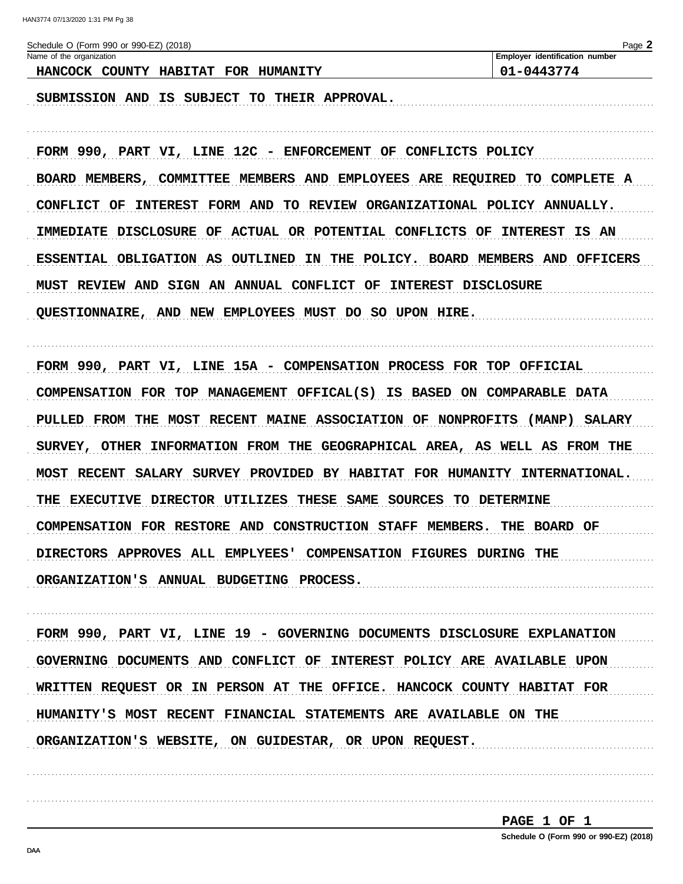HAN3774 07/13/2020 1:31 PM Pg 38 Schedule O (Form 990 or 990-EZ) (2018) Page 2 Name of the organization Employer identification number HANCOCK COUNTY HABITAT FOR HUMANITY 01-0443774 SUBMISSION AND IS SUBJECT TO THEIR APPROVAL. FORM 990, PART VI, LINE 12C - ENFORCEMENT OF CONFLICTS POLICY BOARD MEMBERS, COMMITTEE MEMBERS AND EMPLOYEES ARE REQUIRED TO COMPLETE A CONFLICT OF INTEREST FORM AND TO REVIEW ORGANIZATIONAL POLICY ANNUALLY. IMMEDIATE DISCLOSURE OF ACTUAL OR POTENTIAL CONFLICTS OF INTEREST IS AN ESSENTIAL OBLIGATION AS OUTLINED IN THE POLICY. BOARD MEMBERS AND OFFICERS MUST REVIEW AND SIGN AN ANNUAL CONFLICT OF INTEREST DISCLOSURE QUESTIONNAIRE, AND NEW EMPLOYEES MUST DO SO UPON HIRE. FORM 990, PART VI, LINE 15A - COMPENSATION PROCESS FOR TOP OFFICIAL COMPENSATION FOR TOP MANAGEMENT OFFICAL(S) IS BASED ON COMPARABLE DATA PULLED FROM THE MOST RECENT MAINE ASSOCIATION OF NONPROFITS (MANP) SALARY SURVEY, OTHER INFORMATION FROM THE GEOGRAPHICAL AREA, AS WELL AS FROM THE MOST RECENT SALARY SURVEY PROVIDED BY HABITAT FOR HUMANITY INTERNATIONAL. THE EXECUTIVE DIRECTOR UTILIZES THESE SAME SOURCES TO DETERMINE COMPENSATION FOR RESTORE AND CONSTRUCTION STAFF MEMBERS. THE BOARD OF DIRECTORS APPROVES ALL EMPLYEES' COMPENSATION FIGURES DURING THE ORGANIZATION'S ANNUAL BUDGETING PROCESS. FORM 990, PART VI, LINE 19 - GOVERNING DOCUMENTS DISCLOSURE EXPLANATION GOVERNING DOCUMENTS AND CONFLICT OF INTEREST POLICY ARE AVAILABLE UPON WRITTEN REQUEST OR IN PERSON AT THE OFFICE. HANCOCK COUNTY HABITAT FOR

HUMANITY'S MOST RECENT FINANCIAL STATEMENTS ARE AVAILABLE ON THE

ORGANIZATION'S WEBSITE, ON GUIDESTAR, OR UPON REQUEST.

PAGE 1 OF 1 Schedule O (Form 990 or 990-EZ) (2018)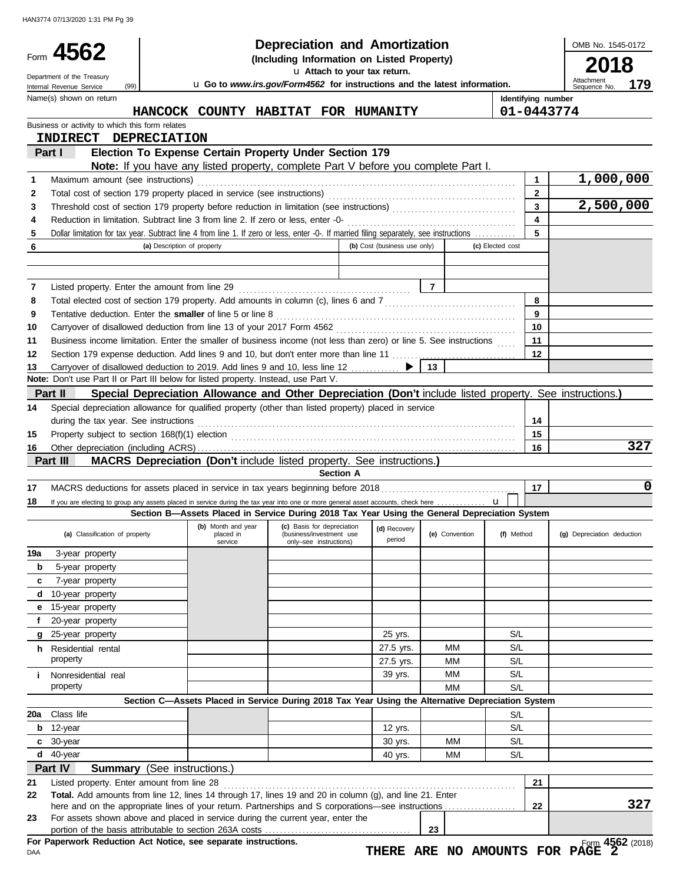HAN3774 07/13/2020 1:31 PM Pg 39

|                | Form 4562                                                                           |                             |                                                                                                                                  | <b>Depreciation and Amortization</b>                                                                                                                                |                              |                |                  |                    | OMB No. 1545-0172                 |
|----------------|-------------------------------------------------------------------------------------|-----------------------------|----------------------------------------------------------------------------------------------------------------------------------|---------------------------------------------------------------------------------------------------------------------------------------------------------------------|------------------------------|----------------|------------------|--------------------|-----------------------------------|
|                |                                                                                     |                             |                                                                                                                                  | (Including Information on Listed Property)                                                                                                                          |                              |                |                  |                    |                                   |
|                | Department of the Treasury<br>(99)<br>Internal Revenue Service                      |                             |                                                                                                                                  | u Attach to your tax return.<br>u Go to www.irs.gov/Form4562 for instructions and the latest information.                                                           |                              |                |                  |                    | Attachment<br>179<br>Sequence No. |
|                | Name(s) shown on return                                                             |                             |                                                                                                                                  |                                                                                                                                                                     |                              |                |                  | Identifying number |                                   |
|                |                                                                                     |                             |                                                                                                                                  | HANCOCK COUNTY HABITAT FOR HUMANITY                                                                                                                                 |                              |                | 01-0443774       |                    |                                   |
|                | Business or activity to which this form relates                                     |                             |                                                                                                                                  |                                                                                                                                                                     |                              |                |                  |                    |                                   |
|                | INDIRECT DEPRECIATION                                                               |                             |                                                                                                                                  |                                                                                                                                                                     |                              |                |                  |                    |                                   |
|                | Part I                                                                              |                             |                                                                                                                                  | Election To Expense Certain Property Under Section 179<br>Note: If you have any listed property, complete Part V before you complete Part I.                        |                              |                |                  |                    |                                   |
| 1              | Maximum amount (see instructions)                                                   |                             |                                                                                                                                  |                                                                                                                                                                     |                              |                |                  | $\mathbf 1$        | 1,000,000                         |
| 2              |                                                                                     |                             |                                                                                                                                  |                                                                                                                                                                     |                              |                |                  | $\mathbf{2}$       |                                   |
| 3              |                                                                                     |                             |                                                                                                                                  |                                                                                                                                                                     |                              |                |                  | 3                  | 2,500,000                         |
| 4              |                                                                                     |                             |                                                                                                                                  |                                                                                                                                                                     |                              |                |                  | 4                  |                                   |
| 5              |                                                                                     |                             |                                                                                                                                  | Dollar limitation for tax year. Subtract line 4 from line 1. If zero or less, enter -0-. If married filing separately, see instructions                             |                              |                |                  | 5                  |                                   |
| 6              |                                                                                     | (a) Description of property |                                                                                                                                  |                                                                                                                                                                     | (b) Cost (business use only) |                | (c) Elected cost |                    |                                   |
|                |                                                                                     |                             |                                                                                                                                  |                                                                                                                                                                     |                              |                |                  |                    |                                   |
| 7              | Listed property. Enter the amount from line 29                                      |                             |                                                                                                                                  |                                                                                                                                                                     |                              | $\overline{7}$ |                  |                    |                                   |
| 8              |                                                                                     |                             |                                                                                                                                  |                                                                                                                                                                     |                              |                |                  | 8                  |                                   |
| 9              |                                                                                     |                             |                                                                                                                                  |                                                                                                                                                                     |                              |                |                  | 9                  |                                   |
| 10             |                                                                                     |                             |                                                                                                                                  |                                                                                                                                                                     |                              |                |                  | 10                 |                                   |
| 11             |                                                                                     |                             |                                                                                                                                  | Business income limitation. Enter the smaller of business income (not less than zero) or line 5. See instructions                                                   |                              |                |                  | 11                 |                                   |
| 12             |                                                                                     |                             |                                                                                                                                  | Section 179 expense deduction. Add lines 9 and 10, but don't enter more than line 11  [11] expense deduction. Add lines 9 and 10, but don't enter more than line 11 |                              |                |                  | 12                 |                                   |
| 13             |                                                                                     |                             |                                                                                                                                  | Carryover of disallowed deduction to 2019. Add lines 9 and 10, less line 12                                                                                         |                              | 13             |                  |                    |                                   |
|                | Note: Don't use Part II or Part III below for listed property. Instead, use Part V. |                             |                                                                                                                                  |                                                                                                                                                                     |                              |                |                  |                    |                                   |
| 14             | Part II                                                                             |                             |                                                                                                                                  | Special Depreciation Allowance and Other Depreciation (Don't include listed property. See instructions.)                                                            |                              |                |                  |                    |                                   |
|                | during the tax year. See instructions                                               |                             |                                                                                                                                  | Special depreciation allowance for qualified property (other than listed property) placed in service                                                                |                              |                |                  | 14                 |                                   |
| 15             |                                                                                     |                             |                                                                                                                                  |                                                                                                                                                                     |                              |                |                  | 15                 |                                   |
| 16             |                                                                                     |                             |                                                                                                                                  |                                                                                                                                                                     |                              |                |                  | 16                 | 327                               |
|                | Part III                                                                            |                             |                                                                                                                                  | <b>MACRS Depreciation (Don't include listed property. See instructions.)</b>                                                                                        |                              |                |                  |                    |                                   |
|                |                                                                                     |                             |                                                                                                                                  | <b>Section A</b>                                                                                                                                                    |                              |                |                  |                    |                                   |
| 17             |                                                                                     |                             |                                                                                                                                  |                                                                                                                                                                     |                              |                |                  | 17                 | 0                                 |
| 18             |                                                                                     |                             |                                                                                                                                  | If you are electing to group any assets placed in service during the tax year into one or more general asset accounts, check here                                   |                              |                | $\mathbf{u}$     |                    |                                   |
|                |                                                                                     |                             |                                                                                                                                  |                                                                                                                                                                     |                              |                |                  |                    |                                   |
|                | (a) Classification of property                                                      |                             | Section B-Assets Placed in Service During 2018 Tax Year Using the General Depreciation System<br>(b) Month and year<br>placed in | (c) Basis for depreciation<br>(business/investment use                                                                                                              | (d) Recovery<br>period       | (e) Convention | (f) Method       |                    | (g) Depreciation deduction        |
|                |                                                                                     |                             | service                                                                                                                          | only-see instructions)                                                                                                                                              |                              |                |                  |                    |                                   |
| b              | 3-year property<br>5-year property                                                  |                             |                                                                                                                                  |                                                                                                                                                                     |                              |                |                  |                    |                                   |
| c              | 7-year property                                                                     |                             |                                                                                                                                  |                                                                                                                                                                     |                              |                |                  |                    |                                   |
| d              | 10-year property                                                                    |                             |                                                                                                                                  |                                                                                                                                                                     |                              |                |                  |                    |                                   |
| е              | 15-year property                                                                    |                             |                                                                                                                                  |                                                                                                                                                                     |                              |                |                  |                    |                                   |
| f              | 20-year property                                                                    |                             |                                                                                                                                  |                                                                                                                                                                     |                              |                |                  |                    |                                   |
| g              | 25-year property                                                                    |                             |                                                                                                                                  |                                                                                                                                                                     | 25 yrs.                      |                | S/L              |                    |                                   |
| 19a            | h Residential rental                                                                |                             |                                                                                                                                  |                                                                                                                                                                     | 27.5 yrs.                    | МM             | S/L              |                    |                                   |
|                | property                                                                            |                             |                                                                                                                                  |                                                                                                                                                                     | 27.5 yrs.                    | МM             | S/L              |                    |                                   |
| i.             | Nonresidential real<br>property                                                     |                             |                                                                                                                                  |                                                                                                                                                                     | 39 yrs.                      | МM             | S/L              |                    |                                   |
|                |                                                                                     |                             |                                                                                                                                  | Section C-Assets Placed in Service During 2018 Tax Year Using the Alternative Depreciation System                                                                   |                              | <b>MM</b>      | S/L              |                    |                                   |
| 20a            | Class life                                                                          |                             |                                                                                                                                  |                                                                                                                                                                     |                              |                | S/L              |                    |                                   |
| b              | 12-year                                                                             |                             |                                                                                                                                  |                                                                                                                                                                     | 12 yrs.                      |                | S/L              |                    |                                   |
| c              | 30-year                                                                             |                             |                                                                                                                                  |                                                                                                                                                                     | 30 yrs.                      | MМ             | S/L              |                    |                                   |
| d              | 40-year                                                                             |                             |                                                                                                                                  |                                                                                                                                                                     | 40 yrs.                      | MМ             | S/L              |                    |                                   |
|                | Part IV<br><b>Summary</b> (See instructions.)                                       |                             |                                                                                                                                  |                                                                                                                                                                     |                              |                |                  |                    |                                   |
|                | Listed property. Enter amount from line 28                                          |                             |                                                                                                                                  |                                                                                                                                                                     |                              |                |                  | 21                 |                                   |
|                |                                                                                     |                             |                                                                                                                                  | Total. Add amounts from line 12, lines 14 through 17, lines 19 and 20 in column (g), and line 21. Enter                                                             |                              |                |                  | 22                 |                                   |
| 21<br>22<br>23 |                                                                                     |                             |                                                                                                                                  | For assets shown above and placed in service during the current year, enter the                                                                                     |                              |                |                  |                    | 327                               |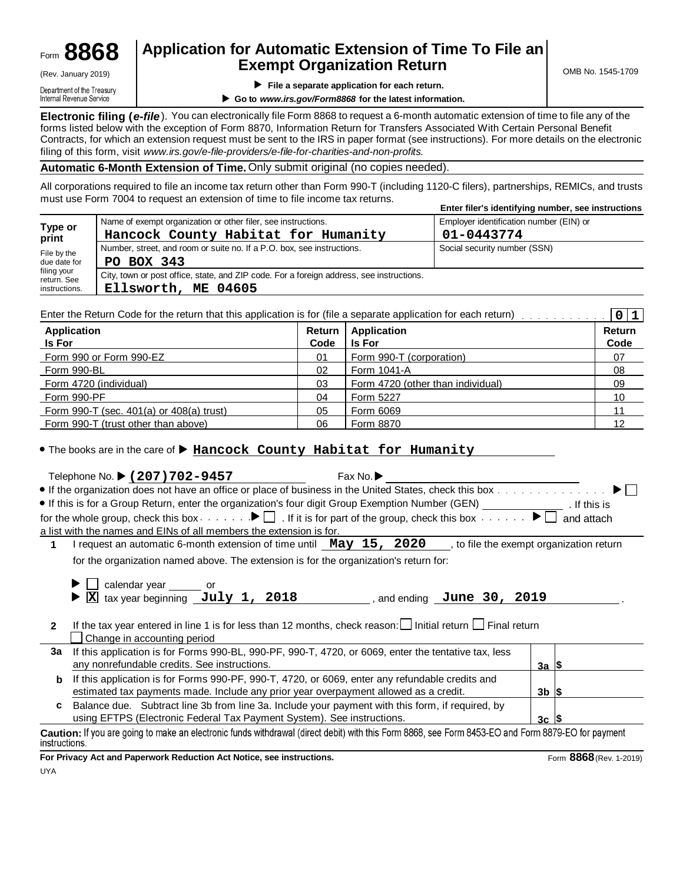# Form **8868 Application for Automatic Extension of Time To File an** Rev. January 2019)<br> **Exempt Organization Return**<br>
Rev. January 2019)

Department of the Treasury Internal Revenue Service

**File a separate application for each return.**

**Go to** *www.irs.gov/Form8868* **for the latest information.**

**Electronic filing (e-file**). You can electronically file Form 8868 to request a 6-month automatic extension of time to file any of the forms listed below with the exception of Form 8870, Information Return for Transfers Associated With Certain Personal Benefit Contracts, for which an extension request must be sent to the IRS in paper format (see instructions). For more details on the electronic filing of this form, visit *www.irs.gov/e-file-providers/e-file-for-charities-and-non-profits.*

**Automatic 6-Month Extension of Time.** Only submit original (no copies needed).

All corporations required to file an income tax return other than Form 990-T (including 1120-C filers), partnerships, REMICs, and trusts **Enter filer's identifying number, see instructions**

| Type or                    | Name of exempt organization or other filer, see instructions.                            | Employer identification number (EIN) or |  |  |  |  |
|----------------------------|------------------------------------------------------------------------------------------|-----------------------------------------|--|--|--|--|
| print                      | Hancock County Habitat for Humanity                                                      | 01-0443774                              |  |  |  |  |
| File by the                | Number, street, and room or suite no. If a P.O. box, see instructions.                   | Social security number (SSN)            |  |  |  |  |
| due date for               | PO BOX 343                                                                               |                                         |  |  |  |  |
| filing your<br>return. See | City, town or post office, state, and ZIP code. For a foreign address, see instructions. |                                         |  |  |  |  |
| instructions.              | Ellsworth, ME 04605                                                                      |                                         |  |  |  |  |

| Enter the Return Code for the return that this application is for (file a separate application for each return)<br>0 <sup> 1</sup><br>and the state of the state of the |                |                                   |                |  |  |  |  |
|-------------------------------------------------------------------------------------------------------------------------------------------------------------------------|----------------|-----------------------------------|----------------|--|--|--|--|
| Application<br><b>Is For</b>                                                                                                                                            | Return<br>Code | Application<br><b>Is For</b>      | Return<br>Code |  |  |  |  |
| Form 990 or Form 990-EZ                                                                                                                                                 | 01             | Form 990-T (corporation)          | 07             |  |  |  |  |
| Form 990-BL                                                                                                                                                             | 02             | Form 1041-A                       | 08             |  |  |  |  |
| Form 4720 (individual)                                                                                                                                                  | 03             | Form 4720 (other than individual) | 09             |  |  |  |  |
| Form 990-PF                                                                                                                                                             | 04             | Form 5227                         | 10             |  |  |  |  |
| Form 990-T (sec. 401(a) or 408(a) trust)                                                                                                                                | 05             | Form 6069                         |                |  |  |  |  |
| Form 990-T (trust other than above)                                                                                                                                     | 06             | Form 8870                         |                |  |  |  |  |

### The books are in the care of **Hancock County Habitat for Humanity**

Telephone No. ▶ (207)702-9457 Fax No.▶

If the organization does not have an office or place of business in the United States, check this box . . . . . . . . . . . . . .  $\blacktriangleright \Box$ 

If this is for a Group Return, enter the organization's four digit Group Exemption Number (GEN) . If this is for the whole group, check this box  $\blacksquare$   $\blacksquare$  If it is for part of the group, check this box  $\blacksquare$   $\blacksquare$  and attach a list with the names and EINs of all members the extension is for.

1 I request an automatic 6-month extension of time until **May 15, 2020**, to file the exempt organization return

|                                                                                                                                                  | for the organization named above. The extension is for the organization's return for: |                              |  |  |
|--------------------------------------------------------------------------------------------------------------------------------------------------|---------------------------------------------------------------------------------------|------------------------------|--|--|
| $\blacktriangleright$ $\Box$ calendar year $\_\_\_\_$ or<br>$\triangleright$ $\boxed{\text{X}}$ tax year beginning $\boxed{\text{July 1, 2018}}$ |                                                                                       | , and ending $June 30, 2019$ |  |  |

**2** If the tax year entered in line 1 is for less than 12 months, check reason: Initial return Final return  $\Box$  Change in accounting period

| 3a If this application is for Forms 990-BL, 990-PF, 990-T, 4720, or 6069, enter the tentative tax, less<br>any nonrefundable credits. See instructions.                                          | За              | -15 |
|--------------------------------------------------------------------------------------------------------------------------------------------------------------------------------------------------|-----------------|-----|
| <b>b</b> If this application is for Forms 990-PF, 990-T, 4720, or 6069, enter any refundable credits and<br>estimated tax payments made. Include any prior year overpayment allowed as a credit. | $3b$ $\vert$ \$ |     |
| c Balance due. Subtract line 3b from line 3a. Include your payment with this form, if required, by<br>using EFTPS (Electronic Federal Tax Payment System). See instructions.                     | $3c$ $ 5$       |     |

Caution: If you are going to make an electronic funds withdrawal (direct debit) with this Form 8868, see Form 8453-EO and Form 8879-EO for payment instructions.

**For Privacy Act and Paperwork Reduction Act Notice, see instructions.** 

(Rev. 1-2019) Form **8868**

UYA